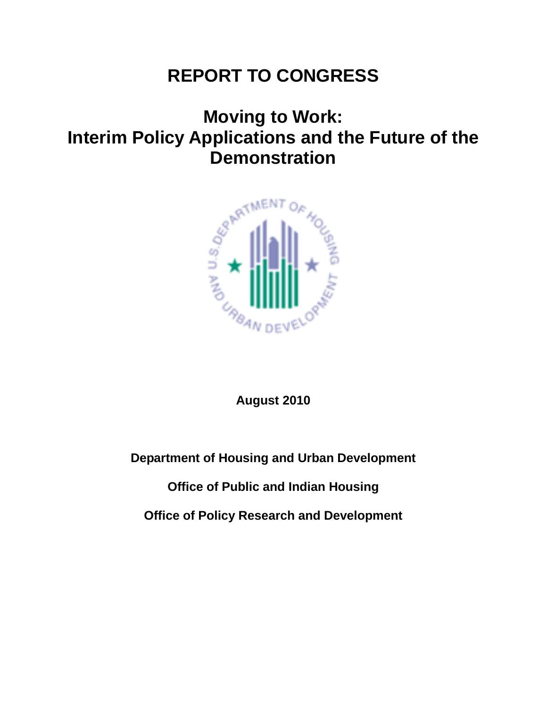# **REPORT TO CONGRESS**

# **Moving to Work: Interim Policy Applications and the Future of the Demonstration**



**August 2010**

**Department of Housing and Urban Development**

**Office of Public and Indian Housing**

**Office of Policy Research and Development**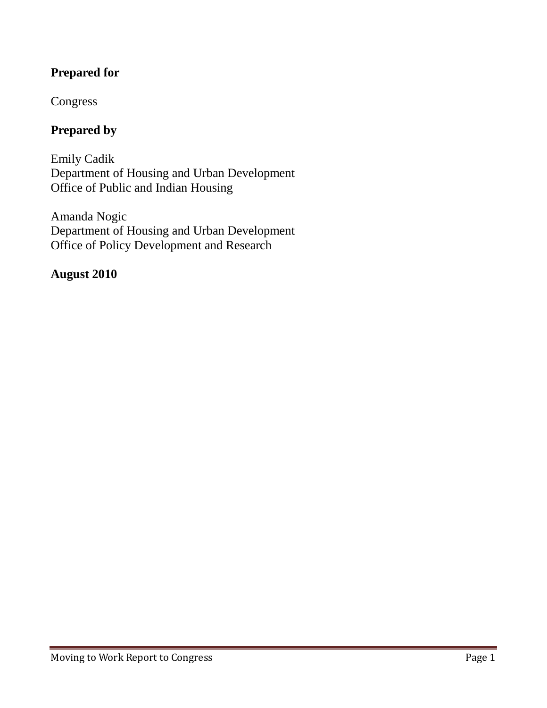## **Prepared for**

## Congress

## **Prepared by**

Emily Cadik Department of Housing and Urban Development Office of Public and Indian Housing

Amanda Nogic Department of Housing and Urban Development Office of Policy Development and Research

### **August 2010**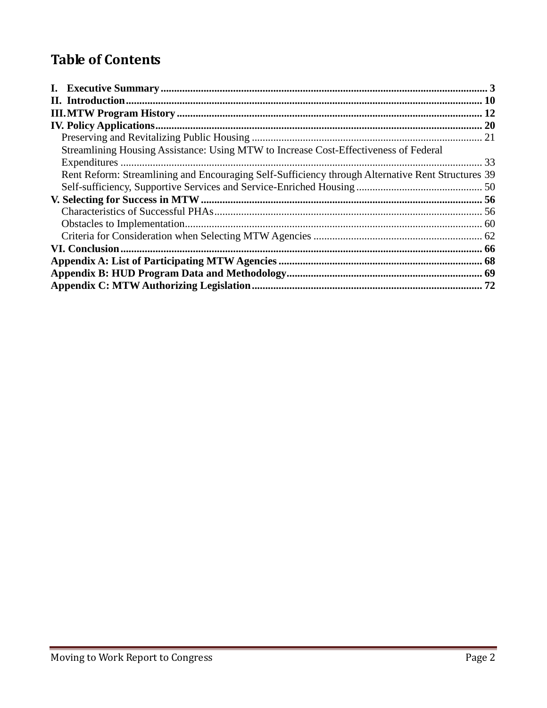## **Table of Contents**

| Streamlining Housing Assistance: Using MTW to Increase Cost-Effectiveness of Federal              |  |
|---------------------------------------------------------------------------------------------------|--|
|                                                                                                   |  |
| Rent Reform: Streamlining and Encouraging Self-Sufficiency through Alternative Rent Structures 39 |  |
|                                                                                                   |  |
|                                                                                                   |  |
|                                                                                                   |  |
|                                                                                                   |  |
|                                                                                                   |  |
|                                                                                                   |  |
|                                                                                                   |  |
|                                                                                                   |  |
|                                                                                                   |  |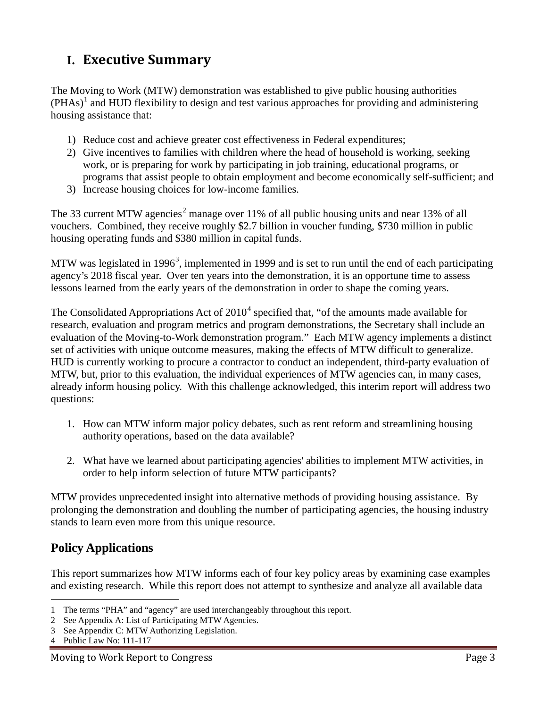## **I. Executive Summary**

The Moving to Work (MTW) demonstration was established to give public housing authorities  $(PHAs)^{1}$  and HUD flexibility to design and test various approaches for providing and administering housing assistance that:

- 1) Reduce cost and achieve greater cost effectiveness in Federal expenditures;
- 2) Give incentives to families with children where the head of household is working, seeking work, or is preparing for work by participating in job training, educational programs, or programs that assist people to obtain employment and become economically self-sufficient; and
- 3) Increase housing choices for low-income families.

The 33 current MTW agencies<sup>2</sup> manage over 11% of all public housing units and near 13% of all vouchers. Combined, they receive roughly \$2.7 billion in voucher funding, \$730 million in public housing operating funds and \$380 million in capital funds.

MTW was legislated in 1996<sup>3</sup>, implemented in 1999 and is set to run until the end of each participating agency's 2018 fiscal year. Over ten years into the demonstration, it is an opportune time to assess lessons learned from the early years of the demonstration in order to shape the coming years.

The Consolidated Appropriations Act of  $2010<sup>4</sup>$  specified that, "of the amounts made available for research, evaluation and program metrics and program demonstrations, the Secretary shall include an evaluation of the Moving-to-Work demonstration program." Each MTW agency implements a distinct set of activities with unique outcome measures, making the effects of MTW difficult to generalize. HUD is currently working to procure a contractor to conduct an independent, third-party evaluation of MTW, but, prior to this evaluation, the individual experiences of MTW agencies can, in many cases, already inform housing policy. With this challenge acknowledged, this interim report will address two questions:

- 1. How can MTW inform major policy debates, such as rent reform and streamlining housing authority operations, based on the data available?
- 2. What have we learned about participating agencies' abilities to implement MTW activities, in order to help inform selection of future MTW participants?

MTW provides unprecedented insight into alternative methods of providing housing assistance. By prolonging the demonstration and doubling the number of participating agencies, the housing industry stands to learn even more from this unique resource.

## **Policy Applications**

This report summarizes how MTW informs each of four key policy areas by examining case examples and existing research. While this report does not attempt to synthesize and analyze all available data

 <sup>1</sup> The terms "PHA" and "agency" are used interchangeably throughout this report.

<sup>2</sup> See Appendix A: List of Participating MTW Agencies.

<sup>3</sup> See Appendix C: MTW Authorizing Legislation.

<sup>4</sup> Public Law No: 111-117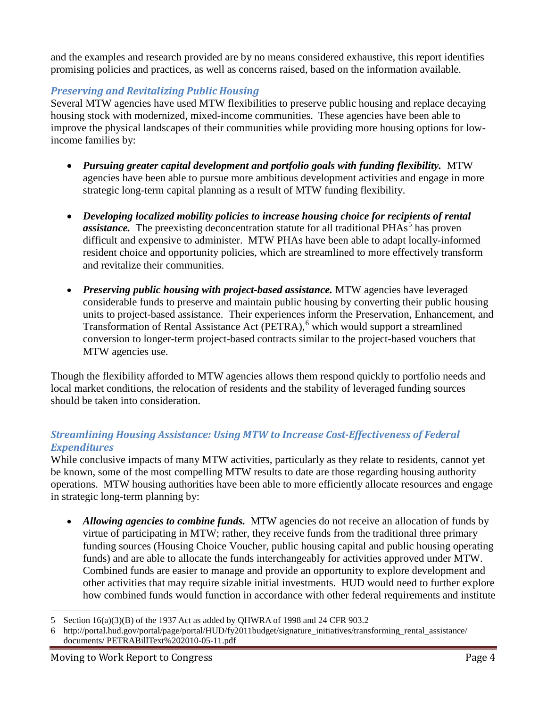and the examples and research provided are by no means considered exhaustive, this report identifies promising policies and practices, as well as concerns raised, based on the information available.

#### *Preserving and Revitalizing Public Housing*

Several MTW agencies have used MTW flexibilities to preserve public housing and replace decaying housing stock with modernized, mixed-income communities. These agencies have been able to improve the physical landscapes of their communities while providing more housing options for lowincome families by:

- *Pursuing greater capital development and portfolio goals with funding flexibility.* MTW agencies have been able to pursue more ambitious development activities and engage in more strategic long-term capital planning as a result of MTW funding flexibility.
- *Developing localized mobility policies to increase housing choice for recipients of rental assistance.* The preexisting deconcentration statute for all traditional PHAs<sup>5</sup> has proven difficult and expensive to administer. MTW PHAs have been able to adapt locally-informed resident choice and opportunity policies, which are streamlined to more effectively transform and revitalize their communities.
- *Preserving public housing with project-based assistance.* MTW agencies have leveraged considerable funds to preserve and maintain public housing by converting their public housing units to project-based assistance. Their experiences inform the Preservation, Enhancement, and Transformation of Rental Assistance Act (PETRA), <sup>6</sup> which would support a streamlined conversion to longer-term project-based contracts similar to the project-based vouchers that MTW agencies use.

Though the flexibility afforded to MTW agencies allows them respond quickly to portfolio needs and local market conditions, the relocation of residents and the stability of leveraged funding sources should be taken into consideration.

#### *Streamlining Housing Assistance: Using MTW to Increase Cost-Effectiveness of Federal Expenditures*

While conclusive impacts of many MTW activities, particularly as they relate to residents, cannot yet be known, some of the most compelling MTW results to date are those regarding housing authority operations. MTW housing authorities have been able to more efficiently allocate resources and engage in strategic long-term planning by:

• *Allowing agencies to combine funds.* MTW agencies do not receive an allocation of funds by virtue of participating in MTW; rather, they receive funds from the traditional three primary funding sources (Housing Choice Voucher, public housing capital and public housing operating funds) and are able to allocate the funds interchangeably for activities approved under MTW. Combined funds are easier to manage and provide an opportunity to explore development and other activities that may require sizable initial investments. HUD would need to further explore how combined funds would function in accordance with other federal requirements and institute

 $\overline{a}$ 5 Section 16(a)(3)(B) of the 1937 Act as added by QHWRA of 1998 and 24 CFR 903.2

<sup>6</sup> http://portal.hud.gov/portal/page/portal/HUD/fy2011budget/signature\_initiatives/transforming\_rental\_assistance/ documents/ PETRABillText%202010-05-11.pdf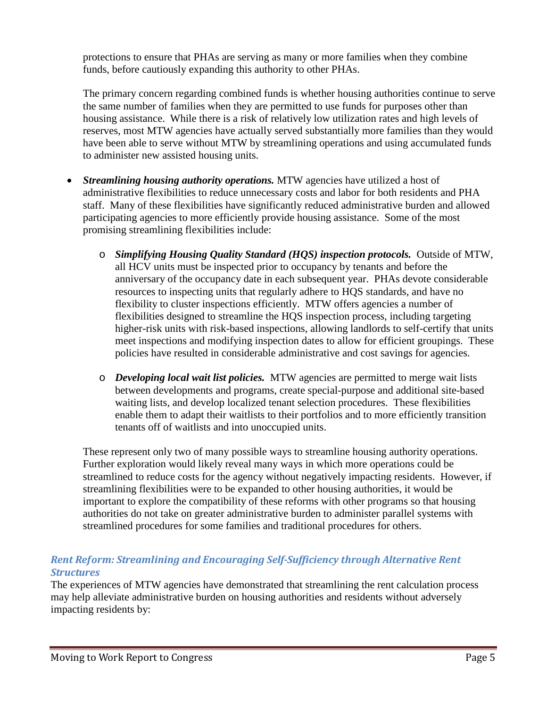protections to ensure that PHAs are serving as many or more families when they combine funds, before cautiously expanding this authority to other PHAs.

The primary concern regarding combined funds is whether housing authorities continue to serve the same number of families when they are permitted to use funds for purposes other than housing assistance. While there is a risk of relatively low utilization rates and high levels of reserves, most MTW agencies have actually served substantially more families than they would have been able to serve without MTW by streamlining operations and using accumulated funds to administer new assisted housing units.

- *Streamlining housing authority operations.* MTW agencies have utilized a host of administrative flexibilities to reduce unnecessary costs and labor for both residents and PHA staff. Many of these flexibilities have significantly reduced administrative burden and allowed participating agencies to more efficiently provide housing assistance. Some of the most promising streamlining flexibilities include:
	- o *Simplifying Housing Quality Standard (HQS) inspection protocols.* Outside of MTW, all HCV units must be inspected prior to occupancy by tenants and before the anniversary of the occupancy date in each subsequent year. PHAs devote considerable resources to inspecting units that regularly adhere to HQS standards, and have no flexibility to cluster inspections efficiently. MTW offers agencies a number of flexibilities designed to streamline the HQS inspection process, including targeting higher-risk units with risk-based inspections, allowing landlords to self-certify that units meet inspections and modifying inspection dates to allow for efficient groupings. These policies have resulted in considerable administrative and cost savings for agencies.
	- o *Developing local wait list policies.* MTW agencies are permitted to merge wait lists between developments and programs, create special-purpose and additional site-based waiting lists, and develop localized tenant selection procedures. These flexibilities enable them to adapt their waitlists to their portfolios and to more efficiently transition tenants off of waitlists and into unoccupied units.

These represent only two of many possible ways to streamline housing authority operations. Further exploration would likely reveal many ways in which more operations could be streamlined to reduce costs for the agency without negatively impacting residents. However, if streamlining flexibilities were to be expanded to other housing authorities, it would be important to explore the compatibility of these reforms with other programs so that housing authorities do not take on greater administrative burden to administer parallel systems with streamlined procedures for some families and traditional procedures for others.

#### *Rent Reform: Streamlining and Encouraging Self-Sufficiency through Alternative Rent Structures*

The experiences of MTW agencies have demonstrated that streamlining the rent calculation process may help alleviate administrative burden on housing authorities and residents without adversely impacting residents by: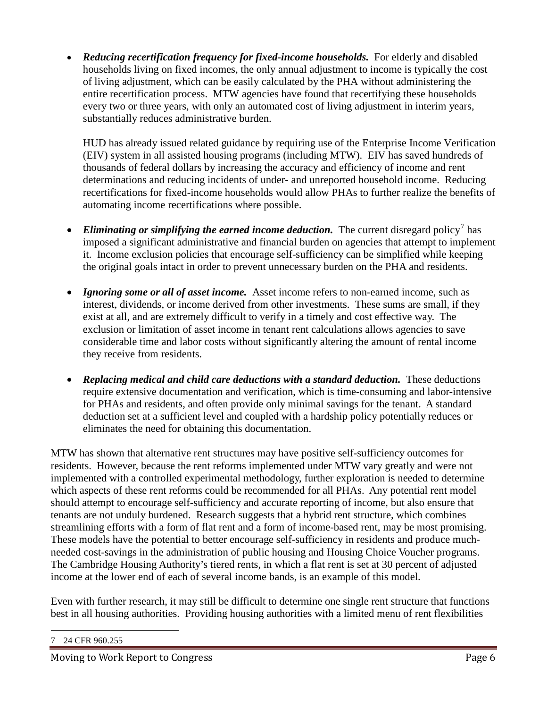• *Reducing recertification frequency for fixed-income households.* For elderly and disabled households living on fixed incomes, the only annual adjustment to income is typically the cost of living adjustment, which can be easily calculated by the PHA without administering the entire recertification process. MTW agencies have found that recertifying these households every two or three years, with only an automated cost of living adjustment in interim years, substantially reduces administrative burden.

HUD has already issued related guidance by requiring use of the Enterprise Income Verification (EIV) system in all assisted housing programs (including MTW). EIV has saved hundreds of thousands of federal dollars by increasing the accuracy and efficiency of income and rent determinations and reducing incidents of under- and unreported household income. Reducing recertifications for fixed-income households would allow PHAs to further realize the benefits of automating income recertifications where possible.

- *Eliminating or simplifying the earned income deduction*. The current disregard policy<sup>7</sup> has imposed a significant administrative and financial burden on agencies that attempt to implement it. Income exclusion policies that encourage self-sufficiency can be simplified while keeping the original goals intact in order to prevent unnecessary burden on the PHA and residents.
- *Ignoring some or all of asset income.* Asset income refers to non-earned income, such as interest, dividends, or income derived from other investments. These sums are small, if they exist at all, and are extremely difficult to verify in a timely and cost effective way. The exclusion or limitation of asset income in tenant rent calculations allows agencies to save considerable time and labor costs without significantly altering the amount of rental income they receive from residents.
- *Replacing medical and child care deductions with a standard deduction.* These deductions require extensive documentation and verification, which is time-consuming and labor-intensive for PHAs and residents, and often provide only minimal savings for the tenant. A standard deduction set at a sufficient level and coupled with a hardship policy potentially reduces or eliminates the need for obtaining this documentation.

MTW has shown that alternative rent structures may have positive self-sufficiency outcomes for residents. However, because the rent reforms implemented under MTW vary greatly and were not implemented with a controlled experimental methodology, further exploration is needed to determine which aspects of these rent reforms could be recommended for all PHAs. Any potential rent model should attempt to encourage self-sufficiency and accurate reporting of income, but also ensure that tenants are not unduly burdened. Research suggests that a hybrid rent structure, which combines streamlining efforts with a form of flat rent and a form of income-based rent, may be most promising. These models have the potential to better encourage self-sufficiency in residents and produce muchneeded cost-savings in the administration of public housing and Housing Choice Voucher programs. The Cambridge Housing Authority's tiered rents, in which a flat rent is set at 30 percent of adjusted income at the lower end of each of several income bands, is an example of this model.

Even with further research, it may still be difficult to determine one single rent structure that functions best in all housing authorities. Providing housing authorities with a limited menu of rent flexibilities

 <sup>7</sup> 24 CFR 960.255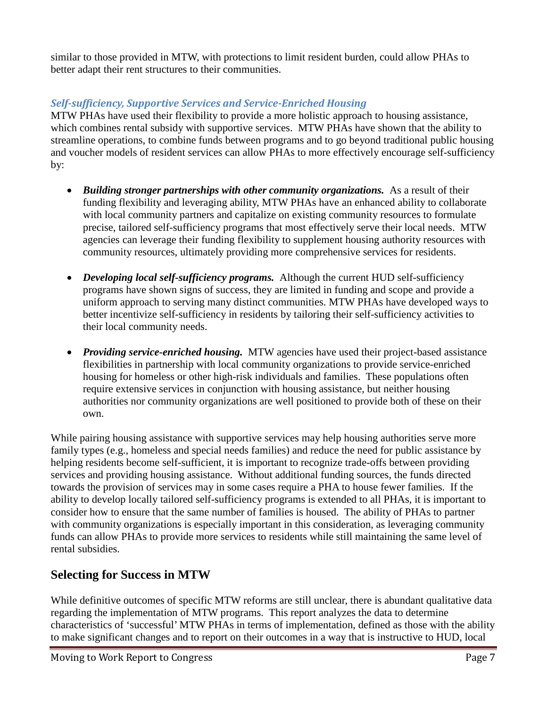similar to those provided in MTW, with protections to limit resident burden, could allow PHAs to better adapt their rent structures to their communities.

### *Self-sufficiency, Supportive Services and Service-Enriched Housing*

MTW PHAs have used their flexibility to provide a more holistic approach to housing assistance, which combines rental subsidy with supportive services. MTW PHAs have shown that the ability to streamline operations, to combine funds between programs and to go beyond traditional public housing and voucher models of resident services can allow PHAs to more effectively encourage self-sufficiency by:

- *Building stronger partnerships with other community organizations.* As a result of their funding flexibility and leveraging ability, MTW PHAs have an enhanced ability to collaborate with local community partners and capitalize on existing community resources to formulate precise, tailored self-sufficiency programs that most effectively serve their local needs. MTW agencies can leverage their funding flexibility to supplement housing authority resources with community resources, ultimately providing more comprehensive services for residents.
- *Developing local self-sufficiency programs.* Although the current HUD self-sufficiency programs have shown signs of success, they are limited in funding and scope and provide a uniform approach to serving many distinct communities. MTW PHAs have developed ways to better incentivize self-sufficiency in residents by tailoring their self-sufficiency activities to their local community needs.
- *Providing service-enriched housing.* MTW agencies have used their project-based assistance flexibilities in partnership with local community organizations to provide service-enriched housing for homeless or other high-risk individuals and families. These populations often require extensive services in conjunction with housing assistance, but neither housing authorities nor community organizations are well positioned to provide both of these on their own.

While pairing housing assistance with supportive services may help housing authorities serve more family types (e.g., homeless and special needs families) and reduce the need for public assistance by helping residents become self-sufficient, it is important to recognize trade-offs between providing services and providing housing assistance. Without additional funding sources, the funds directed towards the provision of services may in some cases require a PHA to house fewer families. If the ability to develop locally tailored self-sufficiency programs is extended to all PHAs, it is important to consider how to ensure that the same number of families is housed. The ability of PHAs to partner with community organizations is especially important in this consideration, as leveraging community funds can allow PHAs to provide more services to residents while still maintaining the same level of rental subsidies.

## **Selecting for Success in MTW**

While definitive outcomes of specific MTW reforms are still unclear, there is abundant qualitative data regarding the implementation of MTW programs. This report analyzes the data to determine characteristics of 'successful' MTW PHAs in terms of implementation, defined as those with the ability to make significant changes and to report on their outcomes in a way that is instructive to HUD, local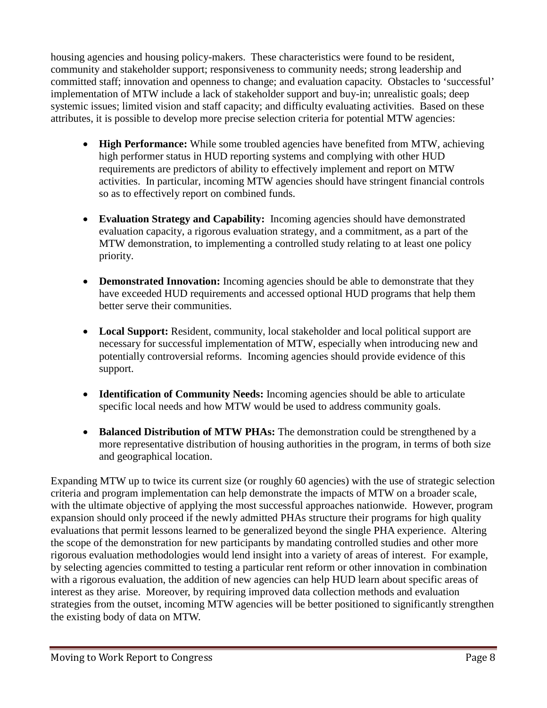housing agencies and housing policy-makers. These characteristics were found to be resident, community and stakeholder support; responsiveness to community needs; strong leadership and committed staff; innovation and openness to change; and evaluation capacity. Obstacles to 'successful' implementation of MTW include a lack of stakeholder support and buy-in; unrealistic goals; deep systemic issues; limited vision and staff capacity; and difficulty evaluating activities. Based on these attributes, it is possible to develop more precise selection criteria for potential MTW agencies:

- **High Performance:** While some troubled agencies have benefited from MTW, achieving high performer status in HUD reporting systems and complying with other HUD requirements are predictors of ability to effectively implement and report on MTW activities. In particular, incoming MTW agencies should have stringent financial controls so as to effectively report on combined funds.
- **Evaluation Strategy and Capability:** Incoming agencies should have demonstrated evaluation capacity, a rigorous evaluation strategy, and a commitment, as a part of the MTW demonstration, to implementing a controlled study relating to at least one policy priority.
- **Demonstrated Innovation:** Incoming agencies should be able to demonstrate that they have exceeded HUD requirements and accessed optional HUD programs that help them better serve their communities.
- Local Support: Resident, community, local stakeholder and local political support are necessary for successful implementation of MTW, especially when introducing new and potentially controversial reforms. Incoming agencies should provide evidence of this support.
- **Identification of Community Needs:** Incoming agencies should be able to articulate specific local needs and how MTW would be used to address community goals.
- **Balanced Distribution of MTW PHAs:** The demonstration could be strengthened by a more representative distribution of housing authorities in the program, in terms of both size and geographical location.

Expanding MTW up to twice its current size (or roughly 60 agencies) with the use of strategic selection criteria and program implementation can help demonstrate the impacts of MTW on a broader scale, with the ultimate objective of applying the most successful approaches nationwide. However, program expansion should only proceed if the newly admitted PHAs structure their programs for high quality evaluations that permit lessons learned to be generalized beyond the single PHA experience. Altering the scope of the demonstration for new participants by mandating controlled studies and other more rigorous evaluation methodologies would lend insight into a variety of areas of interest. For example, by selecting agencies committed to testing a particular rent reform or other innovation in combination with a rigorous evaluation, the addition of new agencies can help HUD learn about specific areas of interest as they arise. Moreover, by requiring improved data collection methods and evaluation strategies from the outset, incoming MTW agencies will be better positioned to significantly strengthen the existing body of data on MTW.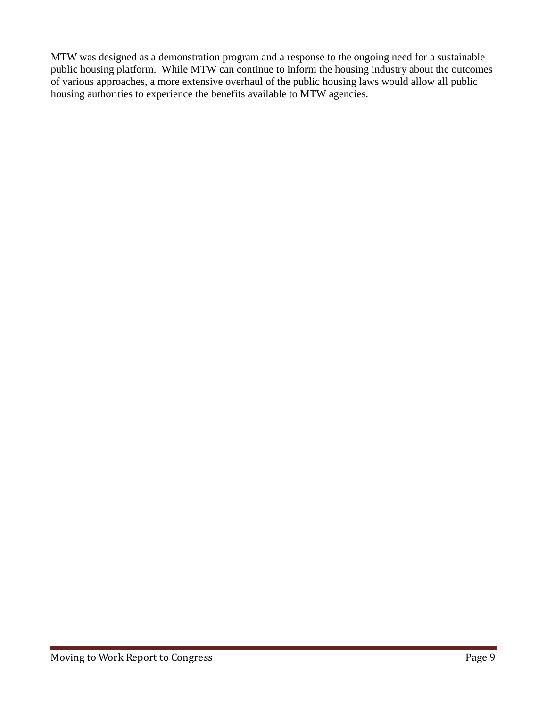MTW was designed as a demonstration program and a response to the ongoing need for a sustainable public housing platform. While MTW can continue to inform the housing industry about the outcomes of various approaches, a more extensive overhaul of the public housing laws would allow all public housing authorities to experience the benefits available to MTW agencies.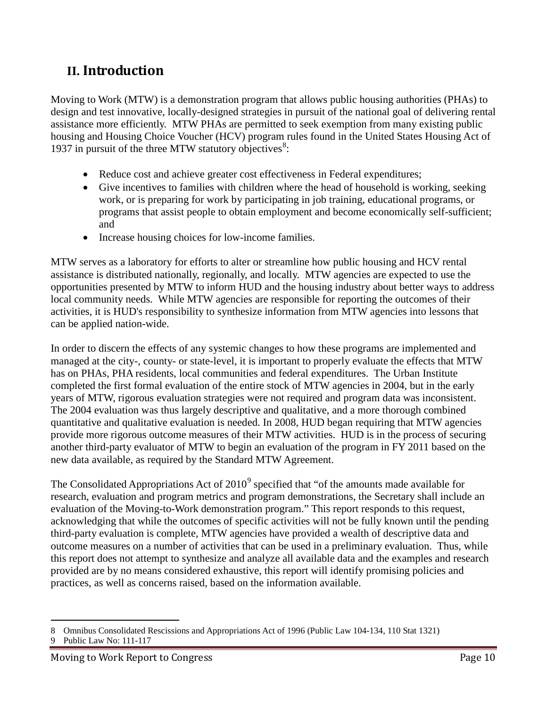## **II. Introduction**

Moving to Work (MTW) is a demonstration program that allows public housing authorities (PHAs) to design and test innovative, locally-designed strategies in pursuit of the national goal of delivering rental assistance more efficiently. MTW PHAs are permitted to seek exemption from many existing public housing and Housing Choice Voucher (HCV) program rules found in the United States Housing Act of 1937 in pursuit of the three MTW statutory objectives<sup>8</sup>:

- Reduce cost and achieve greater cost effectiveness in Federal expenditures;
- Give incentives to families with children where the head of household is working, seeking work, or is preparing for work by participating in job training, educational programs, or programs that assist people to obtain employment and become economically self-sufficient; and
- Increase housing choices for low-income families.

MTW serves as a laboratory for efforts to alter or streamline how public housing and HCV rental assistance is distributed nationally, regionally, and locally. MTW agencies are expected to use the opportunities presented by MTW to inform HUD and the housing industry about better ways to address local community needs. While MTW agencies are responsible for reporting the outcomes of their activities, it is HUD's responsibility to synthesize information from MTW agencies into lessons that can be applied nation-wide.

In order to discern the effects of any systemic changes to how these programs are implemented and managed at the city-, county- or state-level, it is important to properly evaluate the effects that MTW has on PHAs, PHA residents, local communities and federal expenditures. The Urban Institute completed the first formal evaluation of the entire stock of MTW agencies in 2004, but in the early years of MTW, rigorous evaluation strategies were not required and program data was inconsistent. The 2004 evaluation was thus largely descriptive and qualitative, and a more thorough combined quantitative and qualitative evaluation is needed. In 2008, HUD began requiring that MTW agencies provide more rigorous outcome measures of their MTW activities. HUD is in the process of securing another third-party evaluator of MTW to begin an evaluation of the program in FY 2011 based on the new data available, as required by the Standard MTW Agreement.

The Consolidated Appropriations Act of  $2010<sup>9</sup>$  specified that "of the amounts made available for research, evaluation and program metrics and program demonstrations, the Secretary shall include an evaluation of the Moving-to-Work demonstration program." This report responds to this request, acknowledging that while the outcomes of specific activities will not be fully known until the pending third-party evaluation is complete, MTW agencies have provided a wealth of descriptive data and outcome measures on a number of activities that can be used in a preliminary evaluation. Thus, while this report does not attempt to synthesize and analyze all available data and the examples and research provided are by no means considered exhaustive, this report will identify promising policies and practices, as well as concerns raised, based on the information available.

 $\overline{a}$ 8 Omnibus Consolidated Rescissions and Appropriations Act of 1996 (Public Law 104-134, 110 Stat 1321)

<sup>9</sup> Public Law No: 111-117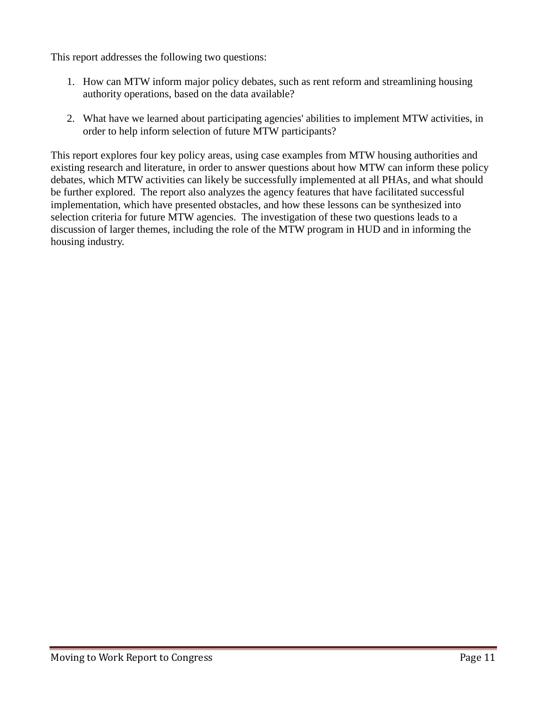This report addresses the following two questions:

- 1. How can MTW inform major policy debates, such as rent reform and streamlining housing authority operations, based on the data available?
- 2. What have we learned about participating agencies' abilities to implement MTW activities, in order to help inform selection of future MTW participants?

This report explores four key policy areas, using case examples from MTW housing authorities and existing research and literature, in order to answer questions about how MTW can inform these policy debates, which MTW activities can likely be successfully implemented at all PHAs, and what should be further explored. The report also analyzes the agency features that have facilitated successful implementation, which have presented obstacles, and how these lessons can be synthesized into selection criteria for future MTW agencies. The investigation of these two questions leads to a discussion of larger themes, including the role of the MTW program in HUD and in informing the housing industry.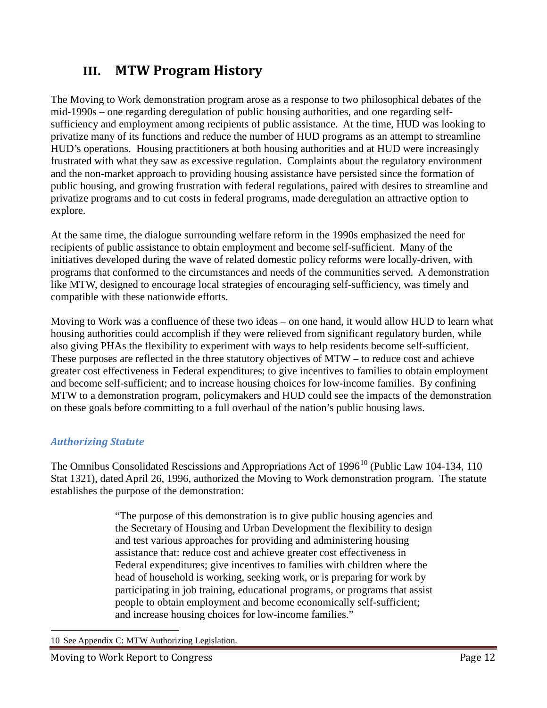## **III. MTW Program History**

The Moving to Work demonstration program arose as a response to two philosophical debates of the mid-1990s – one regarding deregulation of public housing authorities, and one regarding selfsufficiency and employment among recipients of public assistance. At the time, HUD was looking to privatize many of its functions and reduce the number of HUD programs as an attempt to streamline HUD's operations. Housing practitioners at both housing authorities and at HUD were increasingly frustrated with what they saw as excessive regulation. Complaints about the regulatory environment and the non-market approach to providing housing assistance have persisted since the formation of public housing, and growing frustration with federal regulations, paired with desires to streamline and privatize programs and to cut costs in federal programs, made deregulation an attractive option to explore.

At the same time, the dialogue surrounding welfare reform in the 1990s emphasized the need for recipients of public assistance to obtain employment and become self-sufficient. Many of the initiatives developed during the wave of related domestic policy reforms were locally-driven, with programs that conformed to the circumstances and needs of the communities served. A demonstration like MTW, designed to encourage local strategies of encouraging self-sufficiency, was timely and compatible with these nationwide efforts.

Moving to Work was a confluence of these two ideas – on one hand, it would allow HUD to learn what housing authorities could accomplish if they were relieved from significant regulatory burden, while also giving PHAs the flexibility to experiment with ways to help residents become self-sufficient. These purposes are reflected in the three statutory objectives of MTW – to reduce cost and achieve greater cost effectiveness in Federal expenditures; to give incentives to families to obtain employment and become self-sufficient; and to increase housing choices for low-income families. By confining MTW to a demonstration program, policymakers and HUD could see the impacts of the demonstration on these goals before committing to a full overhaul of the nation's public housing laws.

#### *Authorizing Statute*

The Omnibus Consolidated Rescissions and Appropriations Act of  $1996<sup>10</sup>$  (Public Law 104-134, 110) Stat 1321), dated April 26, 1996, authorized the Moving to Work demonstration program. The statute establishes the purpose of the demonstration:

> "The purpose of this demonstration is to give public housing agencies and the Secretary of Housing and Urban Development the flexibility to design and test various approaches for providing and administering housing assistance that: reduce cost and achieve greater cost effectiveness in Federal expenditures; give incentives to families with children where the head of household is working, seeking work, or is preparing for work by participating in job training, educational programs, or programs that assist people to obtain employment and become economically self-sufficient; and increase housing choices for low-income families."

 <sup>10</sup> See Appendix C: MTW Authorizing Legislation.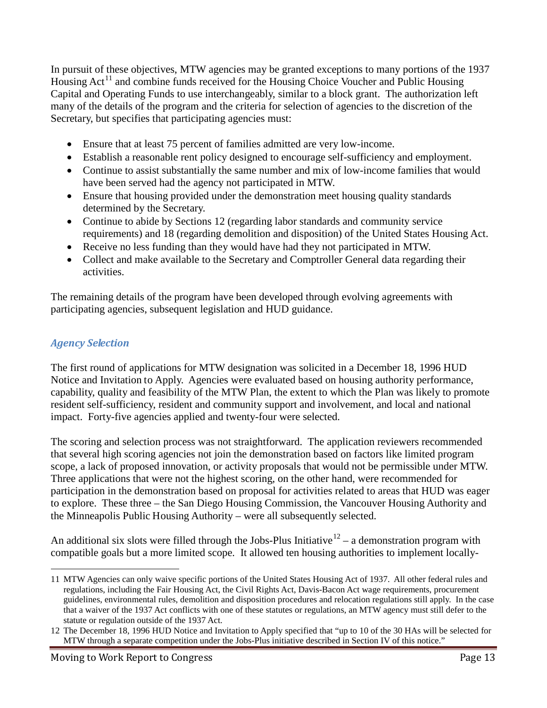In pursuit of these objectives, MTW agencies may be granted exceptions to many portions of the 1937 Housing  $Act<sup>11</sup>$  and combine funds received for the Housing Choice Voucher and Public Housing Capital and Operating Funds to use interchangeably, similar to a block grant. The authorization left many of the details of the program and the criteria for selection of agencies to the discretion of the Secretary, but specifies that participating agencies must:

- Ensure that at least 75 percent of families admitted are very low-income.
- Establish a reasonable rent policy designed to encourage self-sufficiency and employment.
- Continue to assist substantially the same number and mix of low-income families that would have been served had the agency not participated in MTW.
- Ensure that housing provided under the demonstration meet housing quality standards determined by the Secretary.
- Continue to abide by Sections 12 (regarding labor standards and community service requirements) and 18 (regarding demolition and disposition) of the United States Housing Act.
- Receive no less funding than they would have had they not participated in MTW.
- Collect and make available to the Secretary and Comptroller General data regarding their activities.

The remaining details of the program have been developed through evolving agreements with participating agencies, subsequent legislation and HUD guidance.

#### *Agency Selection*

The first round of applications for MTW designation was solicited in a December 18, 1996 HUD Notice and Invitation to Apply. Agencies were evaluated based on housing authority performance, capability, quality and feasibility of the MTW Plan, the extent to which the Plan was likely to promote resident self-sufficiency, resident and community support and involvement, and local and national impact. Forty-five agencies applied and twenty-four were selected.

The scoring and selection process was not straightforward. The application reviewers recommended that several high scoring agencies not join the demonstration based on factors like limited program scope, a lack of proposed innovation, or activity proposals that would not be permissible under MTW. Three applications that were not the highest scoring, on the other hand, were recommended for participation in the demonstration based on proposal for activities related to areas that HUD was eager to explore. These three – the San Diego Housing Commission, the Vancouver Housing Authority and the Minneapolis Public Housing Authority – were all subsequently selected.

An additional six slots were filled through the Jobs-Plus Initiative  $12 - a$  demonstration program with compatible goals but a more limited scope. It allowed ten housing authorities to implement locally-

 $\overline{a}$ 11 MTW Agencies can only waive specific portions of the United States Housing Act of 1937. All other federal rules and regulations, including the Fair Housing Act, the Civil Rights Act, Davis-Bacon Act wage requirements, procurement guidelines, environmental rules, demolition and disposition procedures and relocation regulations still apply. In the case that a waiver of the 1937 Act conflicts with one of these statutes or regulations, an MTW agency must still defer to the statute or regulation outside of the 1937 Act.

<sup>12</sup> The December 18, 1996 HUD Notice and Invitation to Apply specified that "up to 10 of the 30 HAs will be selected for MTW through a separate competition under the Jobs-Plus initiative described in Section IV of this notice."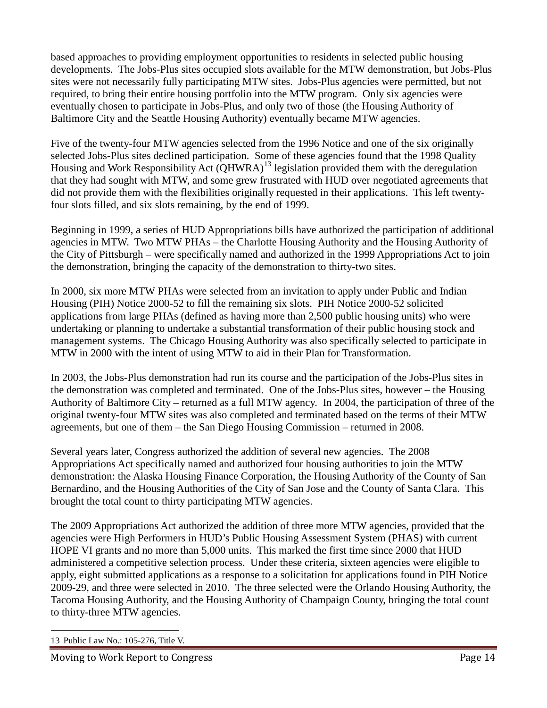based approaches to providing employment opportunities to residents in selected public housing developments. The Jobs-Plus sites occupied slots available for the MTW demonstration, but Jobs-Plus sites were not necessarily fully participating MTW sites. Jobs-Plus agencies were permitted, but not required, to bring their entire housing portfolio into the MTW program. Only six agencies were eventually chosen to participate in Jobs-Plus, and only two of those (the Housing Authority of Baltimore City and the Seattle Housing Authority) eventually became MTW agencies.

Five of the twenty-four MTW agencies selected from the 1996 Notice and one of the six originally selected Jobs-Plus sites declined participation. Some of these agencies found that the 1998 Quality Housing and Work Responsibility Act (QHWRA)<sup>13</sup> legislation provided them with the deregulation that they had sought with MTW, and some grew frustrated with HUD over negotiated agreements that did not provide them with the flexibilities originally requested in their applications. This left twentyfour slots filled, and six slots remaining, by the end of 1999.

Beginning in 1999, a series of HUD Appropriations bills have authorized the participation of additional agencies in MTW. Two MTW PHAs – the Charlotte Housing Authority and the Housing Authority of the City of Pittsburgh – were specifically named and authorized in the 1999 Appropriations Act to join the demonstration, bringing the capacity of the demonstration to thirty-two sites.

In 2000, six more MTW PHAs were selected from an invitation to apply under Public and Indian Housing (PIH) Notice 2000-52 to fill the remaining six slots. PIH Notice 2000-52 solicited applications from large PHAs (defined as having more than 2,500 public housing units) who were undertaking or planning to undertake a substantial transformation of their public housing stock and management systems. The Chicago Housing Authority was also specifically selected to participate in MTW in 2000 with the intent of using MTW to aid in their Plan for Transformation.

In 2003, the Jobs-Plus demonstration had run its course and the participation of the Jobs-Plus sites in the demonstration was completed and terminated. One of the Jobs-Plus sites, however – the Housing Authority of Baltimore City – returned as a full MTW agency. In 2004, the participation of three of the original twenty-four MTW sites was also completed and terminated based on the terms of their MTW agreements, but one of them – the San Diego Housing Commission – returned in 2008.

Several years later, Congress authorized the addition of several new agencies. The 2008 Appropriations Act specifically named and authorized four housing authorities to join the MTW demonstration: the Alaska Housing Finance Corporation, the Housing Authority of the County of San Bernardino, and the Housing Authorities of the City of San Jose and the County of Santa Clara. This brought the total count to thirty participating MTW agencies.

The 2009 Appropriations Act authorized the addition of three more MTW agencies, provided that the agencies were High Performers in HUD's Public Housing Assessment System (PHAS) with current HOPE VI grants and no more than 5,000 units. This marked the first time since 2000 that HUD administered a competitive selection process. Under these criteria, sixteen agencies were eligible to apply, eight submitted applications as a response to a solicitation for applications found in PIH Notice 2009-29, and three were selected in 2010. The three selected were the Orlando Housing Authority, the Tacoma Housing Authority, and the Housing Authority of Champaign County, bringing the total count to thirty-three MTW agencies.

 <sup>13</sup> Public Law No.: 105-276, Title V.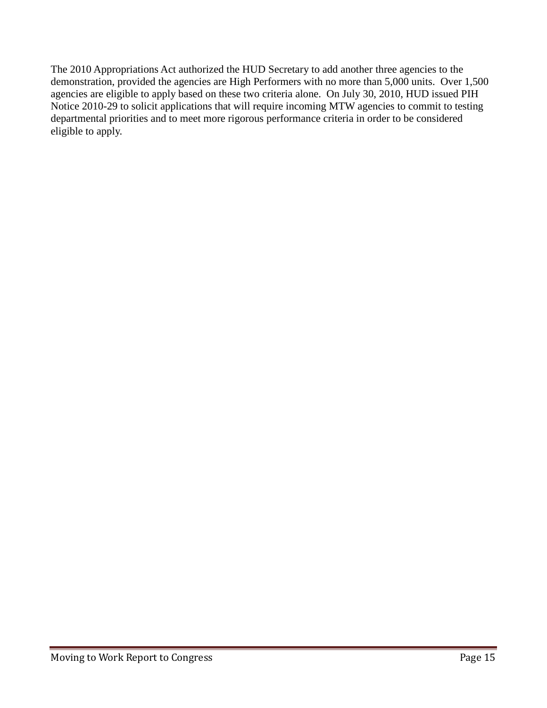The 2010 Appropriations Act authorized the HUD Secretary to add another three agencies to the demonstration, provided the agencies are High Performers with no more than 5,000 units. Over 1,500 agencies are eligible to apply based on these two criteria alone. On July 30, 2010, HUD issued PIH Notice 2010-29 to solicit applications that will require incoming MTW agencies to commit to testing departmental priorities and to meet more rigorous performance criteria in order to be considered eligible to apply.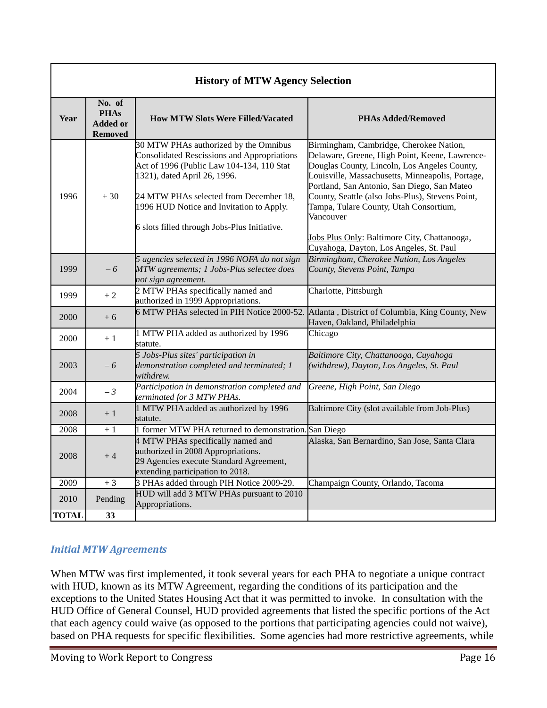| <b>History of MTW Agency Selection</b> |                                                            |                                                                                                                                                                                                                                                                |                                                                                                                                                                                                                                                                                                                                                         |  |  |
|----------------------------------------|------------------------------------------------------------|----------------------------------------------------------------------------------------------------------------------------------------------------------------------------------------------------------------------------------------------------------------|---------------------------------------------------------------------------------------------------------------------------------------------------------------------------------------------------------------------------------------------------------------------------------------------------------------------------------------------------------|--|--|
| Year                                   | No. of<br><b>PHAs</b><br><b>Added or</b><br><b>Removed</b> | <b>How MTW Slots Were Filled/Vacated</b>                                                                                                                                                                                                                       | <b>PHAs Added/Removed</b>                                                                                                                                                                                                                                                                                                                               |  |  |
| 1996                                   | $+30$                                                      | 30 MTW PHAs authorized by the Omnibus<br><b>Consolidated Rescissions and Appropriations</b><br>Act of 1996 (Public Law 104-134, 110 Stat<br>1321), dated April 26, 1996.<br>24 MTW PHAs selected from December 18,<br>1996 HUD Notice and Invitation to Apply. | Birmingham, Cambridge, Cherokee Nation,<br>Delaware, Greene, High Point, Keene, Lawrence-<br>Douglas County, Lincoln, Los Angeles County,<br>Louisville, Massachusetts, Minneapolis, Portage,<br>Portland, San Antonio, San Diego, San Mateo<br>County, Seattle (also Jobs-Plus), Stevens Point,<br>Tampa, Tulare County, Utah Consortium,<br>Vancouver |  |  |
|                                        |                                                            | 6 slots filled through Jobs-Plus Initiative.                                                                                                                                                                                                                   | Jobs Plus Only: Baltimore City, Chattanooga,<br>Cuyahoga, Dayton, Los Angeles, St. Paul                                                                                                                                                                                                                                                                 |  |  |
| 1999                                   | $-6$                                                       | 5 agencies selected in 1996 NOFA do not sign<br>MTW agreements; 1 Jobs-Plus selectee does<br>not sign agreement.                                                                                                                                               | Birmingham, Cherokee Nation, Los Angeles<br>County, Stevens Point, Tampa                                                                                                                                                                                                                                                                                |  |  |
| 1999                                   | $+2$                                                       | 2 MTW PHAs specifically named and<br>authorized in 1999 Appropriations.                                                                                                                                                                                        | Charlotte, Pittsburgh                                                                                                                                                                                                                                                                                                                                   |  |  |
| 2000                                   | $+6$                                                       | 6 MTW PHAs selected in PIH Notice 2000-52.                                                                                                                                                                                                                     | Atlanta, District of Columbia, King County, New<br>Haven, Oakland, Philadelphia                                                                                                                                                                                                                                                                         |  |  |
| 2000                                   | $+1$                                                       | 1 MTW PHA added as authorized by 1996<br>statute.                                                                                                                                                                                                              | Chicago                                                                                                                                                                                                                                                                                                                                                 |  |  |
| 2003                                   | $-6$                                                       | 5 Jobs-Plus sites' participation in<br>demonstration completed and terminated; 1<br>withdrew.                                                                                                                                                                  | Baltimore City, Chattanooga, Cuyahoga<br>(withdrew), Dayton, Los Angeles, St. Paul                                                                                                                                                                                                                                                                      |  |  |
| 2004                                   | $-3$                                                       | Participation in demonstration completed and<br>terminated for 3 MTW PHAs.                                                                                                                                                                                     | Greene, High Point, San Diego                                                                                                                                                                                                                                                                                                                           |  |  |
| 2008                                   | $+1$                                                       | 1 MTW PHA added as authorized by 1996<br>statute.                                                                                                                                                                                                              | Baltimore City (slot available from Job-Plus)                                                                                                                                                                                                                                                                                                           |  |  |
| 2008                                   | $+1$                                                       | 1 former MTW PHA returned to demonstration. San Diego                                                                                                                                                                                                          |                                                                                                                                                                                                                                                                                                                                                         |  |  |
| 2008                                   | $+4$                                                       | 4 MTW PHAs specifically named and<br>authorized in 2008 Appropriations.<br>29 Agencies execute Standard Agreement,<br>extending participation to 2018.                                                                                                         | Alaska, San Bernardino, San Jose, Santa Clara                                                                                                                                                                                                                                                                                                           |  |  |
| 2009                                   | $+3$                                                       | 3 PHAs added through PIH Notice 2009-29.                                                                                                                                                                                                                       | Champaign County, Orlando, Tacoma                                                                                                                                                                                                                                                                                                                       |  |  |
| 2010                                   | Pending                                                    | HUD will add 3 MTW PHAs pursuant to 2010<br>Appropriations.                                                                                                                                                                                                    |                                                                                                                                                                                                                                                                                                                                                         |  |  |
| <b>TOTAL</b>                           | 33                                                         |                                                                                                                                                                                                                                                                |                                                                                                                                                                                                                                                                                                                                                         |  |  |

## *Initial MTW Agreements*

When MTW was first implemented, it took several years for each PHA to negotiate a unique contract with HUD, known as its MTW Agreement, regarding the conditions of its participation and the exceptions to the United States Housing Act that it was permitted to invoke. In consultation with the HUD Office of General Counsel, HUD provided agreements that listed the specific portions of the Act that each agency could waive (as opposed to the portions that participating agencies could not waive), based on PHA requests for specific flexibilities. Some agencies had more restrictive agreements, while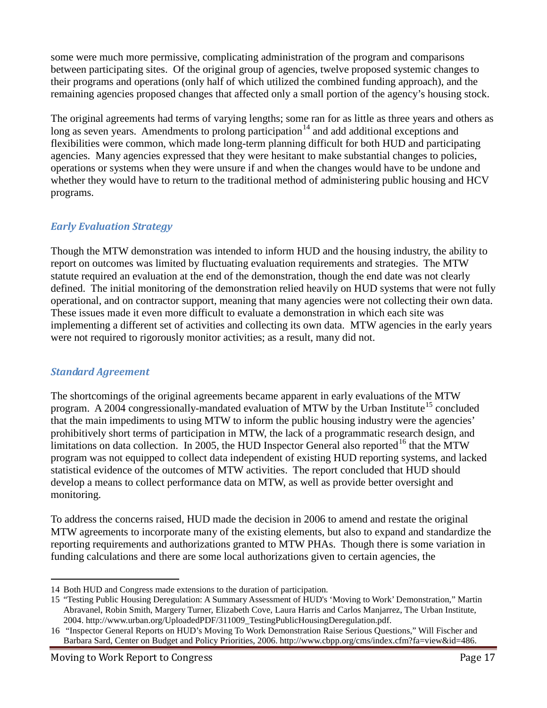some were much more permissive, complicating administration of the program and comparisons between participating sites. Of the original group of agencies, twelve proposed systemic changes to their programs and operations (only half of which utilized the combined funding approach), and the remaining agencies proposed changes that affected only a small portion of the agency's housing stock.

The original agreements had terms of varying lengths; some ran for as little as three years and others as long as seven years. Amendments to prolong participation<sup>14</sup> and add additional exceptions and flexibilities were common, which made long-term planning difficult for both HUD and participating agencies. Many agencies expressed that they were hesitant to make substantial changes to policies, operations or systems when they were unsure if and when the changes would have to be undone and whether they would have to return to the traditional method of administering public housing and HCV programs.

#### *Early Evaluation Strategy*

Though the MTW demonstration was intended to inform HUD and the housing industry, the ability to report on outcomes was limited by fluctuating evaluation requirements and strategies. The MTW statute required an evaluation at the end of the demonstration, though the end date was not clearly defined. The initial monitoring of the demonstration relied heavily on HUD systems that were not fully operational, and on contractor support, meaning that many agencies were not collecting their own data. These issues made it even more difficult to evaluate a demonstration in which each site was implementing a different set of activities and collecting its own data. MTW agencies in the early years were not required to rigorously monitor activities; as a result, many did not.

#### *Standard Agreement*

The shortcomings of the original agreements became apparent in early evaluations of the MTW program. A 2004 congressionally-mandated evaluation of MTW by the Urban Institute<sup>15</sup> concluded that the main impediments to using MTW to inform the public housing industry were the agencies' prohibitively short terms of participation in MTW, the lack of a programmatic research design, and limitations on data collection. In 2005, the HUD Inspector General also reported<sup>16</sup> that the MTW program was not equipped to collect data independent of existing HUD reporting systems, and lacked statistical evidence of the outcomes of MTW activities. The report concluded that HUD should develop a means to collect performance data on MTW, as well as provide better oversight and monitoring.

To address the concerns raised, HUD made the decision in 2006 to amend and restate the original MTW agreements to incorporate many of the existing elements, but also to expand and standardize the reporting requirements and authorizations granted to MTW PHAs. Though there is some variation in funding calculations and there are some local authorizations given to certain agencies, the

 $\overline{a}$ 14 Both HUD and Congress made extensions to the duration of participation.

<sup>15</sup> "Testing Public Housing Deregulation: A Summary Assessment of HUD's 'Moving to Work' Demonstration," Martin Abravanel, Robin Smith, Margery Turner, Elizabeth Cove, Laura Harris and Carlos Manjarrez, The Urban Institute, 2004. http://www.urban.org/UploadedPDF/311009\_TestingPublicHousingDeregulation.pdf.

<sup>16</sup> "Inspector General Reports on HUD's Moving To Work Demonstration Raise Serious Questions," Will Fischer and Barbara Sard, Center on Budget and Policy Priorities, 2006. http://www.cbpp.org/cms/index.cfm?fa=view&id=486.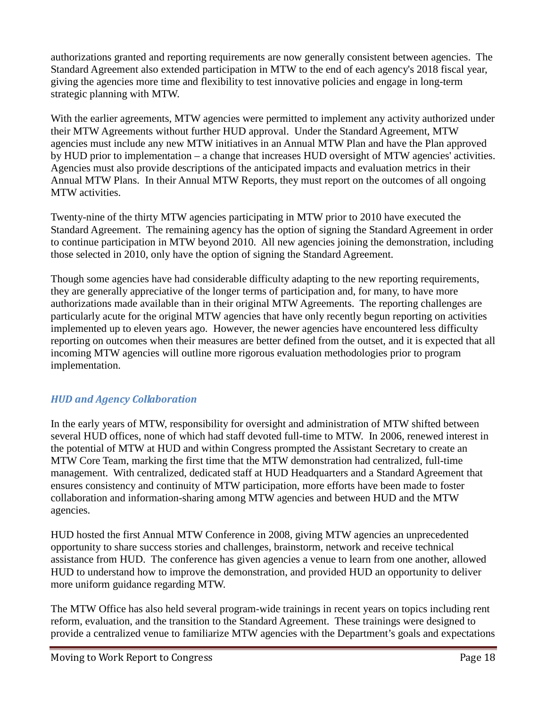authorizations granted and reporting requirements are now generally consistent between agencies. The Standard Agreement also extended participation in MTW to the end of each agency's 2018 fiscal year, giving the agencies more time and flexibility to test innovative policies and engage in long-term strategic planning with MTW.

With the earlier agreements, MTW agencies were permitted to implement any activity authorized under their MTW Agreements without further HUD approval. Under the Standard Agreement, MTW agencies must include any new MTW initiatives in an Annual MTW Plan and have the Plan approved by HUD prior to implementation – a change that increases HUD oversight of MTW agencies' activities. Agencies must also provide descriptions of the anticipated impacts and evaluation metrics in their Annual MTW Plans. In their Annual MTW Reports, they must report on the outcomes of all ongoing MTW activities.

Twenty-nine of the thirty MTW agencies participating in MTW prior to 2010 have executed the Standard Agreement. The remaining agency has the option of signing the Standard Agreement in order to continue participation in MTW beyond 2010. All new agencies joining the demonstration, including those selected in 2010, only have the option of signing the Standard Agreement.

Though some agencies have had considerable difficulty adapting to the new reporting requirements, they are generally appreciative of the longer terms of participation and, for many, to have more authorizations made available than in their original MTW Agreements. The reporting challenges are particularly acute for the original MTW agencies that have only recently begun reporting on activities implemented up to eleven years ago. However, the newer agencies have encountered less difficulty reporting on outcomes when their measures are better defined from the outset, and it is expected that all incoming MTW agencies will outline more rigorous evaluation methodologies prior to program implementation.

#### *HUD and Agency Collaboration*

In the early years of MTW, responsibility for oversight and administration of MTW shifted between several HUD offices, none of which had staff devoted full-time to MTW. In 2006, renewed interest in the potential of MTW at HUD and within Congress prompted the Assistant Secretary to create an MTW Core Team, marking the first time that the MTW demonstration had centralized, full-time management. With centralized, dedicated staff at HUD Headquarters and a Standard Agreement that ensures consistency and continuity of MTW participation, more efforts have been made to foster collaboration and information-sharing among MTW agencies and between HUD and the MTW agencies.

HUD hosted the first Annual MTW Conference in 2008, giving MTW agencies an unprecedented opportunity to share success stories and challenges, brainstorm, network and receive technical assistance from HUD. The conference has given agencies a venue to learn from one another, allowed HUD to understand how to improve the demonstration, and provided HUD an opportunity to deliver more uniform guidance regarding MTW.

The MTW Office has also held several program-wide trainings in recent years on topics including rent reform, evaluation, and the transition to the Standard Agreement. These trainings were designed to provide a centralized venue to familiarize MTW agencies with the Department's goals and expectations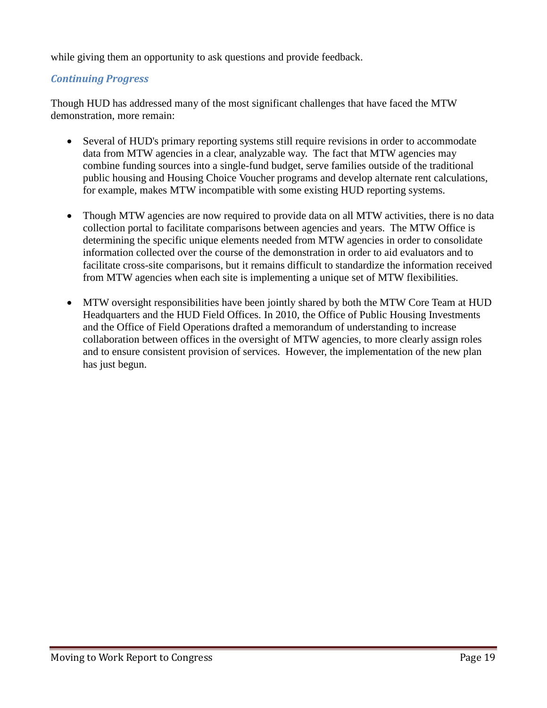while giving them an opportunity to ask questions and provide feedback.

#### *Continuing Progress*

Though HUD has addressed many of the most significant challenges that have faced the MTW demonstration, more remain:

- Several of HUD's primary reporting systems still require revisions in order to accommodate data from MTW agencies in a clear, analyzable way. The fact that MTW agencies may combine funding sources into a single-fund budget, serve families outside of the traditional public housing and Housing Choice Voucher programs and develop alternate rent calculations, for example, makes MTW incompatible with some existing HUD reporting systems.
- Though MTW agencies are now required to provide data on all MTW activities, there is no data collection portal to facilitate comparisons between agencies and years. The MTW Office is determining the specific unique elements needed from MTW agencies in order to consolidate information collected over the course of the demonstration in order to aid evaluators and to facilitate cross-site comparisons, but it remains difficult to standardize the information received from MTW agencies when each site is implementing a unique set of MTW flexibilities.
- MTW oversight responsibilities have been jointly shared by both the MTW Core Team at HUD Headquarters and the HUD Field Offices. In 2010, the Office of Public Housing Investments and the Office of Field Operations drafted a memorandum of understanding to increase collaboration between offices in the oversight of MTW agencies, to more clearly assign roles and to ensure consistent provision of services. However, the implementation of the new plan has just begun.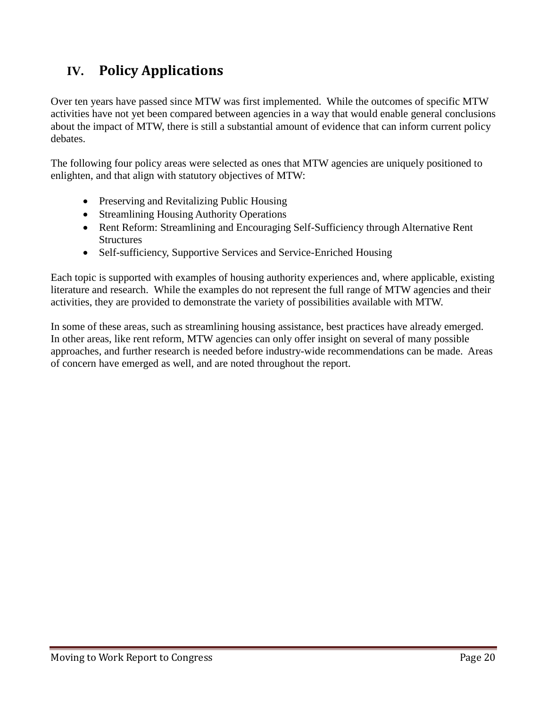## **IV. Policy Applications**

Over ten years have passed since MTW was first implemented. While the outcomes of specific MTW activities have not yet been compared between agencies in a way that would enable general conclusions about the impact of MTW, there is still a substantial amount of evidence that can inform current policy debates.

The following four policy areas were selected as ones that MTW agencies are uniquely positioned to enlighten, and that align with statutory objectives of MTW:

- Preserving and Revitalizing Public Housing
- Streamlining Housing Authority Operations
- Rent Reform: Streamlining and Encouraging Self-Sufficiency through Alternative Rent **Structures**
- Self-sufficiency, Supportive Services and Service-Enriched Housing

Each topic is supported with examples of housing authority experiences and, where applicable, existing literature and research. While the examples do not represent the full range of MTW agencies and their activities, they are provided to demonstrate the variety of possibilities available with MTW.

In some of these areas, such as streamlining housing assistance, best practices have already emerged. In other areas, like rent reform, MTW agencies can only offer insight on several of many possible approaches, and further research is needed before industry-wide recommendations can be made. Areas of concern have emerged as well, and are noted throughout the report.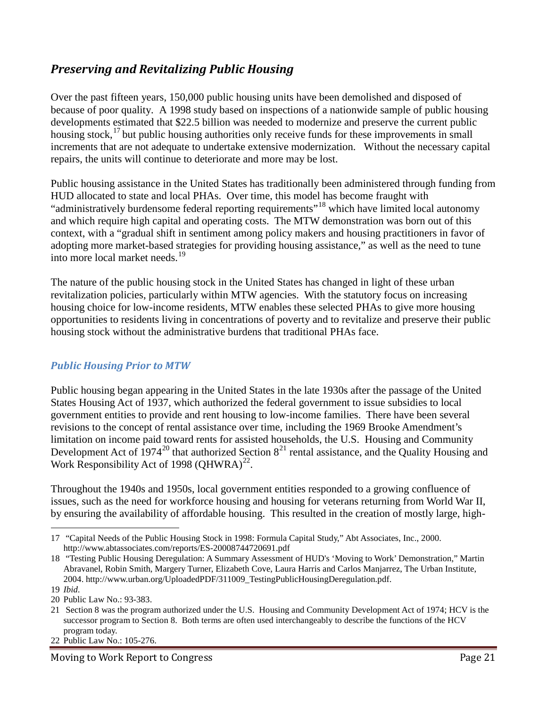## *Preserving and Revitalizing Public Housing*

Over the past fifteen years, 150,000 public housing units have been demolished and disposed of because of poor quality. A 1998 study based on inspections of a nationwide sample of public housing developments estimated that \$22.5 billion was needed to modernize and preserve the current public housing stock,  $17$  but public housing authorities only receive funds for these improvements in small increments that are not adequate to undertake extensive modernization. Without the necessary capital repairs, the units will continue to deteriorate and more may be lost.

Public housing assistance in the United States has traditionally been administered through funding from HUD allocated to state and local PHAs. Over time, this model has become fraught with "administratively burdensome federal reporting requirements"<sup>18</sup> which have limited local autonomy and which require high capital and operating costs. The MTW demonstration was born out of this context, with a "gradual shift in sentiment among policy makers and housing practitioners in favor of adopting more market-based strategies for providing housing assistance," as well as the need to tune into more local market needs.<sup>19</sup>

The nature of the public housing stock in the United States has changed in light of these urban revitalization policies, particularly within MTW agencies. With the statutory focus on increasing housing choice for low-income residents, MTW enables these selected PHAs to give more housing opportunities to residents living in concentrations of poverty and to revitalize and preserve their public housing stock without the administrative burdens that traditional PHAs face.

#### *Public Housing Prior to MTW*

Public housing began appearing in the United States in the late 1930s after the passage of the United States Housing Act of 1937, which authorized the federal government to issue subsidies to local government entities to provide and rent housing to low-income families. There have been several revisions to the concept of rental assistance over time, including the 1969 Brooke Amendment's limitation on income paid toward rents for assisted households, the U.S. Housing and Community Development Act of 1974<sup>20</sup> that authorized Section  $8^{21}$  rental assistance, and the Quality Housing and Work Responsibility Act of 1998 (QHWRA)<sup>22</sup>.

Throughout the 1940s and 1950s, local government entities responded to a growing confluence of issues, such as the need for workforce housing and housing for veterans returning from World War II, by ensuring the availability of affordable housing. This resulted in the creation of mostly large, high-

 $\overline{a}$ 17 "Capital Needs of the Public Housing Stock in 1998: Formula Capital Study," Abt Associates, Inc., 2000. http://www.abtassociates.com/reports/ES-20008744720691.pdf

<sup>18</sup> "Testing Public Housing Deregulation: A Summary Assessment of HUD's 'Moving to Work' Demonstration," Martin Abravanel, Robin Smith, Margery Turner, Elizabeth Cove, Laura Harris and Carlos Manjarrez, The Urban Institute, 2004. http://www.urban.org/UploadedPDF/311009\_TestingPublicHousingDeregulation.pdf.

<sup>19</sup> *Ibid.*

<sup>20</sup> Public Law No.: 93-383.

<sup>21</sup> Section 8 was the program authorized under the U.S. Housing and Community Development Act of 1974; HCV is the successor program to Section 8. Both terms are often used interchangeably to describe the functions of the HCV program today.

<sup>22</sup> Public Law No.: 105-276.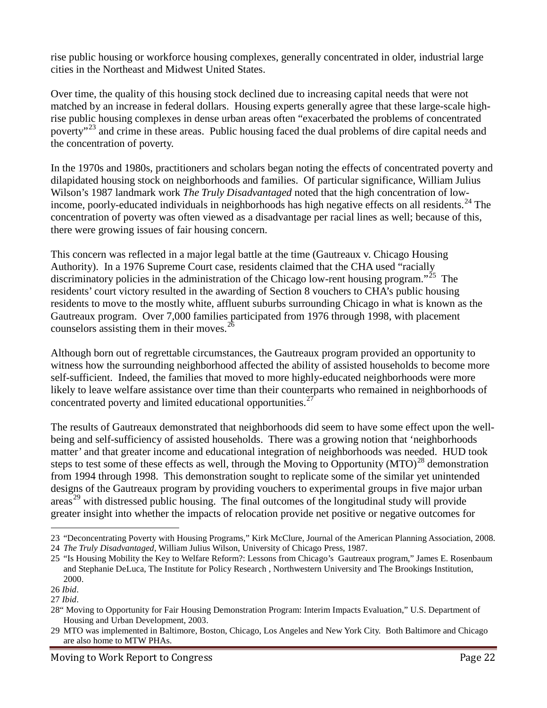rise public housing or workforce housing complexes, generally concentrated in older, industrial large cities in the Northeast and Midwest United States.

Over time, the quality of this housing stock declined due to increasing capital needs that were not matched by an increase in federal dollars. Housing experts generally agree that these large-scale highrise public housing complexes in dense urban areas often "exacerbated the problems of concentrated poverty"<sup>23</sup> and crime in these areas. Public housing faced the dual problems of dire capital needs and the concentration of poverty.

In the 1970s and 1980s, practitioners and scholars began noting the effects of concentrated poverty and dilapidated housing stock on neighborhoods and families. Of particular significance, William Julius Wilson's 1987 landmark work *The Truly Disadvantaged* noted that the high concentration of lowincome, poorly-educated individuals in neighborhoods has high negative effects on all residents.<sup>24</sup> The concentration of poverty was often viewed as a disadvantage per racial lines as well; because of this, there were growing issues of fair housing concern.

This concern was reflected in a major legal battle at the time (Gautreaux v. Chicago Housing Authority). In a 1976 Supreme Court case, residents claimed that the CHA used "racially discriminatory policies in the administration of the Chicago low-rent housing program."<sup>25</sup> The residents' court victory resulted in the awarding of Section 8 vouchers to CHA's public housing residents to move to the mostly white, affluent suburbs surrounding Chicago in what is known as the Gautreaux program. Over 7,000 families participated from 1976 through 1998, with placement counselors assisting them in their moves.<sup>26</sup>

Although born out of regrettable circumstances, the Gautreaux program provided an opportunity to witness how the surrounding neighborhood affected the ability of assisted households to become more self-sufficient. Indeed, the families that moved to more highly-educated neighborhoods were more likely to leave welfare assistance over time than their counterparts who remained in neighborhoods of concentrated poverty and limited educational opportunities.<sup>27</sup>

The results of Gautreaux demonstrated that neighborhoods did seem to have some effect upon the wellbeing and self-sufficiency of assisted households. There was a growing notion that 'neighborhoods matter' and that greater income and educational integration of neighborhoods was needed. HUD took steps to test some of these effects as well, through the Moving to Opportunity  $(MTO)^{28}$  demonstration from 1994 through 1998. This demonstration sought to replicate some of the similar yet unintended designs of the Gautreaux program by providing vouchers to experimental groups in five major urban  $\arccos^{29}$  with distressed public housing. The final outcomes of the longitudinal study will provide greater insight into whether the impacts of relocation provide net positive or negative outcomes for

 $\overline{a}$ 23 "Deconcentrating Poverty with Housing Programs," Kirk McClure, Journal of the American Planning Association, 2008. 24 *The Truly Disadvantaged*, William Julius Wilson, University of Chicago Press, 1987.

<sup>25</sup> "Is Housing Mobility the Key to Welfare Reform?: Lessons from Chicago's Gautreaux program," James E. Rosenbaum and Stephanie DeLuca, The Institute for Policy Research , Northwestern University and The Brookings Institution, 2000.

<sup>26</sup> *Ibid*.

<sup>27</sup> *Ibid*.

<sup>28&</sup>quot; Moving to Opportunity for Fair Housing Demonstration Program: Interim Impacts Evaluation," U.S. Department of Housing and Urban Development, 2003.

<sup>29</sup> MTO was implemented in Baltimore, Boston, Chicago, Los Angeles and New York City. Both Baltimore and Chicago are also home to MTW PHAs.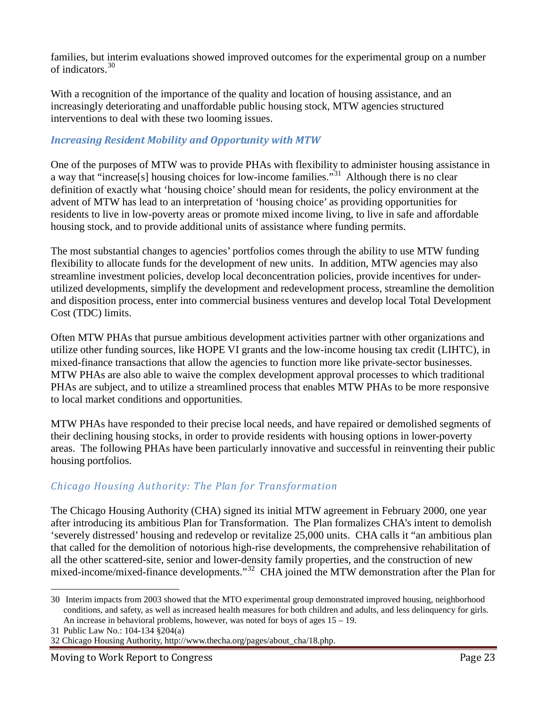families, but interim evaluations showed improved outcomes for the experimental group on a number of indicators. 30

With a recognition of the importance of the quality and location of housing assistance, and an increasingly deteriorating and unaffordable public housing stock, MTW agencies structured interventions to deal with these two looming issues.

#### *Increasing Resident Mobility and Opportunity with MTW*

One of the purposes of MTW was to provide PHAs with flexibility to administer housing assistance in a way that "increase[s] housing choices for low-income families."31 Although there is no clear definition of exactly what 'housing choice' should mean for residents, the policy environment at the advent of MTW has lead to an interpretation of 'housing choice' as providing opportunities for residents to live in low-poverty areas or promote mixed income living, to live in safe and affordable housing stock, and to provide additional units of assistance where funding permits.

The most substantial changes to agencies' portfolios comes through the ability to use MTW funding flexibility to allocate funds for the development of new units. In addition, MTW agencies may also streamline investment policies, develop local deconcentration policies, provide incentives for underutilized developments, simplify the development and redevelopment process, streamline the demolition and disposition process, enter into commercial business ventures and develop local Total Development Cost (TDC) limits.

Often MTW PHAs that pursue ambitious development activities partner with other organizations and utilize other funding sources, like HOPE VI grants and the low-income housing tax credit (LIHTC), in mixed-finance transactions that allow the agencies to function more like private-sector businesses. MTW PHAs are also able to waive the complex development approval processes to which traditional PHAs are subject, and to utilize a streamlined process that enables MTW PHAs to be more responsive to local market conditions and opportunities.

MTW PHAs have responded to their precise local needs, and have repaired or demolished segments of their declining housing stocks, in order to provide residents with housing options in lower-poverty areas. The following PHAs have been particularly innovative and successful in reinventing their public housing portfolios.

### *Chicago Housing Authority: The Plan for Transformation*

The Chicago Housing Authority (CHA) signed its initial MTW agreement in February 2000, one year after introducing its ambitious Plan for Transformation. The Plan formalizes CHA's intent to demolish 'severely distressed' housing and redevelop or revitalize 25,000 units. CHA calls it "an ambitious plan that called for the demolition of notorious high-rise developments, the comprehensive rehabilitation of all the other scattered-site, senior and lower-density family properties, and the construction of new mixed-income/mixed-finance developments."<sup>32</sup> CHA joined the MTW demonstration after the Plan for

 <sup>30</sup> Interim impacts from 2003 showed that the MTO experimental group demonstrated improved housing, neighborhood conditions, and safety, as well as increased health measures for both children and adults, and less delinquency for girls. An increase in behavioral problems, however, was noted for boys of ages 15 – 19.

<sup>31</sup> Public Law No.: 104-134 §204(a)

<sup>32</sup> Chicago Housing Authority, http://www.thecha.org/pages/about\_cha/18.php.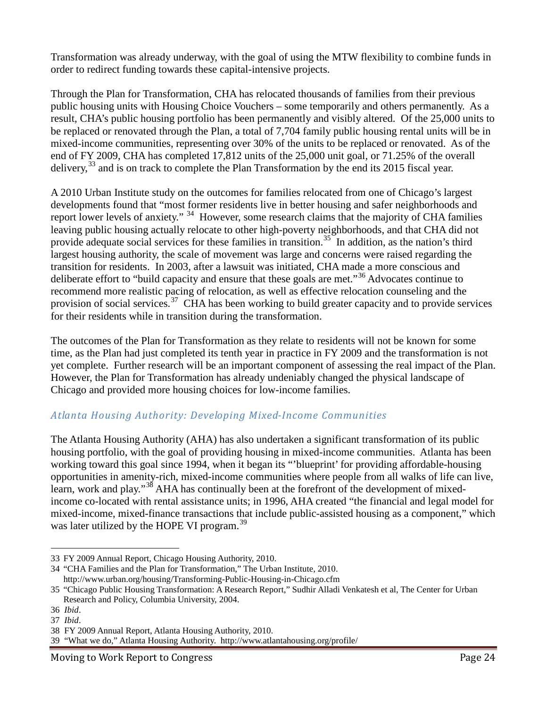Transformation was already underway, with the goal of using the MTW flexibility to combine funds in order to redirect funding towards these capital-intensive projects.

Through the Plan for Transformation, CHA has relocated thousands of families from their previous public housing units with Housing Choice Vouchers – some temporarily and others permanently. As a result, CHA's public housing portfolio has been permanently and visibly altered. Of the 25,000 units to be replaced or renovated through the Plan, a total of 7,704 family public housing rental units will be in mixed-income communities, representing over 30% of the units to be replaced or renovated. As of the end of FY 2009, CHA has completed 17,812 units of the 25,000 unit goal, or 71.25% of the overall delivery,<sup>33</sup> and is on track to complete the Plan Transformation by the end its 2015 fiscal year.

A 2010 Urban Institute study on the outcomes for families relocated from one of Chicago's largest developments found that "most former residents live in better housing and safer neighborhoods and report lower levels of anxiety." <sup>34</sup> However, some research claims that the majority of CHA families leaving public housing actually relocate to other high-poverty neighborhoods, and that CHA did not provide adequate social services for these families in transition.<sup>35</sup> In addition, as the nation's third largest housing authority, the scale of movement was large and concerns were raised regarding the transition for residents. In 2003, after a lawsuit was initiated, CHA made a more conscious and deliberate effort to "build capacity and ensure that these goals are met."<sup>36</sup> Advocates continue to recommend more realistic pacing of relocation, as well as effective relocation counseling and the provision of social services.<sup>37</sup> CHA has been working to build greater capacity and to provide services for their residents while in transition during the transformation.

The outcomes of the Plan for Transformation as they relate to residents will not be known for some time, as the Plan had just completed its tenth year in practice in FY 2009 and the transformation is not yet complete. Further research will be an important component of assessing the real impact of the Plan. However, the Plan for Transformation has already undeniably changed the physical landscape of Chicago and provided more housing choices for low-income families.

#### *Atlanta Housing Authority: Developing Mixed-Income Communities*

The Atlanta Housing Authority (AHA) has also undertaken a significant transformation of its public housing portfolio, with the goal of providing housing in mixed-income communities. Atlanta has been working toward this goal since 1994, when it began its "'blueprint' for providing affordable-housing opportunities in amenity-rich, mixed-income communities where people from all walks of life can live, learn, work and play."<sup>38</sup> AHA has continually been at the forefront of the development of mixedincome co-located with rental assistance units; in 1996, AHA created "the financial and legal model for mixed-income, mixed-finance transactions that include public-assisted housing as a component," which was later utilized by the HOPE VI program.<sup>39</sup>

 $\overline{a}$ 33 FY 2009 Annual Report, Chicago Housing Authority, 2010.

<sup>34</sup> "CHA Families and the Plan for Transformation," The Urban Institute, 2010. http://www.urban.org/housing/Transforming-Public-Housing-in-Chicago.cfm

<sup>35</sup> "Chicago Public Housing Transformation: A Research Report," Sudhir Alladi Venkatesh et al, The Center for Urban Research and Policy, Columbia University, 2004.

<sup>36</sup> *Ibid*.

<sup>37</sup> *Ibid*.

<sup>38</sup> FY 2009 Annual Report, Atlanta Housing Authority, 2010.

<sup>39</sup> "What we do," Atlanta Housing Authority. http://www.atlantahousing.org/profile/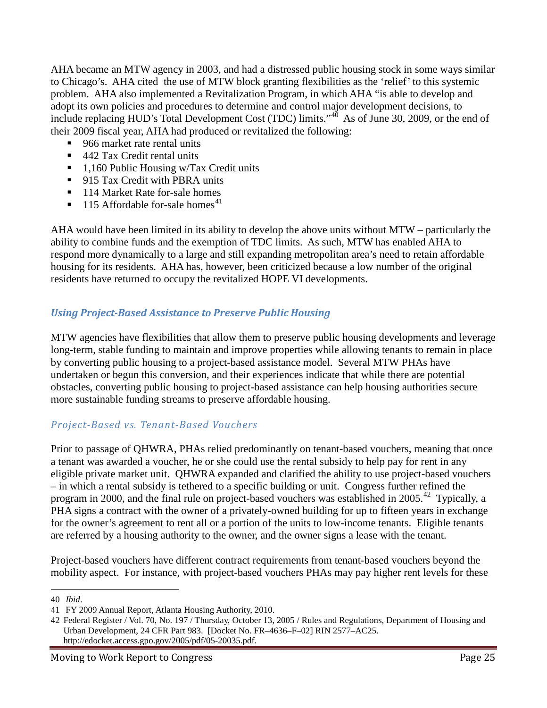AHA became an MTW agency in 2003, and had a distressed public housing stock in some ways similar to Chicago's. AHA cited the use of MTW block granting flexibilities as the 'relief' to this systemic problem. AHA also implemented a Revitalization Program, in which AHA "is able to develop and adopt its own policies and procedures to determine and control major development decisions, to include replacing HUD's Total Development Cost (TDC) limits."<sup>40</sup> As of June 30, 2009, or the end of their 2009 fiscal year, AHA had produced or revitalized the following:

- 966 market rate rental units
- 442 Tax Credit rental units
- $\blacksquare$  1,160 Public Housing w/Tax Credit units
- **915 Tax Credit with PBRA units**
- 114 Market Rate for-sale homes
- $\blacksquare$  115 Affordable for-sale homes<sup>41</sup>

AHA would have been limited in its ability to develop the above units without MTW – particularly the ability to combine funds and the exemption of TDC limits. As such, MTW has enabled AHA to respond more dynamically to a large and still expanding metropolitan area's need to retain affordable housing for its residents. AHA has, however, been criticized because a low number of the original residents have returned to occupy the revitalized HOPE VI developments.

#### *Using Project-Based Assistance to Preserve Public Housing*

MTW agencies have flexibilities that allow them to preserve public housing developments and leverage long-term, stable funding to maintain and improve properties while allowing tenants to remain in place by converting public housing to a project-based assistance model. Several MTW PHAs have undertaken or begun this conversion, and their experiences indicate that while there are potential obstacles, converting public housing to project-based assistance can help housing authorities secure more sustainable funding streams to preserve affordable housing.

#### *Project-Based vs. Tenant-Based Vouchers*

Prior to passage of QHWRA, PHAs relied predominantly on tenant-based vouchers, meaning that once a tenant was awarded a voucher, he or she could use the rental subsidy to help pay for rent in any eligible private market unit. QHWRA expanded and clarified the ability to use project-based vouchers – in which a rental subsidy is tethered to a specific building or unit. Congress further refined the program in 2000, and the final rule on project-based vouchers was established in 2005.<sup>42</sup> Typically, a PHA signs a contract with the owner of a privately-owned building for up to fifteen years in exchange for the owner's agreement to rent all or a portion of the units to low-income tenants. Eligible tenants are referred by a housing authority to the owner, and the owner signs a lease with the tenant.

Project-based vouchers have different contract requirements from tenant-based vouchers beyond the mobility aspect. For instance, with project-based vouchers PHAs may pay higher rent levels for these

 <sup>40</sup> *Ibid*.

<sup>41</sup> FY 2009 Annual Report, Atlanta Housing Authority, 2010.

<sup>42</sup> Federal Register / Vol. 70, No. 197 / Thursday, October 13, 2005 / Rules and Regulations, Department of Housing and Urban Development, 24 CFR Part 983. [Docket No. FR–4636–F–02] RIN 2577–AC25. http://edocket.access.gpo.gov/2005/pdf/05-20035.pdf.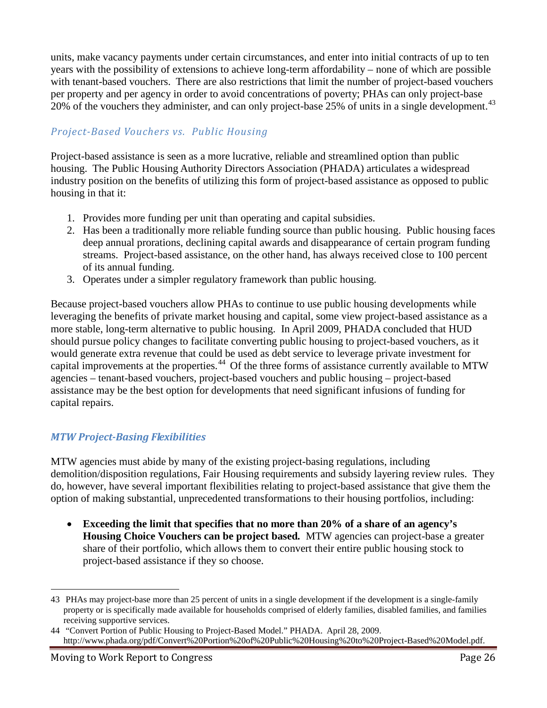units, make vacancy payments under certain circumstances, and enter into initial contracts of up to ten years with the possibility of extensions to achieve long-term affordability – none of which are possible with tenant-based vouchers. There are also restrictions that limit the number of project-based vouchers per property and per agency in order to avoid concentrations of poverty; PHAs can only project-base 20% of the vouchers they administer, and can only project-base 25% of units in a single development.<sup>43</sup>

#### *Project-Based Vouchers vs. Public Housing*

Project-based assistance is seen as a more lucrative, reliable and streamlined option than public housing. The Public Housing Authority Directors Association (PHADA) articulates a widespread industry position on the benefits of utilizing this form of project-based assistance as opposed to public housing in that it:

- 1. Provides more funding per unit than operating and capital subsidies.
- 2. Has been a traditionally more reliable funding source than public housing. Public housing faces deep annual prorations, declining capital awards and disappearance of certain program funding streams. Project-based assistance, on the other hand, has always received close to 100 percent of its annual funding.
- 3. Operates under a simpler regulatory framework than public housing.

Because project-based vouchers allow PHAs to continue to use public housing developments while leveraging the benefits of private market housing and capital, some view project-based assistance as a more stable, long-term alternative to public housing. In April 2009, PHADA concluded that HUD should pursue policy changes to facilitate converting public housing to project-based vouchers, as it would generate extra revenue that could be used as debt service to leverage private investment for capital improvements at the properties.<sup>44</sup> Of the three forms of assistance currently available to MTW agencies – tenant-based vouchers, project-based vouchers and public housing – project-based assistance may be the best option for developments that need significant infusions of funding for capital repairs.

#### *MTW Project-Basing Flexibilities*

MTW agencies must abide by many of the existing project-basing regulations, including demolition/disposition regulations, Fair Housing requirements and subsidy layering review rules. They do, however, have several important flexibilities relating to project-based assistance that give them the option of making substantial, unprecedented transformations to their housing portfolios, including:

• **Exceeding the limit that specifies that no more than 20% of a share of an agency's Housing Choice Vouchers can be project based***.* MTW agencies can project-base a greater share of their portfolio, which allows them to convert their entire public housing stock to project-based assistance if they so choose.

 <sup>43</sup> PHAs may project-base more than 25 percent of units in a single development if the development is a single-family property or is specifically made available for households comprised of elderly families, disabled families, and families receiving supportive services.

<sup>44</sup> "Convert Portion of Public Housing to Project-Based Model." PHADA. April 28, 2009. http://www.phada.org/pdf/Convert%20Portion%20of%20Public%20Housing%20to%20Project-Based%20Model.pdf.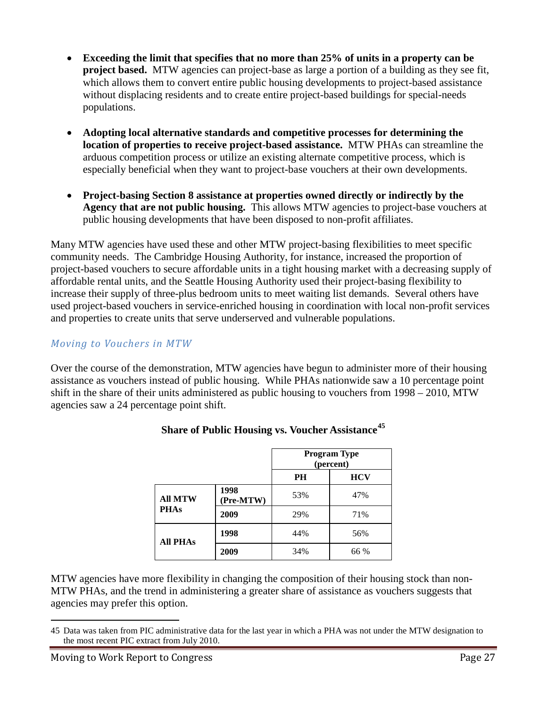- **Exceeding the limit that specifies that no more than 25% of units in a property can be project based.** MTW agencies can project-base as large a portion of a building as they see fit, which allows them to convert entire public housing developments to project-based assistance without displacing residents and to create entire project-based buildings for special-needs populations.
- **Adopting local alternative standards and competitive processes for determining the location of properties to receive project-based assistance.**MTW PHAs can streamline the arduous competition process or utilize an existing alternate competitive process, which is especially beneficial when they want to project-base vouchers at their own developments.
- **Project-basing Section 8 assistance at properties owned directly or indirectly by the Agency that are not public housing.**This allows MTW agencies to project-base vouchers at public housing developments that have been disposed to non-profit affiliates.

Many MTW agencies have used these and other MTW project-basing flexibilities to meet specific community needs. The Cambridge Housing Authority, for instance, increased the proportion of project-based vouchers to secure affordable units in a tight housing market with a decreasing supply of affordable rental units, and the Seattle Housing Authority used their project-basing flexibility to increase their supply of three-plus bedroom units to meet waiting list demands. Several others have used project-based vouchers in service-enriched housing in coordination with local non-profit services and properties to create units that serve underserved and vulnerable populations.

#### *Moving to Vouchers in MTW*

Over the course of the demonstration, MTW agencies have begun to administer more of their housing assistance as vouchers instead of public housing. While PHAs nationwide saw a 10 percentage point shift in the share of their units administered as public housing to vouchers from 1998 – 2010, MTW agencies saw a 24 percentage point shift.

|                               |                   | <b>Program Type</b><br>(percent) |            |
|-------------------------------|-------------------|----------------------------------|------------|
|                               |                   | PH                               | <b>HCV</b> |
| <b>All MTW</b><br><b>PHAs</b> | 1998<br>(Pre-MTW) | 53%                              | 47%        |
|                               | 2009              | 29%                              | 71%        |
| <b>All PHAs</b>               | 1998              | 44%                              | 56%        |
|                               | 2009              | 34%                              | 66 %       |

#### **Share of Public Housing vs. Voucher Assistance<sup>45</sup>**

MTW agencies have more flexibility in changing the composition of their housing stock than non-MTW PHAs, and the trend in administering a greater share of assistance as vouchers suggests that agencies may prefer this option.

 $\overline{a}$ 

<sup>45</sup> Data was taken from PIC administrative data for the last year in which a PHA was not under the MTW designation to the most recent PIC extract from July 2010.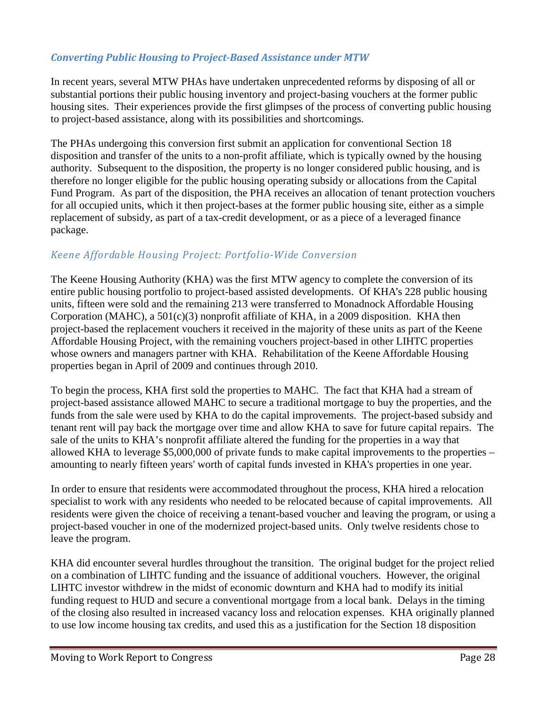#### *Converting Public Housing to Project-Based Assistance under MTW*

In recent years, several MTW PHAs have undertaken unprecedented reforms by disposing of all or substantial portions their public housing inventory and project-basing vouchers at the former public housing sites. Their experiences provide the first glimpses of the process of converting public housing to project-based assistance, along with its possibilities and shortcomings.

The PHAs undergoing this conversion first submit an application for conventional Section 18 disposition and transfer of the units to a non-profit affiliate, which is typically owned by the housing authority. Subsequent to the disposition, the property is no longer considered public housing, and is therefore no longer eligible for the public housing operating subsidy or allocations from the Capital Fund Program. As part of the disposition, the PHA receives an allocation of tenant protection vouchers for all occupied units, which it then project-bases at the former public housing site, either as a simple replacement of subsidy, as part of a tax-credit development, or as a piece of a leveraged finance package.

#### *Keene Affordable Housing Project: Portfolio-Wide Conversion*

The Keene Housing Authority (KHA) was the first MTW agency to complete the conversion of its entire public housing portfolio to project-based assisted developments. Of KHA's 228 public housing units, fifteen were sold and the remaining 213 were transferred to Monadnock Affordable Housing Corporation (MAHC), a 501(c)(3) nonprofit affiliate of KHA, in a 2009 disposition. KHA then project-based the replacement vouchers it received in the majority of these units as part of the Keene Affordable Housing Project, with the remaining vouchers project-based in other LIHTC properties whose owners and managers partner with KHA. Rehabilitation of the Keene Affordable Housing properties began in April of 2009 and continues through 2010.

To begin the process, KHA first sold the properties to MAHC. The fact that KHA had a stream of project-based assistance allowed MAHC to secure a traditional mortgage to buy the properties, and the funds from the sale were used by KHA to do the capital improvements. The project-based subsidy and tenant rent will pay back the mortgage over time and allow KHA to save for future capital repairs. The sale of the units to KHA's nonprofit affiliate altered the funding for the properties in a way that allowed KHA to leverage \$5,000,000 of private funds to make capital improvements to the properties – amounting to nearly fifteen years' worth of capital funds invested in KHA's properties in one year.

In order to ensure that residents were accommodated throughout the process, KHA hired a relocation specialist to work with any residents who needed to be relocated because of capital improvements. All residents were given the choice of receiving a tenant-based voucher and leaving the program, or using a project-based voucher in one of the modernized project-based units. Only twelve residents chose to leave the program.

KHA did encounter several hurdles throughout the transition. The original budget for the project relied on a combination of LIHTC funding and the issuance of additional vouchers. However, the original LIHTC investor withdrew in the midst of economic downturn and KHA had to modify its initial funding request to HUD and secure a conventional mortgage from a local bank. Delays in the timing of the closing also resulted in increased vacancy loss and relocation expenses. KHA originally planned to use low income housing tax credits, and used this as a justification for the Section 18 disposition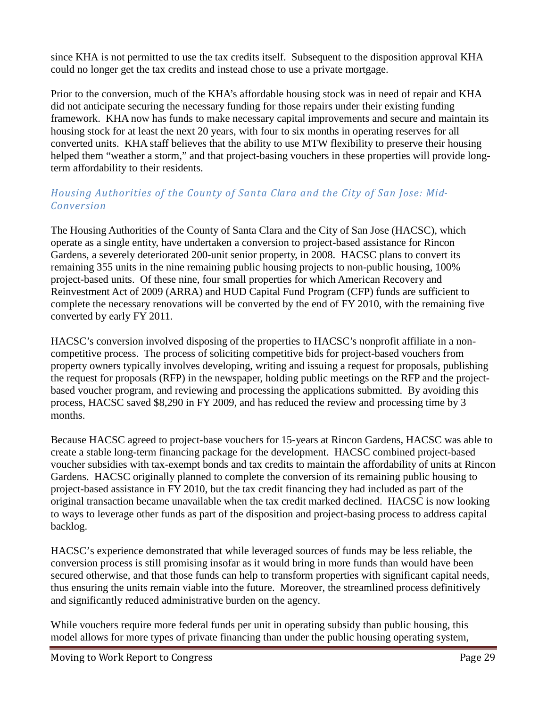since KHA is not permitted to use the tax credits itself. Subsequent to the disposition approval KHA could no longer get the tax credits and instead chose to use a private mortgage.

Prior to the conversion, much of the KHA's affordable housing stock was in need of repair and KHA did not anticipate securing the necessary funding for those repairs under their existing funding framework. KHA now has funds to make necessary capital improvements and secure and maintain its housing stock for at least the next 20 years, with four to six months in operating reserves for all converted units. KHA staff believes that the ability to use MTW flexibility to preserve their housing helped them "weather a storm," and that project-basing vouchers in these properties will provide longterm affordability to their residents.

#### *Housing Authorities of the County of Santa Clara and the City of San Jose: Mid-Conversion*

The Housing Authorities of the County of Santa Clara and the City of San Jose (HACSC), which operate as a single entity, have undertaken a conversion to project-based assistance for Rincon Gardens, a severely deteriorated 200-unit senior property, in 2008. HACSC plans to convert its remaining 355 units in the nine remaining public housing projects to non-public housing, 100% project-based units. Of these nine, four small properties for which American Recovery and Reinvestment Act of 2009 (ARRA) and HUD Capital Fund Program (CFP) funds are sufficient to complete the necessary renovations will be converted by the end of FY 2010, with the remaining five converted by early FY 2011.

HACSC's conversion involved disposing of the properties to HACSC's nonprofit affiliate in a noncompetitive process. The process of soliciting competitive bids for project-based vouchers from property owners typically involves developing, writing and issuing a request for proposals, publishing the request for proposals (RFP) in the newspaper, holding public meetings on the RFP and the projectbased voucher program, and reviewing and processing the applications submitted. By avoiding this process, HACSC saved \$8,290 in FY 2009, and has reduced the review and processing time by 3 months.

Because HACSC agreed to project-base vouchers for 15-years at Rincon Gardens, HACSC was able to create a stable long-term financing package for the development. HACSC combined project-based voucher subsidies with tax-exempt bonds and tax credits to maintain the affordability of units at Rincon Gardens. HACSC originally planned to complete the conversion of its remaining public housing to project-based assistance in FY 2010, but the tax credit financing they had included as part of the original transaction became unavailable when the tax credit marked declined. HACSC is now looking to ways to leverage other funds as part of the disposition and project-basing process to address capital backlog.

HACSC's experience demonstrated that while leveraged sources of funds may be less reliable, the conversion process is still promising insofar as it would bring in more funds than would have been secured otherwise, and that those funds can help to transform properties with significant capital needs, thus ensuring the units remain viable into the future. Moreover, the streamlined process definitively and significantly reduced administrative burden on the agency.

While vouchers require more federal funds per unit in operating subsidy than public housing, this model allows for more types of private financing than under the public housing operating system,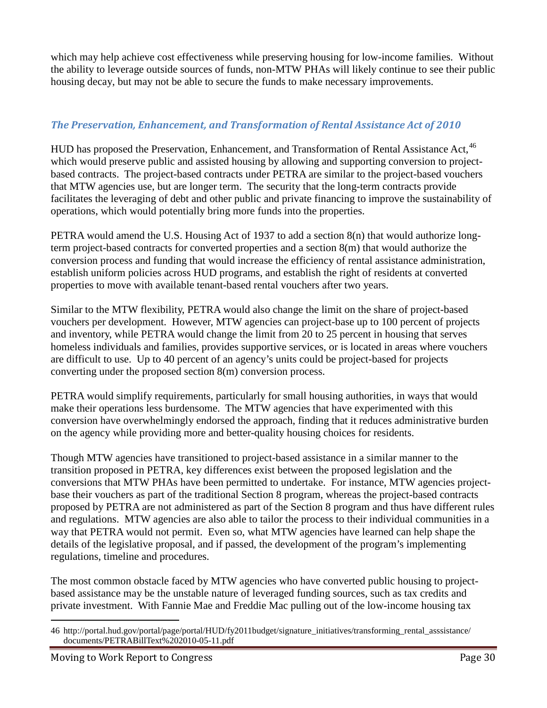which may help achieve cost effectiveness while preserving housing for low-income families. Without the ability to leverage outside sources of funds, non-MTW PHAs will likely continue to see their public housing decay, but may not be able to secure the funds to make necessary improvements.

#### *The Preservation, Enhancement, and Transformation of Rental Assistance Act of 2010*

HUD has proposed the Preservation, Enhancement, and Transformation of Rental Assistance Act, <sup>46</sup> which would preserve public and assisted housing by allowing and supporting conversion to projectbased contracts. The project-based contracts under PETRA are similar to the project-based vouchers that MTW agencies use, but are longer term. The security that the long-term contracts provide facilitates the leveraging of debt and other public and private financing to improve the sustainability of operations, which would potentially bring more funds into the properties.

PETRA would amend the U.S. Housing Act of 1937 to add a section 8(n) that would authorize longterm project-based contracts for converted properties and a section 8(m) that would authorize the conversion process and funding that would increase the efficiency of rental assistance administration, establish uniform policies across HUD programs, and establish the right of residents at converted properties to move with available tenant-based rental vouchers after two years.

Similar to the MTW flexibility, PETRA would also change the limit on the share of project-based vouchers per development. However, MTW agencies can project-base up to 100 percent of projects and inventory, while PETRA would change the limit from 20 to 25 percent in housing that serves homeless individuals and families, provides supportive services, or is located in areas where vouchers are difficult to use. Up to 40 percent of an agency's units could be project-based for projects converting under the proposed section 8(m) conversion process.

PETRA would simplify requirements, particularly for small housing authorities, in ways that would make their operations less burdensome. The MTW agencies that have experimented with this conversion have overwhelmingly endorsed the approach, finding that it reduces administrative burden on the agency while providing more and better-quality housing choices for residents.

Though MTW agencies have transitioned to project-based assistance in a similar manner to the transition proposed in PETRA, key differences exist between the proposed legislation and the conversions that MTW PHAs have been permitted to undertake. For instance, MTW agencies projectbase their vouchers as part of the traditional Section 8 program, whereas the project-based contracts proposed by PETRA are not administered as part of the Section 8 program and thus have different rules and regulations. MTW agencies are also able to tailor the process to their individual communities in a way that PETRA would not permit. Even so, what MTW agencies have learned can help shape the details of the legislative proposal, and if passed, the development of the program's implementing regulations, timeline and procedures.

The most common obstacle faced by MTW agencies who have converted public housing to projectbased assistance may be the unstable nature of leveraged funding sources, such as tax credits and private investment. With Fannie Mae and Freddie Mac pulling out of the low-income housing tax

 $\overline{a}$ 46 http://portal.hud.gov/portal/page/portal/HUD/fy2011budget/signature\_initiatives/transforming\_rental\_asssistance/ documents/PETRABillText%202010-05-11.pdf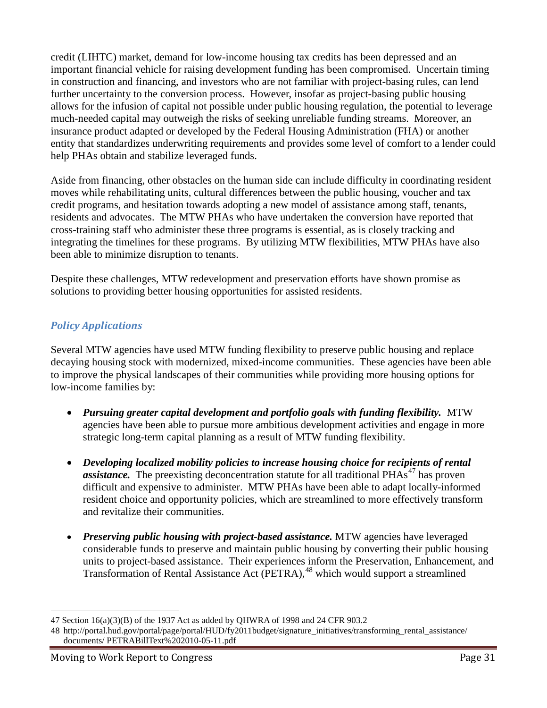credit (LIHTC) market, demand for low-income housing tax credits has been depressed and an important financial vehicle for raising development funding has been compromised. Uncertain timing in construction and financing, and investors who are not familiar with project-basing rules, can lend further uncertainty to the conversion process. However, insofar as project-basing public housing allows for the infusion of capital not possible under public housing regulation, the potential to leverage much-needed capital may outweigh the risks of seeking unreliable funding streams. Moreover, an insurance product adapted or developed by the Federal Housing Administration (FHA) or another entity that standardizes underwriting requirements and provides some level of comfort to a lender could help PHAs obtain and stabilize leveraged funds.

Aside from financing, other obstacles on the human side can include difficulty in coordinating resident moves while rehabilitating units, cultural differences between the public housing, voucher and tax credit programs, and hesitation towards adopting a new model of assistance among staff, tenants, residents and advocates. The MTW PHAs who have undertaken the conversion have reported that cross-training staff who administer these three programs is essential, as is closely tracking and integrating the timelines for these programs. By utilizing MTW flexibilities, MTW PHAs have also been able to minimize disruption to tenants.

Despite these challenges, MTW redevelopment and preservation efforts have shown promise as solutions to providing better housing opportunities for assisted residents.

### *Policy Applications*

Several MTW agencies have used MTW funding flexibility to preserve public housing and replace decaying housing stock with modernized, mixed-income communities. These agencies have been able to improve the physical landscapes of their communities while providing more housing options for low-income families by:

- *Pursuing greater capital development and portfolio goals with funding flexibility.* MTW agencies have been able to pursue more ambitious development activities and engage in more strategic long-term capital planning as a result of MTW funding flexibility.
- *Developing localized mobility policies to increase housing choice for recipients of rental assistance*. The preexisting deconcentration statute for all traditional PHAs<sup>47</sup> has proven difficult and expensive to administer. MTW PHAs have been able to adapt locally-informed resident choice and opportunity policies, which are streamlined to more effectively transform and revitalize their communities.
- *Preserving public housing with project-based assistance.* MTW agencies have leveraged considerable funds to preserve and maintain public housing by converting their public housing units to project-based assistance. Their experiences inform the Preservation, Enhancement, and Transformation of Rental Assistance Act (PETRA),<sup>48</sup> which would support a streamlined

 $\overline{a}$ 47 Section 16(a)(3)(B) of the 1937 Act as added by QHWRA of 1998 and 24 CFR 903.2

<sup>48</sup> http://portal.hud.gov/portal/page/portal/HUD/fy2011budget/signature\_initiatives/transforming\_rental\_assistance/ documents/ PETRABillText%202010-05-11.pdf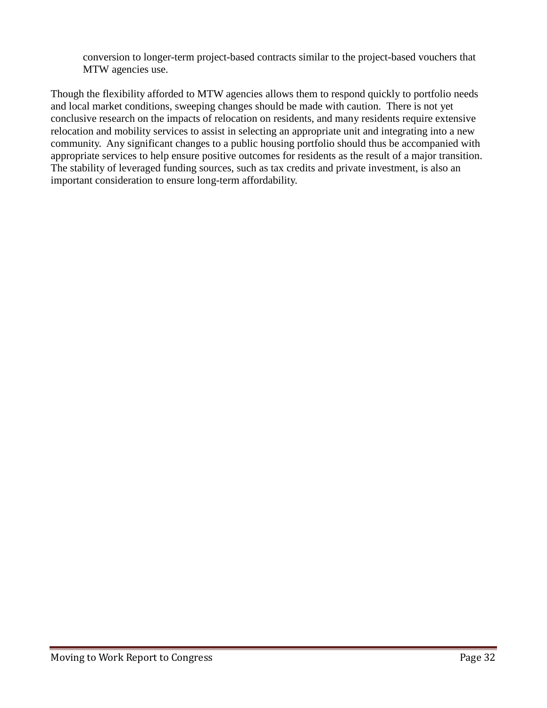conversion to longer-term project-based contracts similar to the project-based vouchers that MTW agencies use.

Though the flexibility afforded to MTW agencies allows them to respond quickly to portfolio needs and local market conditions, sweeping changes should be made with caution. There is not yet conclusive research on the impacts of relocation on residents, and many residents require extensive relocation and mobility services to assist in selecting an appropriate unit and integrating into a new community. Any significant changes to a public housing portfolio should thus be accompanied with appropriate services to help ensure positive outcomes for residents as the result of a major transition. The stability of leveraged funding sources, such as tax credits and private investment, is also an important consideration to ensure long-term affordability.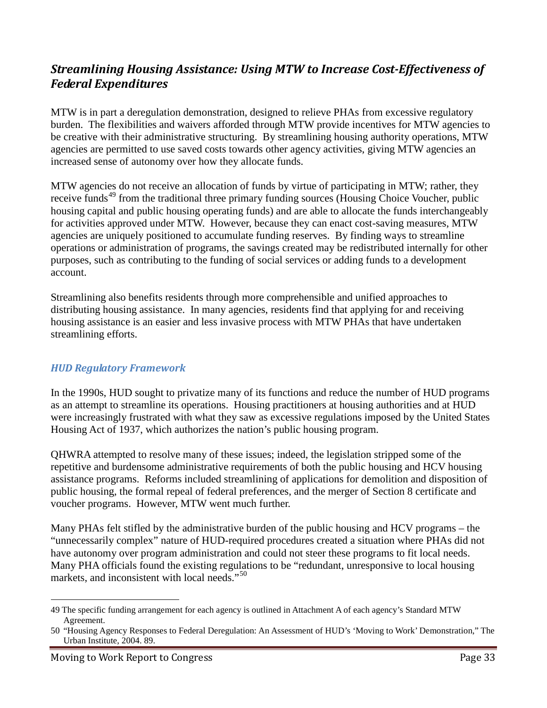## *Streamlining Housing Assistance: Using MTW to Increase Cost-Effectiveness of Federal Expenditures*

MTW is in part a deregulation demonstration, designed to relieve PHAs from excessive regulatory burden. The flexibilities and waivers afforded through MTW provide incentives for MTW agencies to be creative with their administrative structuring. By streamlining housing authority operations, MTW agencies are permitted to use saved costs towards other agency activities, giving MTW agencies an increased sense of autonomy over how they allocate funds.

MTW agencies do not receive an allocation of funds by virtue of participating in MTW; rather, they receive funds<sup>49</sup> from the traditional three primary funding sources (Housing Choice Voucher, public housing capital and public housing operating funds) and are able to allocate the funds interchangeably for activities approved under MTW. However, because they can enact cost-saving measures, MTW agencies are uniquely positioned to accumulate funding reserves. By finding ways to streamline operations or administration of programs, the savings created may be redistributed internally for other purposes, such as contributing to the funding of social services or adding funds to a development account.

Streamlining also benefits residents through more comprehensible and unified approaches to distributing housing assistance. In many agencies, residents find that applying for and receiving housing assistance is an easier and less invasive process with MTW PHAs that have undertaken streamlining efforts.

#### *HUD Regulatory Framework*

In the 1990s, HUD sought to privatize many of its functions and reduce the number of HUD programs as an attempt to streamline its operations. Housing practitioners at housing authorities and at HUD were increasingly frustrated with what they saw as excessive regulations imposed by the United States Housing Act of 1937, which authorizes the nation's public housing program.

QHWRA attempted to resolve many of these issues; indeed, the legislation stripped some of the repetitive and burdensome administrative requirements of both the public housing and HCV housing assistance programs. Reforms included streamlining of applications for demolition and disposition of public housing, the formal repeal of federal preferences, and the merger of Section 8 certificate and voucher programs. However, MTW went much further.

Many PHAs felt stifled by the administrative burden of the public housing and HCV programs – the "unnecessarily complex" nature of HUD-required procedures created a situation where PHAs did not have autonomy over program administration and could not steer these programs to fit local needs. Many PHA officials found the existing regulations to be "redundant, unresponsive to local housing markets, and inconsistent with local needs."<sup>50</sup>

 <sup>49</sup> The specific funding arrangement for each agency is outlined in Attachment A of each agency's Standard MTW Agreement.

<sup>50</sup> "Housing Agency Responses to Federal Deregulation: An Assessment of HUD's 'Moving to Work' Demonstration," The Urban Institute, 2004. 89.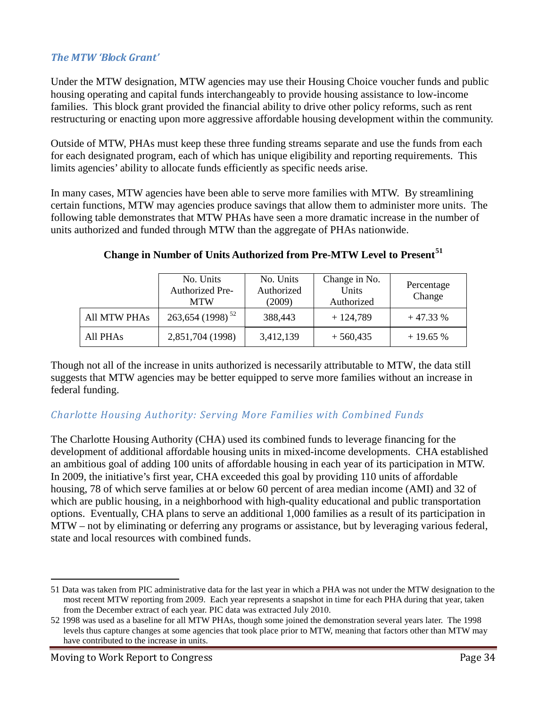#### *The MTW 'Block Grant'*

Under the MTW designation, MTW agencies may use their Housing Choice voucher funds and public housing operating and capital funds interchangeably to provide housing assistance to low-income families. This block grant provided the financial ability to drive other policy reforms, such as rent restructuring or enacting upon more aggressive affordable housing development within the community.

Outside of MTW, PHAs must keep these three funding streams separate and use the funds from each for each designated program, each of which has unique eligibility and reporting requirements. This limits agencies' ability to allocate funds efficiently as specific needs arise.

In many cases, MTW agencies have been able to serve more families with MTW. By streamlining certain functions, MTW may agencies produce savings that allow them to administer more units. The following table demonstrates that MTW PHAs have seen a more dramatic increase in the number of units authorized and funded through MTW than the aggregate of PHAs nationwide.

|              | No. Units<br>Authorized Pre-<br><b>MTW</b> | No. Units<br>Authorized<br>(2009) | Change in No.<br>Units<br>Authorized | Percentage<br>Change |
|--------------|--------------------------------------------|-----------------------------------|--------------------------------------|----------------------|
| All MTW PHAs | $263,654(1998)^{52}$                       | 388,443                           | $+124,789$                           | $+47.33%$            |
| All PHAs     | 2,851,704 (1998)                           | 3,412,139                         | $+560,435$                           | $+19.65%$            |

#### **Change in Number of Units Authorized from Pre-MTW Level to Present<sup>51</sup>**

Though not all of the increase in units authorized is necessarily attributable to MTW, the data still suggests that MTW agencies may be better equipped to serve more families without an increase in federal funding.

#### *Charlotte Housing Authority: Serving More Families with Combined Funds*

The Charlotte Housing Authority (CHA) used its combined funds to leverage financing for the development of additional affordable housing units in mixed-income developments. CHA established an ambitious goal of adding 100 units of affordable housing in each year of its participation in MTW. In 2009, the initiative's first year, CHA exceeded this goal by providing 110 units of affordable housing, 78 of which serve families at or below 60 percent of area median income (AMI) and 32 of which are public housing, in a neighborhood with high-quality educational and public transportation options. Eventually, CHA plans to serve an additional 1,000 families as a result of its participation in MTW – not by eliminating or deferring any programs or assistance, but by leveraging various federal, state and local resources with combined funds.

 $\overline{a}$ 

<sup>51</sup> Data was taken from PIC administrative data for the last year in which a PHA was not under the MTW designation to the most recent MTW reporting from 2009. Each year represents a snapshot in time for each PHA during that year, taken from the December extract of each year. PIC data was extracted July 2010.

<sup>52</sup> 1998 was used as a baseline for all MTW PHAs, though some joined the demonstration several years later. The 1998 levels thus capture changes at some agencies that took place prior to MTW, meaning that factors other than MTW may have contributed to the increase in units.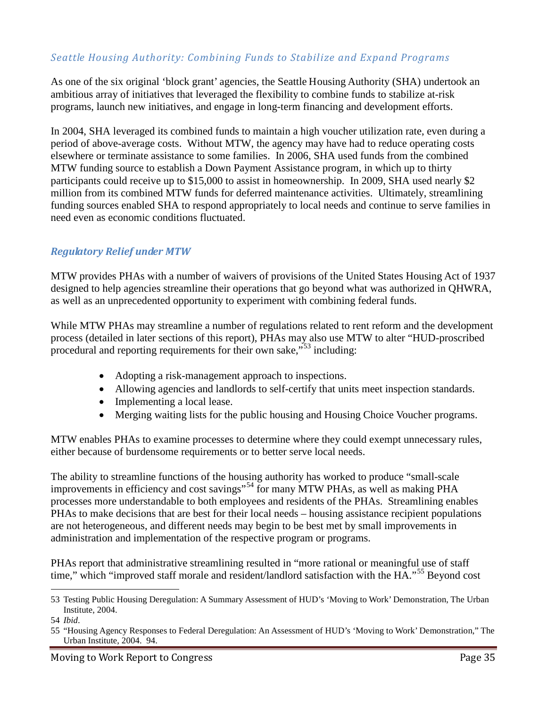#### *Seattle Housing Authority: Combining Funds to Stabilize and Expand Programs*

As one of the six original 'block grant' agencies, the Seattle Housing Authority (SHA) undertook an ambitious array of initiatives that leveraged the flexibility to combine funds to stabilize at-risk programs, launch new initiatives, and engage in long-term financing and development efforts.

In 2004, SHA leveraged its combined funds to maintain a high voucher utilization rate, even during a period of above-average costs. Without MTW, the agency may have had to reduce operating costs elsewhere or terminate assistance to some families. In 2006, SHA used funds from the combined MTW funding source to establish a Down Payment Assistance program, in which up to thirty participants could receive up to \$15,000 to assist in homeownership. In 2009, SHA used nearly \$2 million from its combined MTW funds for deferred maintenance activities. Ultimately, streamlining funding sources enabled SHA to respond appropriately to local needs and continue to serve families in need even as economic conditions fluctuated.

#### *Regulatory Relief under MTW*

MTW provides PHAs with a number of waivers of provisions of the United States Housing Act of 1937 designed to help agencies streamline their operations that go beyond what was authorized in QHWRA, as well as an unprecedented opportunity to experiment with combining federal funds.

While MTW PHAs may streamline a number of regulations related to rent reform and the development process (detailed in later sections of this report), PHAs may also use MTW to alter "HUD-proscribed procedural and reporting requirements for their own sake,"<sup>53</sup> including:

- Adopting a risk-management approach to inspections.
- Allowing agencies and landlords to self-certify that units meet inspection standards.
- Implementing a local lease.
- Merging waiting lists for the public housing and Housing Choice Voucher programs.

MTW enables PHAs to examine processes to determine where they could exempt unnecessary rules, either because of burdensome requirements or to better serve local needs.

The ability to streamline functions of the housing authority has worked to produce "small-scale improvements in efficiency and cost savings"<sup>54</sup> for many MTW PHAs, as well as making PHA processes more understandable to both employees and residents of the PHAs. Streamlining enables PHAs to make decisions that are best for their local needs – housing assistance recipient populations are not heterogeneous, and different needs may begin to be best met by small improvements in administration and implementation of the respective program or programs.

PHAs report that administrative streamlining resulted in "more rational or meaningful use of staff time," which "improved staff morale and resident/landlord satisfaction with the HA."<sup>55</sup> Beyond cost

 <sup>53</sup> Testing Public Housing Deregulation: A Summary Assessment of HUD's 'Moving to Work' Demonstration, The Urban Institute, 2004.

<sup>54</sup> *Ibid*.

<sup>55</sup> "Housing Agency Responses to Federal Deregulation: An Assessment of HUD's 'Moving to Work' Demonstration," The Urban Institute, 2004. 94.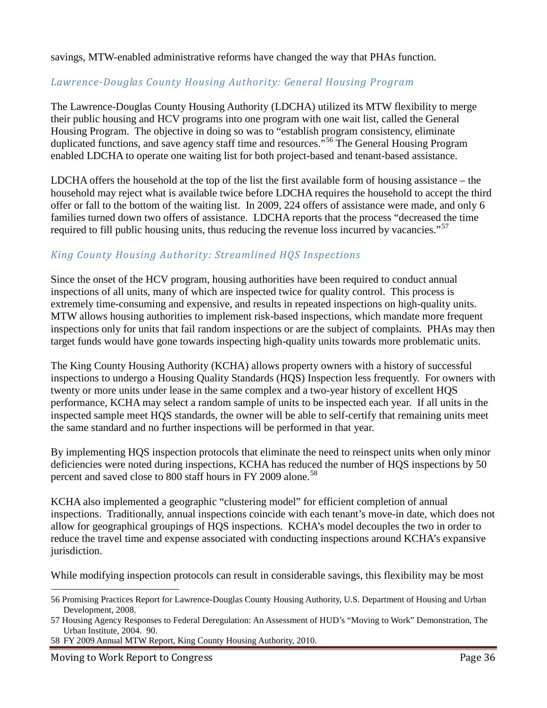savings, MTW-enabled administrative reforms have changed the way that PHAs function.

#### *Lawrence-Douglas County Housing Authority: General Housing Program*

The Lawrence-Douglas County Housing Authority (LDCHA) utilized its MTW flexibility to merge their public housing and HCV programs into one program with one wait list, called the General Housing Program. The objective in doing so was to "establish program consistency, eliminate duplicated functions, and save agency staff time and resources."<sup>56</sup> The General Housing Program enabled LDCHA to operate one waiting list for both project-based and tenant-based assistance.

LDCHA offers the household at the top of the list the first available form of housing assistance – the household may reject what is available twice before LDCHA requires the household to accept the third offer or fall to the bottom of the waiting list. In 2009, 224 offers of assistance were made, and only 6 families turned down two offers of assistance. LDCHA reports that the process "decreased the time required to fill public housing units, thus reducing the revenue loss incurred by vacancies."<sup>57</sup>

#### *King County Housing Authority: Streamlined HQS Inspections*

Since the onset of the HCV program, housing authorities have been required to conduct annual inspections of all units, many of which are inspected twice for quality control. This process is extremely time-consuming and expensive, and results in repeated inspections on high-quality units. MTW allows housing authorities to implement risk-based inspections, which mandate more frequent inspections only for units that fail random inspections or are the subject of complaints. PHAs may then target funds would have gone towards inspecting high-quality units towards more problematic units.

The King County Housing Authority (KCHA) allows property owners with a history of successful inspections to undergo a Housing Quality Standards (HQS) Inspection less frequently. For owners with twenty or more units under lease in the same complex and a two-year history of excellent HQS performance, KCHA may select a random sample of units to be inspected each year. If all units in the inspected sample meet HQS standards, the owner will be able to self-certify that remaining units meet the same standard and no further inspections will be performed in that year.

By implementing HQS inspection protocols that eliminate the need to reinspect units when only minor deficiencies were noted during inspections, KCHA has reduced the number of HQS inspections by 50 percent and saved close to 800 staff hours in FY 2009 alone.<sup>58</sup>

KCHA also implemented a geographic "clustering model" for efficient completion of annual inspections. Traditionally, annual inspections coincide with each tenant's move-in date, which does not allow for geographical groupings of HQS inspections. KCHA's model decouples the two in order to reduce the travel time and expense associated with conducting inspections around KCHA's expansive jurisdiction.

While modifying inspection protocols can result in considerable savings, this flexibility may be most

58 FY 2009 Annual MTW Report, King County Housing Authority, 2010.

 <sup>56</sup> Promising Practices Report for Lawrence-Douglas County Housing Authority, U.S. Department of Housing and Urban Development, 2008.

<sup>57</sup> Housing Agency Responses to Federal Deregulation: An Assessment of HUD's "Moving to Work" Demonstration, The Urban Institute, 2004. 90.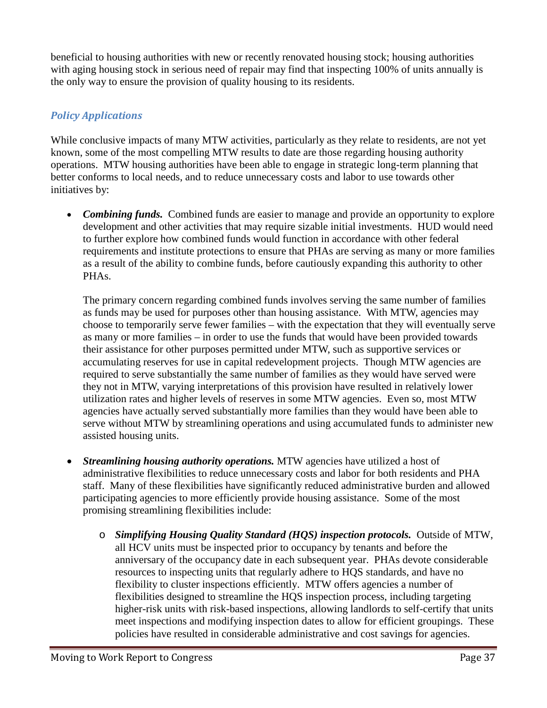beneficial to housing authorities with new or recently renovated housing stock; housing authorities with aging housing stock in serious need of repair may find that inspecting 100% of units annually is the only way to ensure the provision of quality housing to its residents.

#### *Policy Applications*

While conclusive impacts of many MTW activities, particularly as they relate to residents, are not yet known, some of the most compelling MTW results to date are those regarding housing authority operations. MTW housing authorities have been able to engage in strategic long-term planning that better conforms to local needs, and to reduce unnecessary costs and labor to use towards other initiatives by:

• *Combining funds.* Combined funds are easier to manage and provide an opportunity to explore development and other activities that may require sizable initial investments. HUD would need to further explore how combined funds would function in accordance with other federal requirements and institute protections to ensure that PHAs are serving as many or more families as a result of the ability to combine funds, before cautiously expanding this authority to other PHAs.

The primary concern regarding combined funds involves serving the same number of families as funds may be used for purposes other than housing assistance. With MTW, agencies may choose to temporarily serve fewer families – with the expectation that they will eventually serve as many or more families – in order to use the funds that would have been provided towards their assistance for other purposes permitted under MTW, such as supportive services or accumulating reserves for use in capital redevelopment projects. Though MTW agencies are required to serve substantially the same number of families as they would have served were they not in MTW, varying interpretations of this provision have resulted in relatively lower utilization rates and higher levels of reserves in some MTW agencies. Even so, most MTW agencies have actually served substantially more families than they would have been able to serve without MTW by streamlining operations and using accumulated funds to administer new assisted housing units.

- *Streamlining housing authority operations.* MTW agencies have utilized a host of administrative flexibilities to reduce unnecessary costs and labor for both residents and PHA staff. Many of these flexibilities have significantly reduced administrative burden and allowed participating agencies to more efficiently provide housing assistance. Some of the most promising streamlining flexibilities include:
	- o *Simplifying Housing Quality Standard (HQS) inspection protocols.* Outside of MTW, all HCV units must be inspected prior to occupancy by tenants and before the anniversary of the occupancy date in each subsequent year. PHAs devote considerable resources to inspecting units that regularly adhere to HQS standards, and have no flexibility to cluster inspections efficiently. MTW offers agencies a number of flexibilities designed to streamline the HQS inspection process, including targeting higher-risk units with risk-based inspections, allowing landlords to self-certify that units meet inspections and modifying inspection dates to allow for efficient groupings. These policies have resulted in considerable administrative and cost savings for agencies.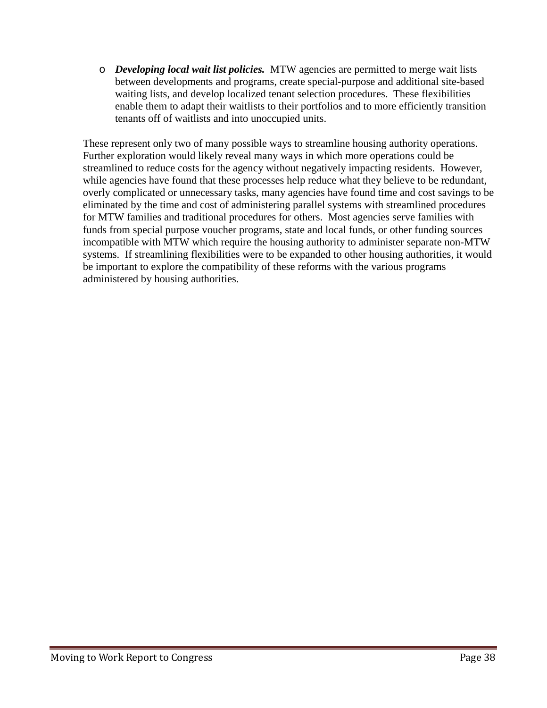o *Developing local wait list policies.* MTW agencies are permitted to merge wait lists between developments and programs, create special-purpose and additional site-based waiting lists, and develop localized tenant selection procedures. These flexibilities enable them to adapt their waitlists to their portfolios and to more efficiently transition tenants off of waitlists and into unoccupied units.

These represent only two of many possible ways to streamline housing authority operations. Further exploration would likely reveal many ways in which more operations could be streamlined to reduce costs for the agency without negatively impacting residents. However, while agencies have found that these processes help reduce what they believe to be redundant, overly complicated or unnecessary tasks, many agencies have found time and cost savings to be eliminated by the time and cost of administering parallel systems with streamlined procedures for MTW families and traditional procedures for others. Most agencies serve families with funds from special purpose voucher programs, state and local funds, or other funding sources incompatible with MTW which require the housing authority to administer separate non-MTW systems. If streamlining flexibilities were to be expanded to other housing authorities, it would be important to explore the compatibility of these reforms with the various programs administered by housing authorities.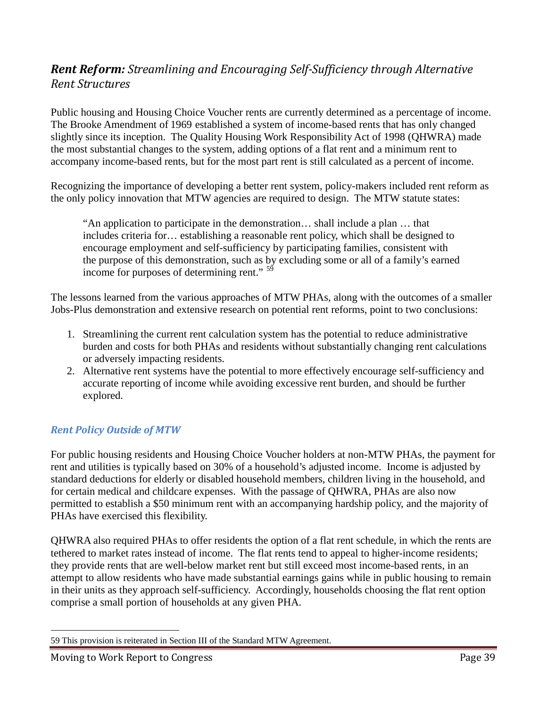# *Rent Reform: Streamlining and Encouraging Self-Sufficiency through Alternative Rent Structures*

Public housing and Housing Choice Voucher rents are currently determined as a percentage of income. The Brooke Amendment of 1969 established a system of income-based rents that has only changed slightly since its inception. The Quality Housing Work Responsibility Act of 1998 (QHWRA) made the most substantial changes to the system, adding options of a flat rent and a minimum rent to accompany income-based rents, but for the most part rent is still calculated as a percent of income.

Recognizing the importance of developing a better rent system, policy-makers included rent reform as the only policy innovation that MTW agencies are required to design. The MTW statute states:

"An application to participate in the demonstration… shall include a plan … that includes criteria for… establishing a reasonable rent policy, which shall be designed to encourage employment and self-sufficiency by participating families, consistent with the purpose of this demonstration, such as by excluding some or all of a family's earned income for purposes of determining rent." <sup>59</sup>

The lessons learned from the various approaches of MTW PHAs, along with the outcomes of a smaller Jobs-Plus demonstration and extensive research on potential rent reforms, point to two conclusions:

- 1. Streamlining the current rent calculation system has the potential to reduce administrative burden and costs for both PHAs and residents without substantially changing rent calculations or adversely impacting residents.
- 2. Alternative rent systems have the potential to more effectively encourage self-sufficiency and accurate reporting of income while avoiding excessive rent burden, and should be further explored.

## *Rent Policy Outside of MTW*

For public housing residents and Housing Choice Voucher holders at non-MTW PHAs, the payment for rent and utilities is typically based on 30% of a household's adjusted income. Income is adjusted by standard deductions for elderly or disabled household members, children living in the household, and for certain medical and childcare expenses. With the passage of QHWRA, PHAs are also now permitted to establish a \$50 minimum rent with an accompanying hardship policy, and the majority of PHAs have exercised this flexibility.

QHWRA also required PHAs to offer residents the option of a flat rent schedule, in which the rents are tethered to market rates instead of income. The flat rents tend to appeal to higher-income residents; they provide rents that are well-below market rent but still exceed most income-based rents, in an attempt to allow residents who have made substantial earnings gains while in public housing to remain in their units as they approach self-sufficiency. Accordingly, households choosing the flat rent option comprise a small portion of households at any given PHA.

 <sup>59</sup> This provision is reiterated in Section III of the Standard MTW Agreement.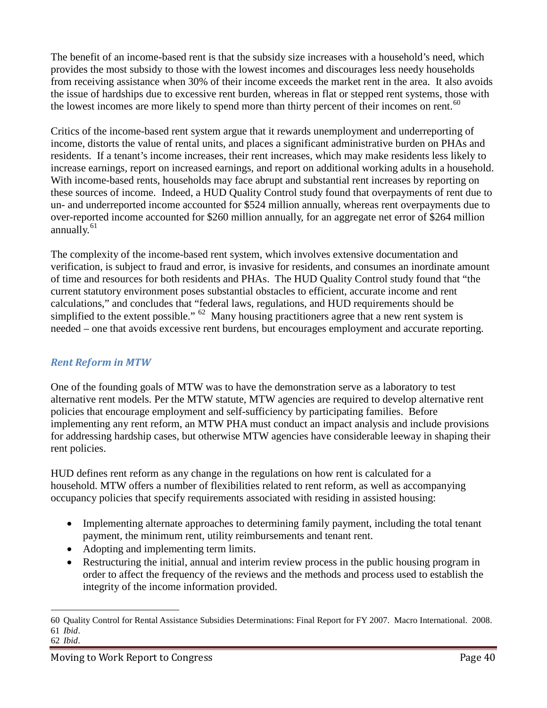The benefit of an income-based rent is that the subsidy size increases with a household's need, which provides the most subsidy to those with the lowest incomes and discourages less needy households from receiving assistance when 30% of their income exceeds the market rent in the area. It also avoids the issue of hardships due to excessive rent burden, whereas in flat or stepped rent systems, those with the lowest incomes are more likely to spend more than thirty percent of their incomes on rent.<sup>60</sup>

Critics of the income-based rent system argue that it rewards unemployment and underreporting of income, distorts the value of rental units, and places a significant administrative burden on PHAs and residents. If a tenant's income increases, their rent increases, which may make residents less likely to increase earnings, report on increased earnings, and report on additional working adults in a household. With income-based rents, households may face abrupt and substantial rent increases by reporting on these sources of income. Indeed, a HUD Quality Control study found that overpayments of rent due to un- and underreported income accounted for \$524 million annually, whereas rent overpayments due to over-reported income accounted for \$260 million annually, for an aggregate net error of \$264 million annually.<sup>61</sup>

The complexity of the income-based rent system, which involves extensive documentation and verification, is subject to fraud and error, is invasive for residents, and consumes an inordinate amount of time and resources for both residents and PHAs. The HUD Quality Control study found that "the current statutory environment poses substantial obstacles to efficient, accurate income and rent calculations," and concludes that "federal laws, regulations, and HUD requirements should be simplified to the extent possible."  $62$  Many housing practitioners agree that a new rent system is needed – one that avoids excessive rent burdens, but encourages employment and accurate reporting.

#### *Rent Reform in MTW*

One of the founding goals of MTW was to have the demonstration serve as a laboratory to test alternative rent models. Per the MTW statute, MTW agencies are required to develop alternative rent policies that encourage employment and self-sufficiency by participating families. Before implementing any rent reform, an MTW PHA must conduct an impact analysis and include provisions for addressing hardship cases, but otherwise MTW agencies have considerable leeway in shaping their rent policies.

HUD defines rent reform as any change in the regulations on how rent is calculated for a household. MTW offers a number of flexibilities related to rent reform, as well as accompanying occupancy policies that specify requirements associated with residing in assisted housing:

- Implementing alternate approaches to determining family payment, including the total tenant payment, the minimum rent, utility reimbursements and tenant rent.
- Adopting and implementing term limits.
- Restructuring the initial, annual and interim review process in the public housing program in order to affect the frequency of the reviews and the methods and process used to establish the integrity of the income information provided.

 $\overline{a}$ 

<sup>60</sup> Quality Control for Rental Assistance Subsidies Determinations: Final Report for FY 2007. Macro International. 2008. 61 *Ibid*.

<sup>62</sup> *Ibid*.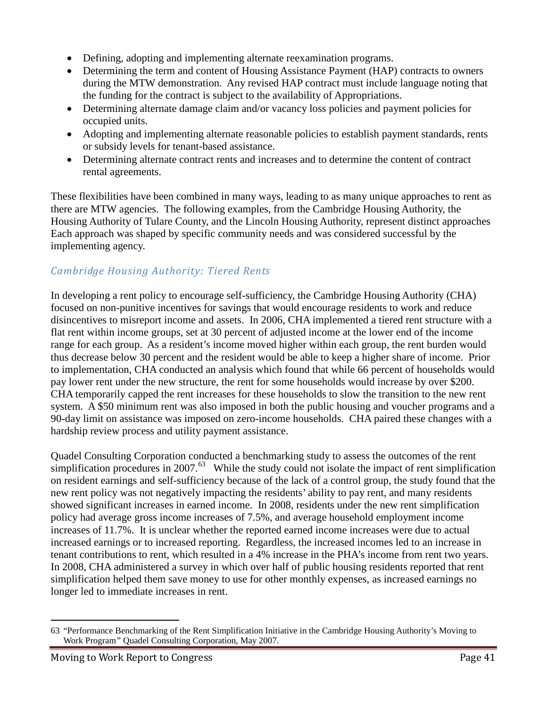- Defining, adopting and implementing alternate reexamination programs.
- Determining the term and content of Housing Assistance Payment (HAP) contracts to owners during the MTW demonstration. Any revised HAP contract must include language noting that the funding for the contract is subject to the availability of Appropriations.
- Determining alternate damage claim and/or vacancy loss policies and payment policies for occupied units.
- Adopting and implementing alternate reasonable policies to establish payment standards, rents or subsidy levels for tenant-based assistance.
- Determining alternate contract rents and increases and to determine the content of contract rental agreements.

These flexibilities have been combined in many ways, leading to as many unique approaches to rent as there are MTW agencies. The following examples, from the Cambridge Housing Authority, the Housing Authority of Tulare County, and the Lincoln Housing Authority, represent distinct approaches Each approach was shaped by specific community needs and was considered successful by the implementing agency.

# *Cambridge Housing Authority: Tiered Rents*

In developing a rent policy to encourage self-sufficiency, the Cambridge Housing Authority (CHA) focused on non-punitive incentives for savings that would encourage residents to work and reduce disincentives to misreport income and assets. In 2006, CHA implemented a tiered rent structure with a flat rent within income groups, set at 30 percent of adjusted income at the lower end of the income range for each group. As a resident's income moved higher within each group, the rent burden would thus decrease below 30 percent and the resident would be able to keep a higher share of income. Prior to implementation, CHA conducted an analysis which found that while 66 percent of households would pay lower rent under the new structure, the rent for some households would increase by over \$200. CHA temporarily capped the rent increases for these households to slow the transition to the new rent system. A \$50 minimum rent was also imposed in both the public housing and voucher programs and a 90-day limit on assistance was imposed on zero-income households. CHA paired these changes with a hardship review process and utility payment assistance.

Quadel Consulting Corporation conducted a benchmarking study to assess the outcomes of the rent simplification procedures in 2007. $^{63}$  While the study could not isolate the impact of rent simplification on resident earnings and self-sufficiency because of the lack of a control group, the study found that the new rent policy was not negatively impacting the residents' ability to pay rent, and many residents showed significant increases in earned income. In 2008, residents under the new rent simplification policy had average gross income increases of 7.5%, and average household employment income increases of 11.7%. It is unclear whether the reported earned income increases were due to actual increased earnings or to increased reporting. Regardless, the increased incomes led to an increase in tenant contributions to rent, which resulted in a 4% increase in the PHA's income from rent two years. In 2008, CHA administered a survey in which over half of public housing residents reported that rent simplification helped them save money to use for other monthly expenses, as increased earnings no longer led to immediate increases in rent.

 $\overline{a}$ 

<sup>63</sup> "Performance Benchmarking of the Rent Simplification Initiative in the Cambridge Housing Authority's Moving to Work Program*"* Quadel Consulting Corporation, May 2007.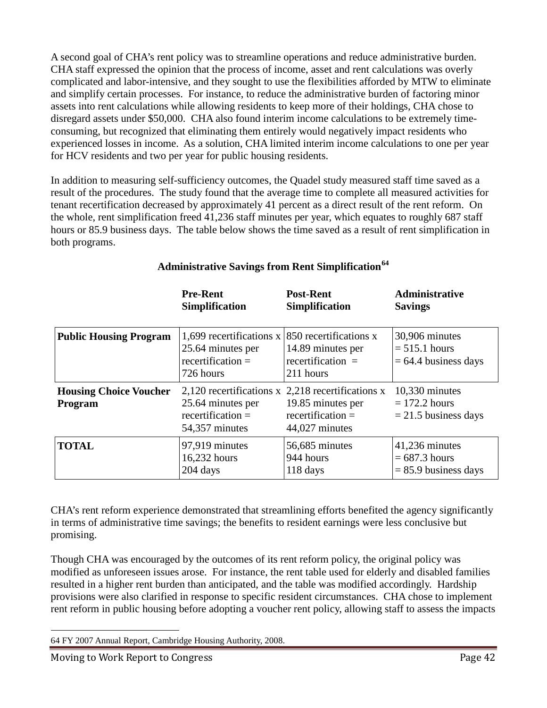A second goal of CHA's rent policy was to streamline operations and reduce administrative burden. CHA staff expressed the opinion that the process of income, asset and rent calculations was overly complicated and labor-intensive, and they sought to use the flexibilities afforded by MTW to eliminate and simplify certain processes. For instance, to reduce the administrative burden of factoring minor assets into rent calculations while allowing residents to keep more of their holdings, CHA chose to disregard assets under \$50,000. CHA also found interim income calculations to be extremely timeconsuming, but recognized that eliminating them entirely would negatively impact residents who experienced losses in income. As a solution, CHA limited interim income calculations to one per year for HCV residents and two per year for public housing residents.

In addition to measuring self-sufficiency outcomes, the Quadel study measured staff time saved as a result of the procedures. The study found that the average time to complete all measured activities for tenant recertification decreased by approximately 41 percent as a direct result of the rent reform. On the whole, rent simplification freed 41,236 staff minutes per year, which equates to roughly 687 staff hours or 85.9 business days. The table below shows the time saved as a result of rent simplification in both programs.

|                                          | <b>Pre-Rent</b>                                                                   | <b>Post-Rent</b>                                                                                                | <b>Administrative</b>                                       |
|------------------------------------------|-----------------------------------------------------------------------------------|-----------------------------------------------------------------------------------------------------------------|-------------------------------------------------------------|
|                                          | <b>Simplification</b>                                                             | <b>Simplification</b>                                                                                           | <b>Savings</b>                                              |
| <b>Public Housing Program</b>            | 1,699 recertifications x<br>25.64 minutes per<br>recertification $=$<br>726 hours | 850 recertifications x<br>14.89 minutes per<br>recertification $=$<br>211 hours                                 | 30,906 minutes<br>$= 515.1$ hours<br>$= 64.4$ business days |
| <b>Housing Choice Voucher</b><br>Program | 25.64 minutes per<br>recertification $=$<br>54,357 minutes                        | 2,120 recertifications x 2,218 recertifications x<br>19.85 minutes per<br>recertification $=$<br>44,027 minutes | 10,330 minutes<br>$= 172.2$ hours<br>$= 21.5$ business days |
| <b>TOTAL</b>                             | 97,919 minutes                                                                    | 56,685 minutes                                                                                                  | 41,236 minutes                                              |
|                                          | 16,232 hours                                                                      | 944 hours                                                                                                       | $= 687.3$ hours                                             |
|                                          | $204$ days                                                                        | $118 \text{ days}$                                                                                              | $= 85.9$ business days                                      |

#### **Administrative Savings from Rent Simplification<sup>64</sup>**

CHA's rent reform experience demonstrated that streamlining efforts benefited the agency significantly in terms of administrative time savings; the benefits to resident earnings were less conclusive but promising.

Though CHA was encouraged by the outcomes of its rent reform policy, the original policy was modified as unforeseen issues arose. For instance, the rent table used for elderly and disabled families resulted in a higher rent burden than anticipated, and the table was modified accordingly. Hardship provisions were also clarified in response to specific resident circumstances. CHA chose to implement rent reform in public housing before adopting a voucher rent policy, allowing staff to assess the impacts

 <sup>64</sup> FY 2007 Annual Report, Cambridge Housing Authority, 2008.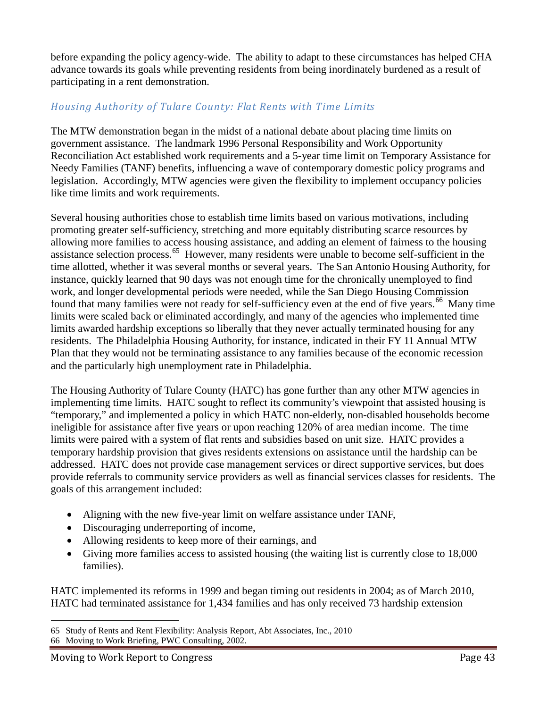before expanding the policy agency-wide. The ability to adapt to these circumstances has helped CHA advance towards its goals while preventing residents from being inordinately burdened as a result of participating in a rent demonstration.

#### *Housing Authority of Tulare County: Flat Rents with Time Limits*

The MTW demonstration began in the midst of a national debate about placing time limits on government assistance. The landmark 1996 Personal Responsibility and Work Opportunity Reconciliation Act established work requirements and a 5-year time limit on Temporary Assistance for Needy Families (TANF) benefits, influencing a wave of contemporary domestic policy programs and legislation. Accordingly, MTW agencies were given the flexibility to implement occupancy policies like time limits and work requirements.

Several housing authorities chose to establish time limits based on various motivations, including promoting greater self-sufficiency, stretching and more equitably distributing scarce resources by allowing more families to access housing assistance, and adding an element of fairness to the housing assistance selection process.<sup>65</sup> However, many residents were unable to become self-sufficient in the time allotted, whether it was several months or several years. The San Antonio Housing Authority, for instance, quickly learned that 90 days was not enough time for the chronically unemployed to find work, and longer developmental periods were needed, while the San Diego Housing Commission found that many families were not ready for self-sufficiency even at the end of five years.<sup>66</sup> Many time limits were scaled back or eliminated accordingly, and many of the agencies who implemented time limits awarded hardship exceptions so liberally that they never actually terminated housing for any residents. The Philadelphia Housing Authority, for instance, indicated in their FY 11 Annual MTW Plan that they would not be terminating assistance to any families because of the economic recession and the particularly high unemployment rate in Philadelphia.

The Housing Authority of Tulare County (HATC) has gone further than any other MTW agencies in implementing time limits. HATC sought to reflect its community's viewpoint that assisted housing is "temporary," and implemented a policy in which HATC non-elderly, non-disabled households become ineligible for assistance after five years or upon reaching 120% of area median income. The time limits were paired with a system of flat rents and subsidies based on unit size. HATC provides a temporary hardship provision that gives residents extensions on assistance until the hardship can be addressed. HATC does not provide case management services or direct supportive services, but does provide referrals to community service providers as well as financial services classes for residents. The goals of this arrangement included:

- Aligning with the new five-year limit on welfare assistance under TANF,
- Discouraging underreporting of income,
- Allowing residents to keep more of their earnings, and
- Giving more families access to assisted housing (the waiting list is currently close to 18,000 families).

HATC implemented its reforms in 1999 and began timing out residents in 2004; as of March 2010, HATC had terminated assistance for 1,434 families and has only received 73 hardship extension

 $\overline{a}$ 65 Study of Rents and Rent Flexibility: Analysis Report, Abt Associates, Inc., 2010

<sup>66</sup> Moving to Work Briefing, PWC Consulting, 2002.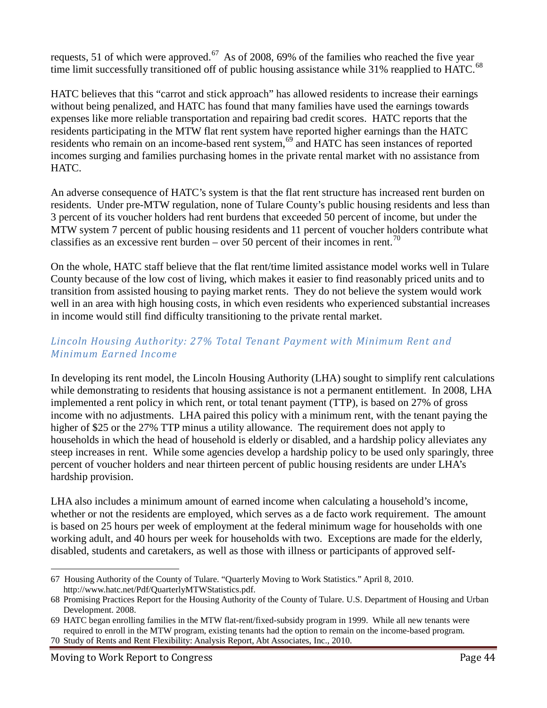requests, 51 of which were approved.<sup>67</sup> As of 2008, 69% of the families who reached the five year time limit successfully transitioned off of public housing assistance while 31% reapplied to HATC.<sup>68</sup>

HATC believes that this "carrot and stick approach" has allowed residents to increase their earnings without being penalized, and HATC has found that many families have used the earnings towards expenses like more reliable transportation and repairing bad credit scores. HATC reports that the residents participating in the MTW flat rent system have reported higher earnings than the HATC residents who remain on an income-based rent system,<sup>69</sup> and HATC has seen instances of reported incomes surging and families purchasing homes in the private rental market with no assistance from HATC.

An adverse consequence of HATC's system is that the flat rent structure has increased rent burden on residents. Under pre-MTW regulation, none of Tulare County's public housing residents and less than 3 percent of its voucher holders had rent burdens that exceeded 50 percent of income, but under the MTW system 7 percent of public housing residents and 11 percent of voucher holders contribute what classifies as an excessive rent burden – over 50 percent of their incomes in rent.<sup>70</sup>

On the whole, HATC staff believe that the flat rent/time limited assistance model works well in Tulare County because of the low cost of living, which makes it easier to find reasonably priced units and to transition from assisted housing to paying market rents. They do not believe the system would work well in an area with high housing costs, in which even residents who experienced substantial increases in income would still find difficulty transitioning to the private rental market.

#### *Lincoln Housing Authority: 27% Total Tenant Payment with Minimum Rent and Minimum Earned Income*

In developing its rent model, the Lincoln Housing Authority (LHA) sought to simplify rent calculations while demonstrating to residents that housing assistance is not a permanent entitlement. In 2008, LHA implemented a rent policy in which rent, or total tenant payment (TTP), is based on 27% of gross income with no adjustments. LHA paired this policy with a minimum rent, with the tenant paying the higher of \$25 or the 27% TTP minus a utility allowance. The requirement does not apply to households in which the head of household is elderly or disabled, and a hardship policy alleviates any steep increases in rent. While some agencies develop a hardship policy to be used only sparingly, three percent of voucher holders and near thirteen percent of public housing residents are under LHA's hardship provision.

LHA also includes a minimum amount of earned income when calculating a household's income, whether or not the residents are employed, which serves as a de facto work requirement. The amount is based on 25 hours per week of employment at the federal minimum wage for households with one working adult, and 40 hours per week for households with two. Exceptions are made for the elderly, disabled, students and caretakers, as well as those with illness or participants of approved self-

 $\overline{a}$ 67 Housing Authority of the County of Tulare. "Quarterly Moving to Work Statistics." April 8, 2010. http://www.hatc.net/Pdf/QuarterlyMTWStatistics.pdf.

<sup>68</sup> Promising Practices Report for the Housing Authority of the County of Tulare. U.S. Department of Housing and Urban Development. 2008.

<sup>69</sup> HATC began enrolling families in the MTW flat-rent/fixed-subsidy program in 1999. While all new tenants were required to enroll in the MTW program, existing tenants had the option to remain on the income-based program.

<sup>70</sup> Study of Rents and Rent Flexibility: Analysis Report, Abt Associates, Inc., 2010.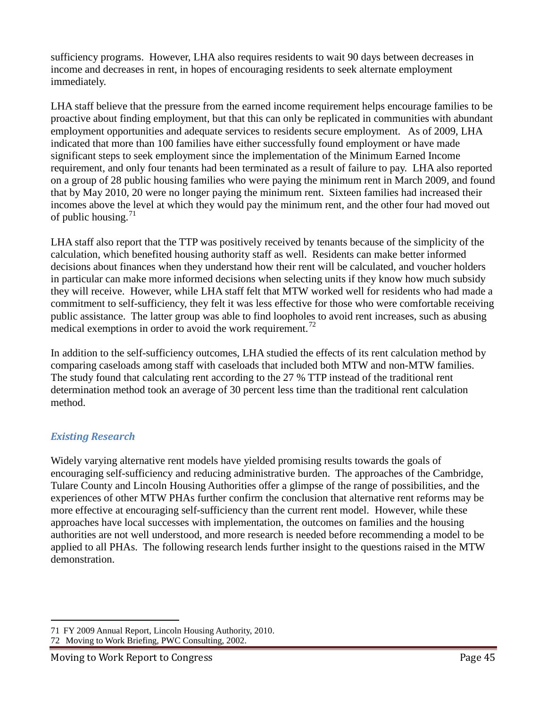sufficiency programs. However, LHA also requires residents to wait 90 days between decreases in income and decreases in rent, in hopes of encouraging residents to seek alternate employment immediately.

LHA staff believe that the pressure from the earned income requirement helps encourage families to be proactive about finding employment, but that this can only be replicated in communities with abundant employment opportunities and adequate services to residents secure employment. As of 2009, LHA indicated that more than 100 families have either successfully found employment or have made significant steps to seek employment since the implementation of the Minimum Earned Income requirement, and only four tenants had been terminated as a result of failure to pay. LHA also reported on a group of 28 public housing families who were paying the minimum rent in March 2009, and found that by May 2010, 20 were no longer paying the minimum rent. Sixteen families had increased their incomes above the level at which they would pay the minimum rent, and the other four had moved out of public housing. $71$ 

LHA staff also report that the TTP was positively received by tenants because of the simplicity of the calculation, which benefited housing authority staff as well. Residents can make better informed decisions about finances when they understand how their rent will be calculated, and voucher holders in particular can make more informed decisions when selecting units if they know how much subsidy they will receive. However, while LHA staff felt that MTW worked well for residents who had made a commitment to self-sufficiency, they felt it was less effective for those who were comfortable receiving public assistance. The latter group was able to find loopholes to avoid rent increases, such as abusing medical exemptions in order to avoid the work requirement.<sup>72</sup>

In addition to the self-sufficiency outcomes, LHA studied the effects of its rent calculation method by comparing caseloads among staff with caseloads that included both MTW and non-MTW families. The study found that calculating rent according to the 27 % TTP instead of the traditional rent determination method took an average of 30 percent less time than the traditional rent calculation method.

#### *Existing Research*

Widely varying alternative rent models have yielded promising results towards the goals of encouraging self-sufficiency and reducing administrative burden. The approaches of the Cambridge, Tulare County and Lincoln Housing Authorities offer a glimpse of the range of possibilities, and the experiences of other MTW PHAs further confirm the conclusion that alternative rent reforms may be more effective at encouraging self-sufficiency than the current rent model. However, while these approaches have local successes with implementation, the outcomes on families and the housing authorities are not well understood, and more research is needed before recommending a model to be applied to all PHAs. The following research lends further insight to the questions raised in the MTW demonstration.

 $\overline{a}$ 71 FY 2009 Annual Report, Lincoln Housing Authority, 2010.

<sup>72</sup> Moving to Work Briefing, PWC Consulting, 2002.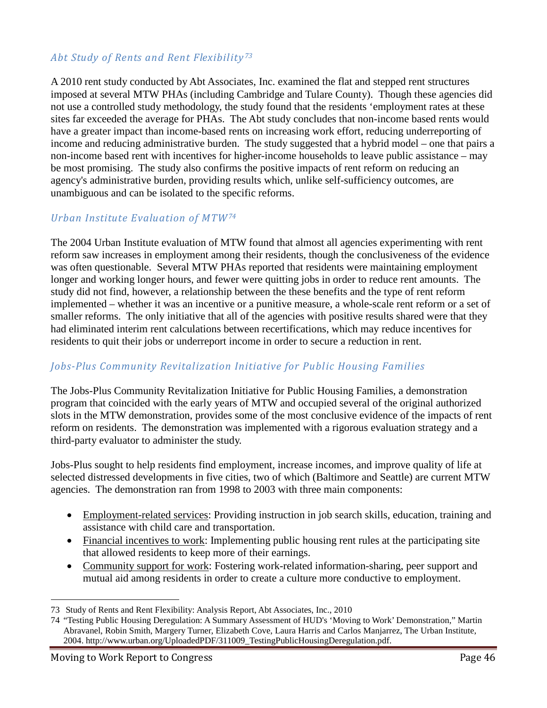#### *Abt Study of Rents and Rent Flexibility 73*

A 2010 rent study conducted by Abt Associates, Inc. examined the flat and stepped rent structures imposed at several MTW PHAs (including Cambridge and Tulare County). Though these agencies did not use a controlled study methodology, the study found that the residents 'employment rates at these sites far exceeded the average for PHAs. The Abt study concludes that non-income based rents would have a greater impact than income-based rents on increasing work effort, reducing underreporting of income and reducing administrative burden. The study suggested that a hybrid model – one that pairs a non-income based rent with incentives for higher-income households to leave public assistance – may be most promising. The study also confirms the positive impacts of rent reform on reducing an agency's administrative burden, providing results which, unlike self-sufficiency outcomes, are unambiguous and can be isolated to the specific reforms.

#### *Urban Institute Evaluation of MTW74*

The 2004 Urban Institute evaluation of MTW found that almost all agencies experimenting with rent reform saw increases in employment among their residents, though the conclusiveness of the evidence was often questionable. Several MTW PHAs reported that residents were maintaining employment longer and working longer hours, and fewer were quitting jobs in order to reduce rent amounts. The study did not find, however, a relationship between the these benefits and the type of rent reform implemented – whether it was an incentive or a punitive measure, a whole-scale rent reform or a set of smaller reforms. The only initiative that all of the agencies with positive results shared were that they had eliminated interim rent calculations between recertifications, which may reduce incentives for residents to quit their jobs or underreport income in order to secure a reduction in rent.

#### *Jobs-Plus Community Revitalization Initiative for Public Housing Families*

The Jobs-Plus Community Revitalization Initiative for Public Housing Families, a demonstration program that coincided with the early years of MTW and occupied several of the original authorized slots in the MTW demonstration, provides some of the most conclusive evidence of the impacts of rent reform on residents. The demonstration was implemented with a rigorous evaluation strategy and a third-party evaluator to administer the study.

Jobs-Plus sought to help residents find employment, increase incomes, and improve quality of life at selected distressed developments in five cities, two of which (Baltimore and Seattle) are current MTW agencies. The demonstration ran from 1998 to 2003 with three main components:

- Employment-related services: Providing instruction in job search skills, education, training and assistance with child care and transportation.
- Financial incentives to work: Implementing public housing rent rules at the participating site that allowed residents to keep more of their earnings.
- Community support for work: Fostering work-related information-sharing, peer support and mutual aid among residents in order to create a culture more conductive to employment.

 <sup>73</sup> Study of Rents and Rent Flexibility: Analysis Report, Abt Associates, Inc., 2010

<sup>74</sup> "Testing Public Housing Deregulation: A Summary Assessment of HUD's 'Moving to Work' Demonstration," Martin Abravanel, Robin Smith, Margery Turner, Elizabeth Cove, Laura Harris and Carlos Manjarrez, The Urban Institute, 2004. http://www.urban.org/UploadedPDF/311009\_TestingPublicHousingDeregulation.pdf.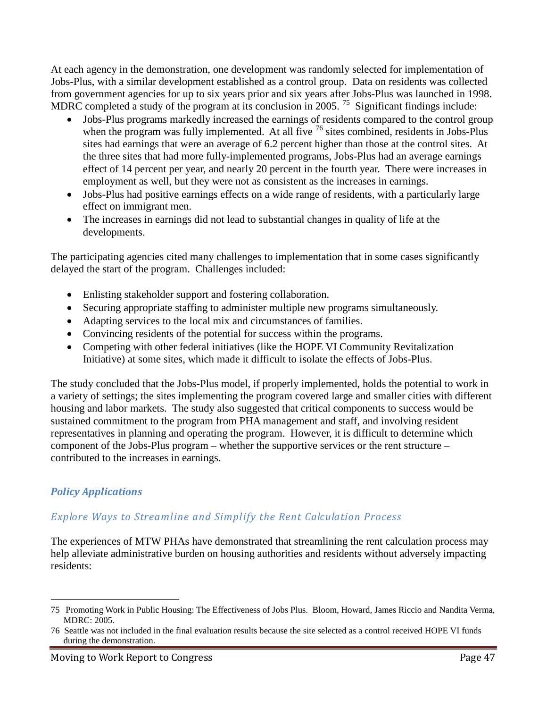At each agency in the demonstration, one development was randomly selected for implementation of Jobs-Plus, with a similar development established as a control group. Data on residents was collected from government agencies for up to six years prior and six years after Jobs-Plus was launched in 1998. MDRC completed a study of the program at its conclusion in 2005. <sup>75</sup> Significant findings include:

- Jobs-Plus programs markedly increased the earnings of residents compared to the control group when the program was fully implemented. At all five <sup>76</sup> sites combined, residents in Jobs-Plus sites had earnings that were an average of 6.2 percent higher than those at the control sites. At the three sites that had more fully-implemented programs, Jobs-Plus had an average earnings effect of 14 percent per year, and nearly 20 percent in the fourth year. There were increases in employment as well, but they were not as consistent as the increases in earnings.
- Jobs-Plus had positive earnings effects on a wide range of residents, with a particularly large effect on immigrant men.
- The increases in earnings did not lead to substantial changes in quality of life at the developments.

The participating agencies cited many challenges to implementation that in some cases significantly delayed the start of the program. Challenges included:

- Enlisting stakeholder support and fostering collaboration.
- Securing appropriate staffing to administer multiple new programs simultaneously.
- Adapting services to the local mix and circumstances of families.
- Convincing residents of the potential for success within the programs.
- Competing with other federal initiatives (like the HOPE VI Community Revitalization Initiative) at some sites, which made it difficult to isolate the effects of Jobs-Plus.

The study concluded that the Jobs-Plus model, if properly implemented, holds the potential to work in a variety of settings; the sites implementing the program covered large and smaller cities with different housing and labor markets. The study also suggested that critical components to success would be sustained commitment to the program from PHA management and staff, and involving resident representatives in planning and operating the program. However, it is difficult to determine which component of the Jobs-Plus program – whether the supportive services or the rent structure – contributed to the increases in earnings.

## *Policy Applications*

#### *Explore Ways to Streamline and Simplify the Rent Calculation Process*

The experiences of MTW PHAs have demonstrated that streamlining the rent calculation process may help alleviate administrative burden on housing authorities and residents without adversely impacting residents:

 <sup>75</sup> Promoting Work in Public Housing: The Effectiveness of Jobs Plus. Bloom, Howard, James Riccio and Nandita Verma, MDRC: 2005.

<sup>76</sup> Seattle was not included in the final evaluation results because the site selected as a control received HOPE VI funds during the demonstration.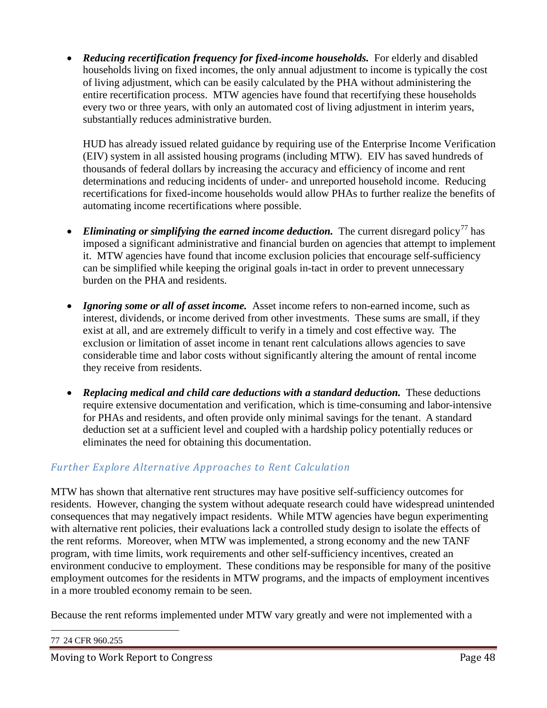• *Reducing recertification frequency for fixed-income households.* For elderly and disabled households living on fixed incomes, the only annual adjustment to income is typically the cost of living adjustment, which can be easily calculated by the PHA without administering the entire recertification process. MTW agencies have found that recertifying these households every two or three years, with only an automated cost of living adjustment in interim years, substantially reduces administrative burden.

HUD has already issued related guidance by requiring use of the Enterprise Income Verification (EIV) system in all assisted housing programs (including MTW). EIV has saved hundreds of thousands of federal dollars by increasing the accuracy and efficiency of income and rent determinations and reducing incidents of under- and unreported household income. Reducing recertifications for fixed-income households would allow PHAs to further realize the benefits of automating income recertifications where possible.

- *Eliminating or simplifying the earned income deduction.* The current disregard policy<sup>77</sup> has imposed a significant administrative and financial burden on agencies that attempt to implement it. MTW agencies have found that income exclusion policies that encourage self-sufficiency can be simplified while keeping the original goals in-tact in order to prevent unnecessary burden on the PHA and residents.
- *Ignoring some or all of asset income.* Asset income refers to non-earned income, such as interest, dividends, or income derived from other investments. These sums are small, if they exist at all, and are extremely difficult to verify in a timely and cost effective way. The exclusion or limitation of asset income in tenant rent calculations allows agencies to save considerable time and labor costs without significantly altering the amount of rental income they receive from residents.
- *Replacing medical and child care deductions with a standard deduction.* These deductions require extensive documentation and verification, which is time-consuming and labor-intensive for PHAs and residents, and often provide only minimal savings for the tenant. A standard deduction set at a sufficient level and coupled with a hardship policy potentially reduces or eliminates the need for obtaining this documentation.

## *Further Explore Alternative Approaches to Rent Calculation*

MTW has shown that alternative rent structures may have positive self-sufficiency outcomes for residents. However, changing the system without adequate research could have widespread unintended consequences that may negatively impact residents. While MTW agencies have begun experimenting with alternative rent policies, their evaluations lack a controlled study design to isolate the effects of the rent reforms. Moreover, when MTW was implemented, a strong economy and the new TANF program, with time limits, work requirements and other self-sufficiency incentives, created an environment conducive to employment. These conditions may be responsible for many of the positive employment outcomes for the residents in MTW programs, and the impacts of employment incentives in a more troubled economy remain to be seen.

Because the rent reforms implemented under MTW vary greatly and were not implemented with a

77 24 CFR 960.255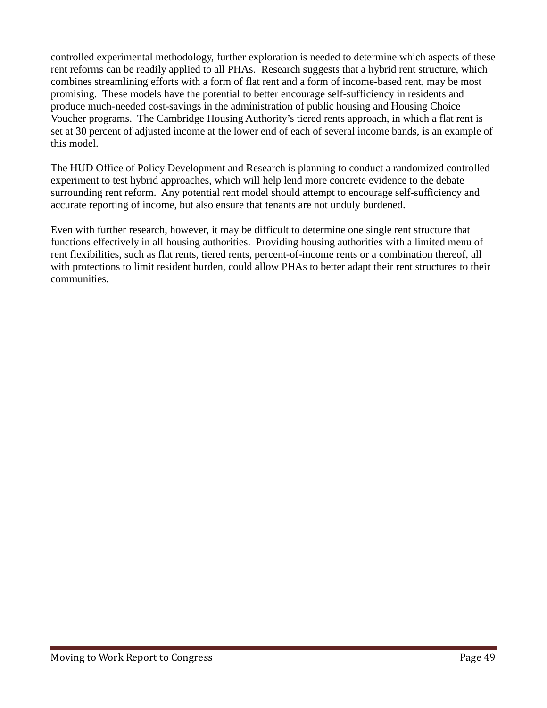controlled experimental methodology, further exploration is needed to determine which aspects of these rent reforms can be readily applied to all PHAs. Research suggests that a hybrid rent structure, which combines streamlining efforts with a form of flat rent and a form of income-based rent, may be most promising. These models have the potential to better encourage self-sufficiency in residents and produce much-needed cost-savings in the administration of public housing and Housing Choice Voucher programs. The Cambridge Housing Authority's tiered rents approach, in which a flat rent is set at 30 percent of adjusted income at the lower end of each of several income bands, is an example of this model.

The HUD Office of Policy Development and Research is planning to conduct a randomized controlled experiment to test hybrid approaches, which will help lend more concrete evidence to the debate surrounding rent reform. Any potential rent model should attempt to encourage self-sufficiency and accurate reporting of income, but also ensure that tenants are not unduly burdened.

Even with further research, however, it may be difficult to determine one single rent structure that functions effectively in all housing authorities. Providing housing authorities with a limited menu of rent flexibilities, such as flat rents, tiered rents, percent-of-income rents or a combination thereof, all with protections to limit resident burden, could allow PHAs to better adapt their rent structures to their communities.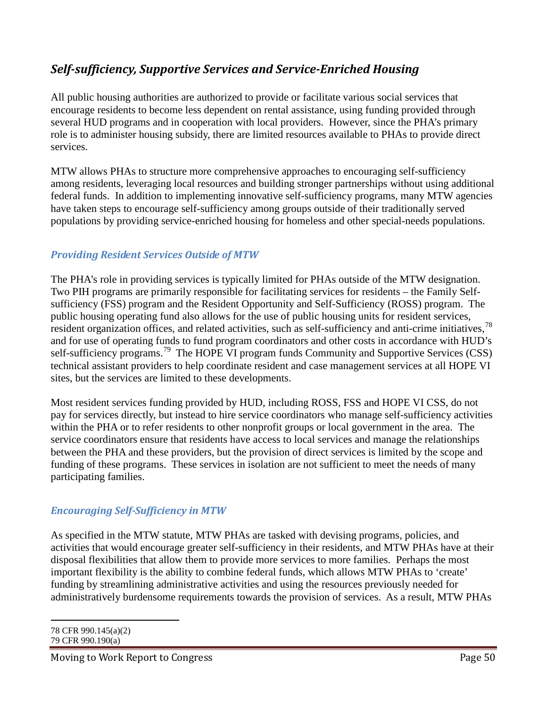# *Self-sufficiency, Supportive Services and Service-Enriched Housing*

All public housing authorities are authorized to provide or facilitate various social services that encourage residents to become less dependent on rental assistance, using funding provided through several HUD programs and in cooperation with local providers. However, since the PHA's primary role is to administer housing subsidy, there are limited resources available to PHAs to provide direct services.

MTW allows PHAs to structure more comprehensive approaches to encouraging self-sufficiency among residents, leveraging local resources and building stronger partnerships without using additional federal funds. In addition to implementing innovative self-sufficiency programs, many MTW agencies have taken steps to encourage self-sufficiency among groups outside of their traditionally served populations by providing service-enriched housing for homeless and other special-needs populations.

#### *Providing Resident Services Outside of MTW*

The PHA's role in providing services is typically limited for PHAs outside of the MTW designation. Two PIH programs are primarily responsible for facilitating services for residents – the Family Selfsufficiency (FSS) program and the Resident Opportunity and Self-Sufficiency (ROSS) program. The public housing operating fund also allows for the use of public housing units for resident services, resident organization offices, and related activities, such as self-sufficiency and anti-crime initiatives,<sup>78</sup> and for use of operating funds to fund program coordinators and other costs in accordance with HUD's self-sufficiency programs.<sup>79</sup> The HOPE VI program funds Community and Supportive Services (CSS) technical assistant providers to help coordinate resident and case management services at all HOPE VI sites, but the services are limited to these developments.

Most resident services funding provided by HUD, including ROSS, FSS and HOPE VI CSS, do not pay for services directly, but instead to hire service coordinators who manage self-sufficiency activities within the PHA or to refer residents to other nonprofit groups or local government in the area. The service coordinators ensure that residents have access to local services and manage the relationships between the PHA and these providers, but the provision of direct services is limited by the scope and funding of these programs. These services in isolation are not sufficient to meet the needs of many participating families.

#### *Encouraging Self-Sufficiency in MTW*

As specified in the MTW statute, MTW PHAs are tasked with devising programs, policies, and activities that would encourage greater self-sufficiency in their residents, and MTW PHAs have at their disposal flexibilities that allow them to provide more services to more families. Perhaps the most important flexibility is the ability to combine federal funds, which allows MTW PHAs to 'create' funding by streamlining administrative activities and using the resources previously needed for administratively burdensome requirements towards the provision of services. As a result, MTW PHAs

78 CFR 990.145(a)(2) 79 CFR 990.190(a)

 $\overline{a}$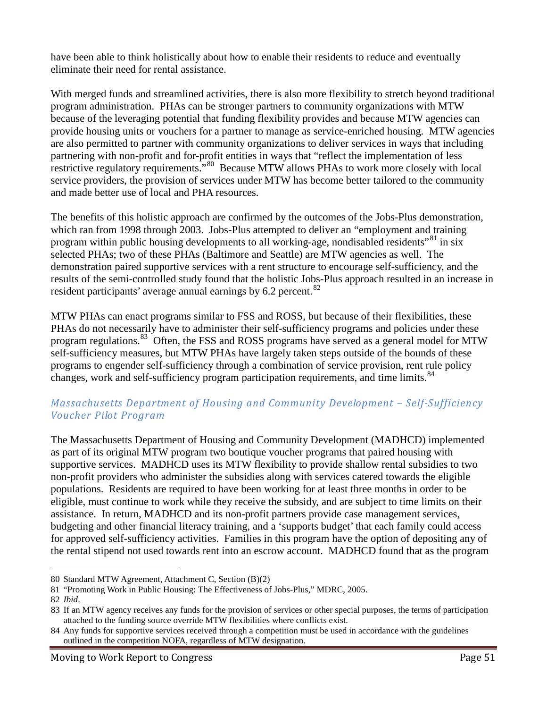have been able to think holistically about how to enable their residents to reduce and eventually eliminate their need for rental assistance.

With merged funds and streamlined activities, there is also more flexibility to stretch beyond traditional program administration. PHAs can be stronger partners to community organizations with MTW because of the leveraging potential that funding flexibility provides and because MTW agencies can provide housing units or vouchers for a partner to manage as service-enriched housing. MTW agencies are also permitted to partner with community organizations to deliver services in ways that including partnering with non-profit and for-profit entities in ways that "reflect the implementation of less restrictive regulatory requirements.<sup>"80</sup> Because MTW allows PHAs to work more closely with local service providers, the provision of services under MTW has become better tailored to the community and made better use of local and PHA resources.

The benefits of this holistic approach are confirmed by the outcomes of the Jobs-Plus demonstration, which ran from 1998 through 2003. Jobs-Plus attempted to deliver an "employment and training program within public housing developments to all working-age, nondisabled residents<sup>"81</sup> in six selected PHAs; two of these PHAs (Baltimore and Seattle) are MTW agencies as well. The demonstration paired supportive services with a rent structure to encourage self-sufficiency, and the results of the semi-controlled study found that the holistic Jobs-Plus approach resulted in an increase in resident participants' average annual earnings by  $6.2$  percent.<sup>82</sup>

MTW PHAs can enact programs similar to FSS and ROSS, but because of their flexibilities, these PHAs do not necessarily have to administer their self-sufficiency programs and policies under these program regulations.<sup>83</sup> Often, the FSS and ROSS programs have served as a general model for MTW self-sufficiency measures, but MTW PHAs have largely taken steps outside of the bounds of these programs to engender self-sufficiency through a combination of service provision, rent rule policy changes, work and self-sufficiency program participation requirements, and time limits.<sup>84</sup>

#### *Massachusetts Department of Housing and Community Development – Self-Sufficiency Voucher Pilot Program*

The Massachusetts Department of Housing and Community Development (MADHCD) implemented as part of its original MTW program two boutique voucher programs that paired housing with supportive services. MADHCD uses its MTW flexibility to provide shallow rental subsidies to two non-profit providers who administer the subsidies along with services catered towards the eligible populations. Residents are required to have been working for at least three months in order to be eligible, must continue to work while they receive the subsidy, and are subject to time limits on their assistance. In return, MADHCD and its non-profit partners provide case management services, budgeting and other financial literacy training, and a 'supports budget' that each family could access for approved self-sufficiency activities. Families in this program have the option of depositing any of the rental stipend not used towards rent into an escrow account. MADHCD found that as the program

 $\overline{a}$ 

<sup>80</sup> Standard MTW Agreement, Attachment C, Section (B)(2)

<sup>81</sup> "Promoting Work in Public Housing: The Effectiveness of Jobs-Plus," MDRC, 2005.

<sup>82</sup> *Ibid*.

<sup>83</sup> If an MTW agency receives any funds for the provision of services or other special purposes, the terms of participation attached to the funding source override MTW flexibilities where conflicts exist.

<sup>84</sup> Any funds for supportive services received through a competition must be used in accordance with the guidelines outlined in the competition NOFA, regardless of MTW designation.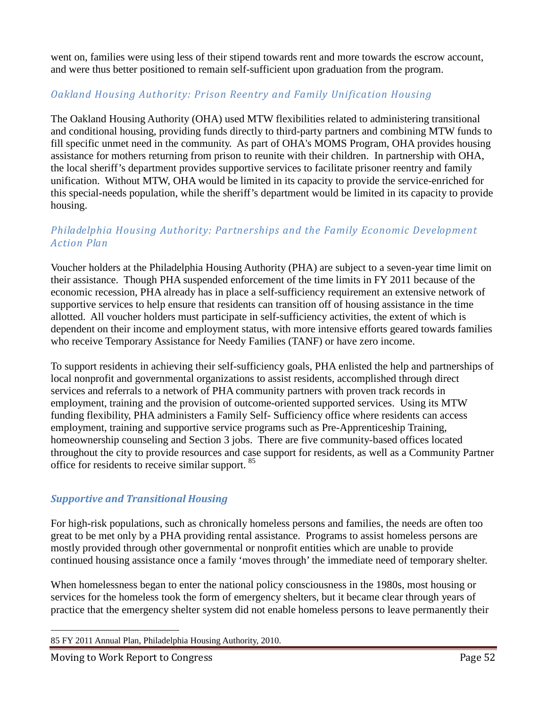went on, families were using less of their stipend towards rent and more towards the escrow account, and were thus better positioned to remain self-sufficient upon graduation from the program.

### *Oakland Housing Authority: Prison Reentry and Family Unification Housing*

The Oakland Housing Authority (OHA) used MTW flexibilities related to administering transitional and conditional housing, providing funds directly to third-party partners and combining MTW funds to fill specific unmet need in the community. As part of OHA's MOMS Program, OHA provides housing assistance for mothers returning from prison to reunite with their children. In partnership with OHA, the local sheriff's department provides supportive services to facilitate prisoner reentry and family unification. Without MTW, OHA would be limited in its capacity to provide the service-enriched for this special-needs population, while the sheriff's department would be limited in its capacity to provide housing.

#### *Philadelphia Housing Authority: Partnerships and the Family Economic Development Action Plan*

Voucher holders at the Philadelphia Housing Authority (PHA) are subject to a seven-year time limit on their assistance. Though PHA suspended enforcement of the time limits in FY 2011 because of the economic recession, PHA already has in place a self-sufficiency requirement an extensive network of supportive services to help ensure that residents can transition off of housing assistance in the time allotted. All voucher holders must participate in self-sufficiency activities, the extent of which is dependent on their income and employment status, with more intensive efforts geared towards families who receive Temporary Assistance for Needy Families (TANF) or have zero income.

To support residents in achieving their self-sufficiency goals, PHA enlisted the help and partnerships of local nonprofit and governmental organizations to assist residents, accomplished through direct services and referrals to a network of PHA community partners with proven track records in employment, training and the provision of outcome-oriented supported services. Using its MTW funding flexibility, PHA administers a Family Self- Sufficiency office where residents can access employment, training and supportive service programs such as Pre-Apprenticeship Training, homeownership counseling and Section 3 jobs. There are five community-based offices located throughout the city to provide resources and case support for residents, as well as a Community Partner office for residents to receive similar support.<sup>85</sup>

#### *Supportive and Transitional Housing*

For high-risk populations, such as chronically homeless persons and families, the needs are often too great to be met only by a PHA providing rental assistance. Programs to assist homeless persons are mostly provided through other governmental or nonprofit entities which are unable to provide continued housing assistance once a family 'moves through' the immediate need of temporary shelter.

When homelessness began to enter the national policy consciousness in the 1980s, most housing or services for the homeless took the form of emergency shelters, but it became clear through years of practice that the emergency shelter system did not enable homeless persons to leave permanently their

 <sup>85</sup> FY 2011 Annual Plan, Philadelphia Housing Authority, 2010.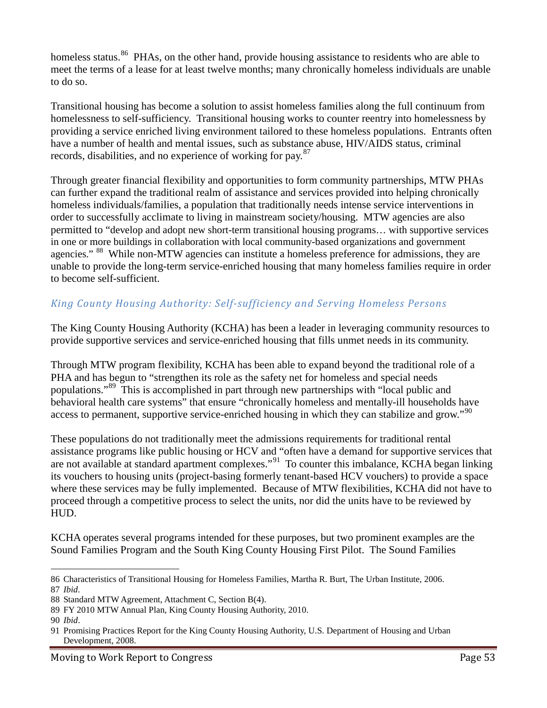homeless status.<sup>86</sup> PHAs, on the other hand, provide housing assistance to residents who are able to meet the terms of a lease for at least twelve months; many chronically homeless individuals are unable to do so.

Transitional housing has become a solution to assist homeless families along the full continuum from homelessness to self-sufficiency. Transitional housing works to counter reentry into homelessness by providing a service enriched living environment tailored to these homeless populations. Entrants often have a number of health and mental issues, such as substance abuse, HIV/AIDS status, criminal records, disabilities, and no experience of working for pay.<sup>87</sup>

Through greater financial flexibility and opportunities to form community partnerships, MTW PHAs can further expand the traditional realm of assistance and services provided into helping chronically homeless individuals/families, a population that traditionally needs intense service interventions in order to successfully acclimate to living in mainstream society/housing. MTW agencies are also permitted to "develop and adopt new short-term transitional housing programs… with supportive services in one or more buildings in collaboration with local community-based organizations and government agencies." <sup>88</sup> While non-MTW agencies can institute a homeless preference for admissions, they are unable to provide the long-term service-enriched housing that many homeless families require in order to become self-sufficient.

## *King County Housing Authority: Self-sufficiency and Serving Homeless Persons*

The King County Housing Authority (KCHA) has been a leader in leveraging community resources to provide supportive services and service-enriched housing that fills unmet needs in its community.

Through MTW program flexibility, KCHA has been able to expand beyond the traditional role of a PHA and has begun to "strengthen its role as the safety net for homeless and special needs populations."<sup>89</sup> This is accomplished in part through new partnerships with "local public and behavioral health care systems" that ensure "chronically homeless and mentally-ill households have access to permanent, supportive service-enriched housing in which they can stabilize and grow."<sup>90</sup>

These populations do not traditionally meet the admissions requirements for traditional rental assistance programs like public housing or HCV and "often have a demand for supportive services that are not available at standard apartment complexes."<sup>91</sup> To counter this imbalance, KCHA began linking its vouchers to housing units (project-basing formerly tenant-based HCV vouchers) to provide a space where these services may be fully implemented. Because of MTW flexibilities, KCHA did not have to proceed through a competitive process to select the units, nor did the units have to be reviewed by HUD.

KCHA operates several programs intended for these purposes, but two prominent examples are the Sound Families Program and the South King County Housing First Pilot. The Sound Families

 $\overline{a}$ 

<sup>86</sup> Characteristics of Transitional Housing for Homeless Families, Martha R. Burt, The Urban Institute, 2006. 87 *Ibid*.

<sup>88</sup> Standard MTW Agreement, Attachment C, Section B(4).

<sup>89</sup> FY 2010 MTW Annual Plan, King County Housing Authority, 2010.

<sup>90</sup> *Ibid*.

<sup>91</sup> Promising Practices Report for the King County Housing Authority, U.S. Department of Housing and Urban Development, 2008.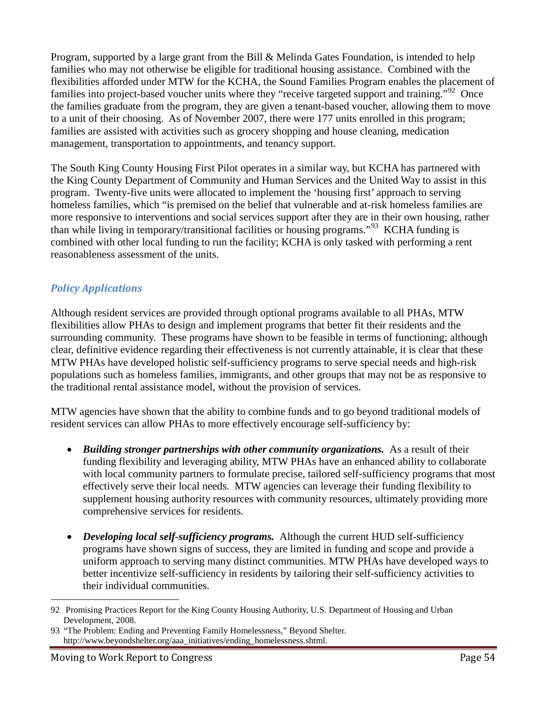Program, supported by a large grant from the Bill & Melinda Gates Foundation, is intended to help families who may not otherwise be eligible for traditional housing assistance. Combined with the flexibilities afforded under MTW for the KCHA, the Sound Families Program enables the placement of families into project-based voucher units where they "receive targeted support and training."<sup>92</sup> Once the families graduate from the program, they are given a tenant-based voucher, allowing them to move to a unit of their choosing. As of November 2007, there were 177 units enrolled in this program; families are assisted with activities such as grocery shopping and house cleaning, medication management, transportation to appointments, and tenancy support.

The South King County Housing First Pilot operates in a similar way, but KCHA has partnered with the King County Department of Community and Human Services and the United Way to assist in this program. Twenty-five units were allocated to implement the 'housing first' approach to serving homeless families, which "is premised on the belief that vulnerable and at-risk homeless families are more responsive to interventions and social services support after they are in their own housing, rather than while living in temporary/transitional facilities or housing programs."<sup>93</sup> KCHA funding is combined with other local funding to run the facility; KCHA is only tasked with performing a rent reasonableness assessment of the units.

#### *Policy Applications*

Although resident services are provided through optional programs available to all PHAs, MTW flexibilities allow PHAs to design and implement programs that better fit their residents and the surrounding community. These programs have shown to be feasible in terms of functioning; although clear, definitive evidence regarding their effectiveness is not currently attainable, it is clear that these MTW PHAs have developed holistic self-sufficiency programs to serve special needs and high-risk populations such as homeless families, immigrants, and other groups that may not be as responsive to the traditional rental assistance model, without the provision of services.

MTW agencies have shown that the ability to combine funds and to go beyond traditional models of resident services can allow PHAs to more effectively encourage self-sufficiency by:

- *Building stronger partnerships with other community organizations.* As a result of their funding flexibility and leveraging ability, MTW PHAs have an enhanced ability to collaborate with local community partners to formulate precise, tailored self-sufficiency programs that most effectively serve their local needs. MTW agencies can leverage their funding flexibility to supplement housing authority resources with community resources, ultimately providing more comprehensive services for residents.
- *Developing local self-sufficiency programs.* Although the current HUD self-sufficiency programs have shown signs of success, they are limited in funding and scope and provide a uniform approach to serving many distinct communities. MTW PHAs have developed ways to better incentivize self-sufficiency in residents by tailoring their self-sufficiency activities to their individual communities.

 <sup>92</sup> Promising Practices Report for the King County Housing Authority, U.S. Department of Housing and Urban Development, 2008.

<sup>93</sup> "The Problem: Ending and Preventing Family Homelessness," Beyond Shelter. http://www.beyondshelter.org/aaa\_initiatives/ending\_homelessness.shtml.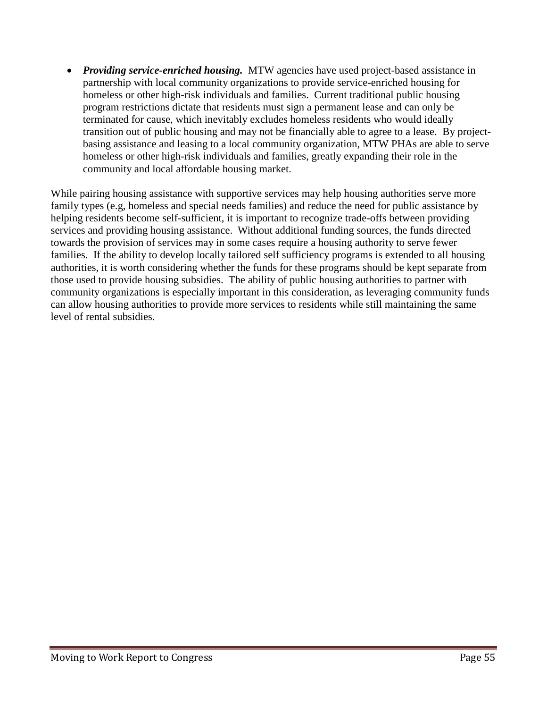• *Providing service-enriched housing.* MTW agencies have used project-based assistance in partnership with local community organizations to provide service-enriched housing for homeless or other high-risk individuals and families. Current traditional public housing program restrictions dictate that residents must sign a permanent lease and can only be terminated for cause, which inevitably excludes homeless residents who would ideally transition out of public housing and may not be financially able to agree to a lease. By projectbasing assistance and leasing to a local community organization, MTW PHAs are able to serve homeless or other high-risk individuals and families, greatly expanding their role in the community and local affordable housing market.

While pairing housing assistance with supportive services may help housing authorities serve more family types (e.g, homeless and special needs families) and reduce the need for public assistance by helping residents become self-sufficient, it is important to recognize trade-offs between providing services and providing housing assistance. Without additional funding sources, the funds directed towards the provision of services may in some cases require a housing authority to serve fewer families. If the ability to develop locally tailored self sufficiency programs is extended to all housing authorities, it is worth considering whether the funds for these programs should be kept separate from those used to provide housing subsidies. The ability of public housing authorities to partner with community organizations is especially important in this consideration, as leveraging community funds can allow housing authorities to provide more services to residents while still maintaining the same level of rental subsidies.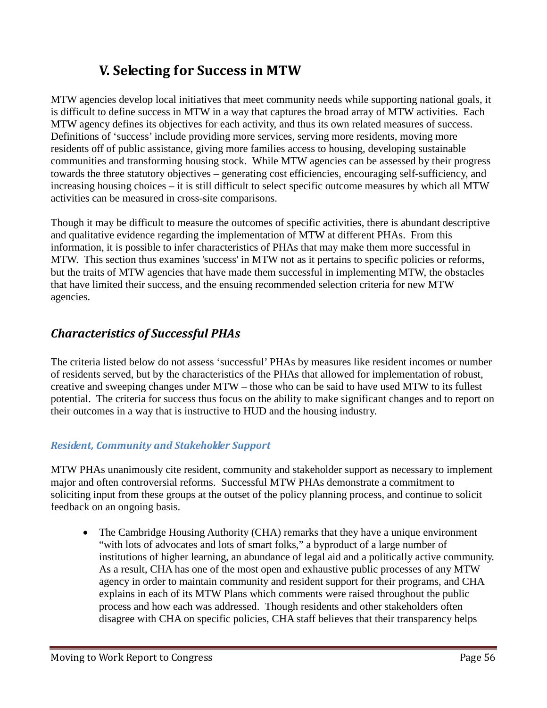# **V. Selecting for Success in MTW**

MTW agencies develop local initiatives that meet community needs while supporting national goals, it is difficult to define success in MTW in a way that captures the broad array of MTW activities. Each MTW agency defines its objectives for each activity, and thus its own related measures of success. Definitions of 'success' include providing more services, serving more residents, moving more residents off of public assistance, giving more families access to housing, developing sustainable communities and transforming housing stock. While MTW agencies can be assessed by their progress towards the three statutory objectives – generating cost efficiencies, encouraging self-sufficiency, and increasing housing choices – it is still difficult to select specific outcome measures by which all MTW activities can be measured in cross-site comparisons.

Though it may be difficult to measure the outcomes of specific activities, there is abundant descriptive and qualitative evidence regarding the implementation of MTW at different PHAs. From this information, it is possible to infer characteristics of PHAs that may make them more successful in MTW. This section thus examines 'success' in MTW not as it pertains to specific policies or reforms, but the traits of MTW agencies that have made them successful in implementing MTW, the obstacles that have limited their success, and the ensuing recommended selection criteria for new MTW agencies.

# *Characteristics of Successful PHAs*

The criteria listed below do not assess 'successful' PHAs by measures like resident incomes or number of residents served, but by the characteristics of the PHAs that allowed for implementation of robust, creative and sweeping changes under MTW – those who can be said to have used MTW to its fullest potential. The criteria for success thus focus on the ability to make significant changes and to report on their outcomes in a way that is instructive to HUD and the housing industry.

#### *Resident, Community and Stakeholder Support*

MTW PHAs unanimously cite resident, community and stakeholder support as necessary to implement major and often controversial reforms. Successful MTW PHAs demonstrate a commitment to soliciting input from these groups at the outset of the policy planning process, and continue to solicit feedback on an ongoing basis.

• The Cambridge Housing Authority (CHA) remarks that they have a unique environment "with lots of advocates and lots of smart folks," a byproduct of a large number of institutions of higher learning, an abundance of legal aid and a politically active community. As a result, CHA has one of the most open and exhaustive public processes of any MTW agency in order to maintain community and resident support for their programs, and CHA explains in each of its MTW Plans which comments were raised throughout the public process and how each was addressed. Though residents and other stakeholders often disagree with CHA on specific policies, CHA staff believes that their transparency helps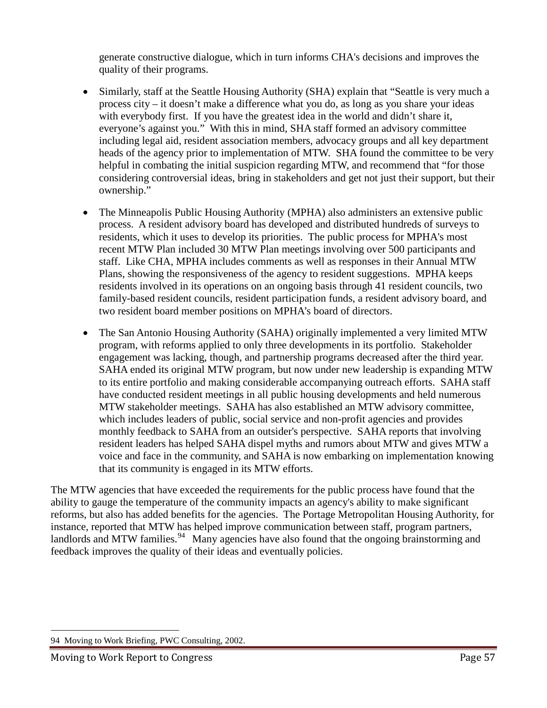generate constructive dialogue, which in turn informs CHA's decisions and improves the quality of their programs.

- Similarly, staff at the Seattle Housing Authority (SHA) explain that "Seattle is very much a process city – it doesn't make a difference what you do, as long as you share your ideas with everybody first. If you have the greatest idea in the world and didn't share it, everyone's against you." With this in mind, SHA staff formed an advisory committee including legal aid, resident association members, advocacy groups and all key department heads of the agency prior to implementation of MTW. SHA found the committee to be very helpful in combating the initial suspicion regarding MTW, and recommend that "for those considering controversial ideas, bring in stakeholders and get not just their support, but their ownership."
- The Minneapolis Public Housing Authority (MPHA) also administers an extensive public process. A resident advisory board has developed and distributed hundreds of surveys to residents, which it uses to develop its priorities. The public process for MPHA's most recent MTW Plan included 30 MTW Plan meetings involving over 500 participants and staff. Like CHA, MPHA includes comments as well as responses in their Annual MTW Plans, showing the responsiveness of the agency to resident suggestions. MPHA keeps residents involved in its operations on an ongoing basis through 41 resident councils, two family-based resident councils, resident participation funds, a resident advisory board, and two resident board member positions on MPHA's board of directors.
- The San Antonio Housing Authority (SAHA) originally implemented a very limited MTW program, with reforms applied to only three developments in its portfolio. Stakeholder engagement was lacking, though, and partnership programs decreased after the third year. SAHA ended its original MTW program, but now under new leadership is expanding MTW to its entire portfolio and making considerable accompanying outreach efforts. SAHA staff have conducted resident meetings in all public housing developments and held numerous MTW stakeholder meetings. SAHA has also established an MTW advisory committee, which includes leaders of public, social service and non-profit agencies and provides monthly feedback to SAHA from an outsider's perspective. SAHA reports that involving resident leaders has helped SAHA dispel myths and rumors about MTW and gives MTW a voice and face in the community, and SAHA is now embarking on implementation knowing that its community is engaged in its MTW efforts.

The MTW agencies that have exceeded the requirements for the public process have found that the ability to gauge the temperature of the community impacts an agency's ability to make significant reforms, but also has added benefits for the agencies. The Portage Metropolitan Housing Authority, for instance, reported that MTW has helped improve communication between staff, program partners, landlords and MTW families.<sup>94</sup> Many agencies have also found that the ongoing brainstorming and feedback improves the quality of their ideas and eventually policies.

 <sup>94</sup> Moving to Work Briefing, PWC Consulting, 2002.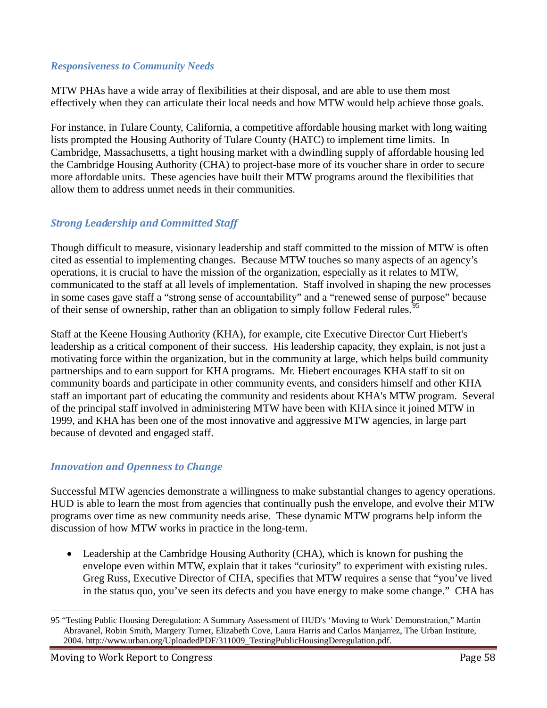#### *Responsiveness to Community Needs*

MTW PHAs have a wide array of flexibilities at their disposal, and are able to use them most effectively when they can articulate their local needs and how MTW would help achieve those goals.

For instance, in Tulare County, California, a competitive affordable housing market with long waiting lists prompted the Housing Authority of Tulare County (HATC) to implement time limits. In Cambridge, Massachusetts, a tight housing market with a dwindling supply of affordable housing led the Cambridge Housing Authority (CHA) to project-base more of its voucher share in order to secure more affordable units. These agencies have built their MTW programs around the flexibilities that allow them to address unmet needs in their communities.

#### *Strong Leadership and Committed Staff*

Though difficult to measure, visionary leadership and staff committed to the mission of MTW is often cited as essential to implementing changes. Because MTW touches so many aspects of an agency's operations, it is crucial to have the mission of the organization, especially as it relates to MTW, communicated to the staff at all levels of implementation. Staff involved in shaping the new processes in some cases gave staff a "strong sense of accountability" and a "renewed sense of purpose" because of their sense of ownership, rather than an obligation to simply follow Federal rules.<sup>95</sup>

Staff at the Keene Housing Authority (KHA), for example, cite Executive Director Curt Hiebert's leadership as a critical component of their success. His leadership capacity, they explain, is not just a motivating force within the organization, but in the community at large, which helps build community partnerships and to earn support for KHA programs. Mr. Hiebert encourages KHA staff to sit on community boards and participate in other community events, and considers himself and other KHA staff an important part of educating the community and residents about KHA's MTW program. Several of the principal staff involved in administering MTW have been with KHA since it joined MTW in 1999, and KHA has been one of the most innovative and aggressive MTW agencies, in large part because of devoted and engaged staff.

#### *Innovation and Openness to Change*

Successful MTW agencies demonstrate a willingness to make substantial changes to agency operations. HUD is able to learn the most from agencies that continually push the envelope, and evolve their MTW programs over time as new community needs arise. These dynamic MTW programs help inform the discussion of how MTW works in practice in the long-term.

• Leadership at the Cambridge Housing Authority (CHA), which is known for pushing the envelope even within MTW, explain that it takes "curiosity" to experiment with existing rules. Greg Russ, Executive Director of CHA, specifies that MTW requires a sense that "you've lived in the status quo, you've seen its defects and you have energy to make some change." CHA has

 $\overline{a}$ 95 "Testing Public Housing Deregulation: A Summary Assessment of HUD's 'Moving to Work' Demonstration," Martin Abravanel, Robin Smith, Margery Turner, Elizabeth Cove, Laura Harris and Carlos Manjarrez, The Urban Institute, 2004. http://www.urban.org/UploadedPDF/311009\_TestingPublicHousingDeregulation.pdf.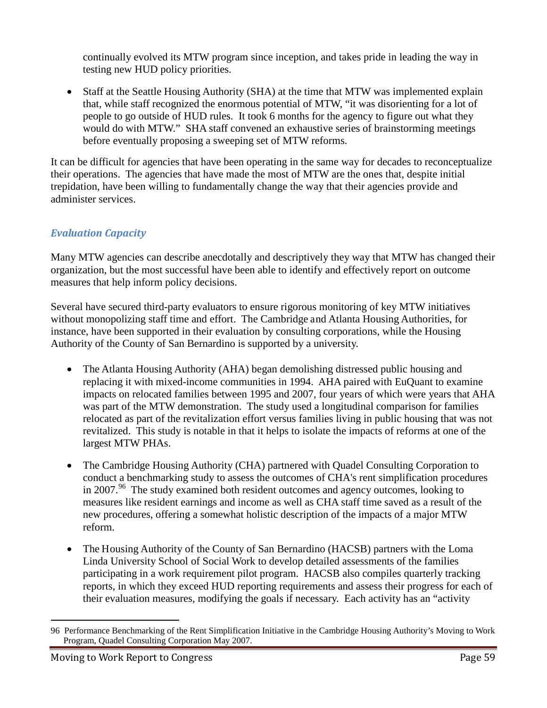continually evolved its MTW program since inception, and takes pride in leading the way in testing new HUD policy priorities.

• Staff at the Seattle Housing Authority (SHA) at the time that MTW was implemented explain that, while staff recognized the enormous potential of MTW, "it was disorienting for a lot of people to go outside of HUD rules. It took 6 months for the agency to figure out what they would do with MTW." SHA staff convened an exhaustive series of brainstorming meetings before eventually proposing a sweeping set of MTW reforms.

It can be difficult for agencies that have been operating in the same way for decades to reconceptualize their operations. The agencies that have made the most of MTW are the ones that, despite initial trepidation, have been willing to fundamentally change the way that their agencies provide and administer services.

#### *Evaluation Capacity*

Many MTW agencies can describe anecdotally and descriptively they way that MTW has changed their organization, but the most successful have been able to identify and effectively report on outcome measures that help inform policy decisions.

Several have secured third-party evaluators to ensure rigorous monitoring of key MTW initiatives without monopolizing staff time and effort. The Cambridge and Atlanta Housing Authorities, for instance, have been supported in their evaluation by consulting corporations, while the Housing Authority of the County of San Bernardino is supported by a university.

- The Atlanta Housing Authority (AHA) began demolishing distressed public housing and replacing it with mixed-income communities in 1994. AHA paired with EuQuant to examine impacts on relocated families between 1995 and 2007, four years of which were years that AHA was part of the MTW demonstration. The study used a longitudinal comparison for families relocated as part of the revitalization effort versus families living in public housing that was not revitalized. This study is notable in that it helps to isolate the impacts of reforms at one of the largest MTW PHAs.
- The Cambridge Housing Authority (CHA) partnered with Quadel Consulting Corporation to conduct a benchmarking study to assess the outcomes of CHA's rent simplification procedures in 2007.<sup>96</sup> The study examined both resident outcomes and agency outcomes, looking to measures like resident earnings and income as well as CHA staff time saved as a result of the new procedures, offering a somewhat holistic description of the impacts of a major MTW reform.
- The Housing Authority of the County of San Bernardino (HACSB) partners with the Loma Linda University School of Social Work to develop detailed assessments of the families participating in a work requirement pilot program. HACSB also compiles quarterly tracking reports, in which they exceed HUD reporting requirements and assess their progress for each of their evaluation measures, modifying the goals if necessary. Each activity has an "activity

 $\overline{a}$ 96 Performance Benchmarking of the Rent Simplification Initiative in the Cambridge Housing Authority's Moving to Work Program, Quadel Consulting Corporation May 2007.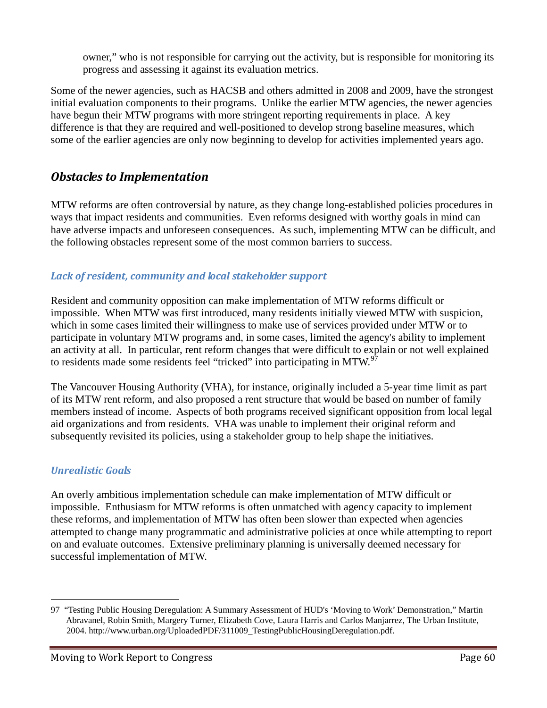owner," who is not responsible for carrying out the activity, but is responsible for monitoring its progress and assessing it against its evaluation metrics.

Some of the newer agencies, such as HACSB and others admitted in 2008 and 2009, have the strongest initial evaluation components to their programs. Unlike the earlier MTW agencies, the newer agencies have begun their MTW programs with more stringent reporting requirements in place. A key difference is that they are required and well-positioned to develop strong baseline measures, which some of the earlier agencies are only now beginning to develop for activities implemented years ago.

# *Obstacles to Implementation*

MTW reforms are often controversial by nature, as they change long-established policies procedures in ways that impact residents and communities. Even reforms designed with worthy goals in mind can have adverse impacts and unforeseen consequences. As such, implementing MTW can be difficult, and the following obstacles represent some of the most common barriers to success.

### *Lack of resident, community and local stakeholder support*

Resident and community opposition can make implementation of MTW reforms difficult or impossible. When MTW was first introduced, many residents initially viewed MTW with suspicion, which in some cases limited their willingness to make use of services provided under MTW or to participate in voluntary MTW programs and, in some cases, limited the agency's ability to implement an activity at all. In particular, rent reform changes that were difficult to explain or not well explained to residents made some residents feel "tricked" into participating in MTW.<sup>97</sup>

The Vancouver Housing Authority (VHA), for instance, originally included a 5-year time limit as part of its MTW rent reform, and also proposed a rent structure that would be based on number of family members instead of income. Aspects of both programs received significant opposition from local legal aid organizations and from residents. VHA was unable to implement their original reform and subsequently revisited its policies, using a stakeholder group to help shape the initiatives.

#### *Unrealistic Goals*

An overly ambitious implementation schedule can make implementation of MTW difficult or impossible. Enthusiasm for MTW reforms is often unmatched with agency capacity to implement these reforms, and implementation of MTW has often been slower than expected when agencies attempted to change many programmatic and administrative policies at once while attempting to report on and evaluate outcomes. Extensive preliminary planning is universally deemed necessary for successful implementation of MTW.

 <sup>97</sup> "Testing Public Housing Deregulation: A Summary Assessment of HUD's 'Moving to Work' Demonstration," Martin Abravanel, Robin Smith, Margery Turner, Elizabeth Cove, Laura Harris and Carlos Manjarrez, The Urban Institute, 2004. http://www.urban.org/UploadedPDF/311009\_TestingPublicHousingDeregulation.pdf.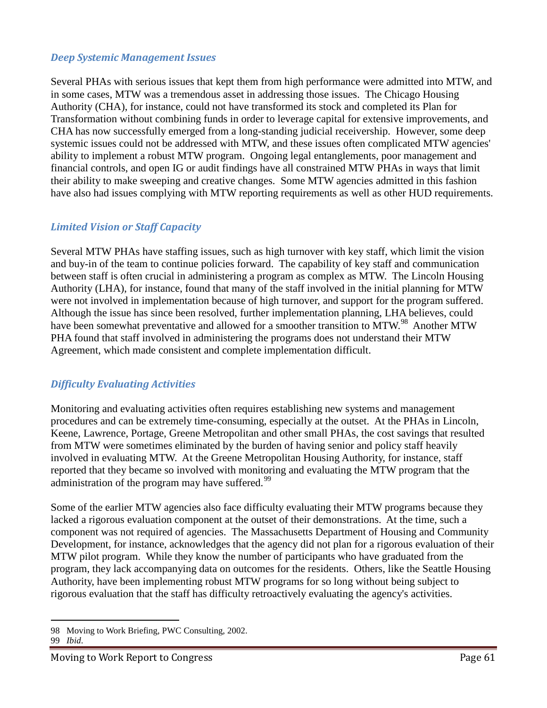#### *Deep Systemic Management Issues*

Several PHAs with serious issues that kept them from high performance were admitted into MTW, and in some cases, MTW was a tremendous asset in addressing those issues. The Chicago Housing Authority (CHA), for instance, could not have transformed its stock and completed its Plan for Transformation without combining funds in order to leverage capital for extensive improvements, and CHA has now successfully emerged from a long-standing judicial receivership. However, some deep systemic issues could not be addressed with MTW, and these issues often complicated MTW agencies' ability to implement a robust MTW program. Ongoing legal entanglements, poor management and financial controls, and open IG or audit findings have all constrained MTW PHAs in ways that limit their ability to make sweeping and creative changes. Some MTW agencies admitted in this fashion have also had issues complying with MTW reporting requirements as well as other HUD requirements.

#### *Limited Vision or Staff Capacity*

Several MTW PHAs have staffing issues, such as high turnover with key staff, which limit the vision and buy-in of the team to continue policies forward. The capability of key staff and communication between staff is often crucial in administering a program as complex as MTW. The Lincoln Housing Authority (LHA), for instance, found that many of the staff involved in the initial planning for MTW were not involved in implementation because of high turnover, and support for the program suffered. Although the issue has since been resolved, further implementation planning, LHA believes, could have been somewhat preventative and allowed for a smoother transition to MTW.<sup>98</sup> Another MTW PHA found that staff involved in administering the programs does not understand their MTW Agreement, which made consistent and complete implementation difficult.

#### *Difficulty Evaluating Activities*

Monitoring and evaluating activities often requires establishing new systems and management procedures and can be extremely time-consuming, especially at the outset. At the PHAs in Lincoln, Keene, Lawrence, Portage, Greene Metropolitan and other small PHAs, the cost savings that resulted from MTW were sometimes eliminated by the burden of having senior and policy staff heavily involved in evaluating MTW. At the Greene Metropolitan Housing Authority, for instance, staff reported that they became so involved with monitoring and evaluating the MTW program that the administration of the program may have suffered.<sup>99</sup>

Some of the earlier MTW agencies also face difficulty evaluating their MTW programs because they lacked a rigorous evaluation component at the outset of their demonstrations. At the time, such a component was not required of agencies. The Massachusetts Department of Housing and Community Development, for instance, acknowledges that the agency did not plan for a rigorous evaluation of their MTW pilot program. While they know the number of participants who have graduated from the program, they lack accompanying data on outcomes for the residents. Others, like the Seattle Housing Authority, have been implementing robust MTW programs for so long without being subject to rigorous evaluation that the staff has difficulty retroactively evaluating the agency's activities.

#### 99 *Ibid*.

 $\overline{a}$ 98 Moving to Work Briefing, PWC Consulting, 2002.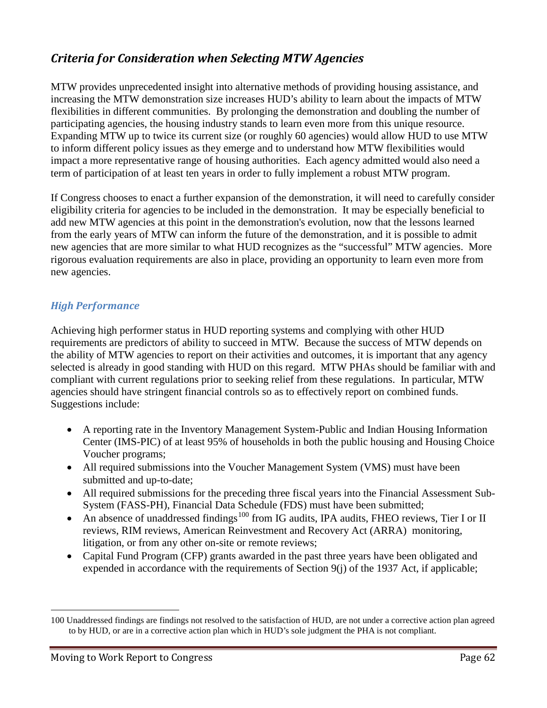# *Criteria for Consideration when Selecting MTW Agencies*

MTW provides unprecedented insight into alternative methods of providing housing assistance, and increasing the MTW demonstration size increases HUD's ability to learn about the impacts of MTW flexibilities in different communities. By prolonging the demonstration and doubling the number of participating agencies, the housing industry stands to learn even more from this unique resource. Expanding MTW up to twice its current size (or roughly 60 agencies) would allow HUD to use MTW to inform different policy issues as they emerge and to understand how MTW flexibilities would impact a more representative range of housing authorities. Each agency admitted would also need a term of participation of at least ten years in order to fully implement a robust MTW program.

If Congress chooses to enact a further expansion of the demonstration, it will need to carefully consider eligibility criteria for agencies to be included in the demonstration. It may be especially beneficial to add new MTW agencies at this point in the demonstration's evolution, now that the lessons learned from the early years of MTW can inform the future of the demonstration, and it is possible to admit new agencies that are more similar to what HUD recognizes as the "successful" MTW agencies. More rigorous evaluation requirements are also in place, providing an opportunity to learn even more from new agencies.

### *High Performance*

Achieving high performer status in HUD reporting systems and complying with other HUD requirements are predictors of ability to succeed in MTW. Because the success of MTW depends on the ability of MTW agencies to report on their activities and outcomes, it is important that any agency selected is already in good standing with HUD on this regard. MTW PHAs should be familiar with and compliant with current regulations prior to seeking relief from these regulations. In particular, MTW agencies should have stringent financial controls so as to effectively report on combined funds. Suggestions include:

- A reporting rate in the Inventory Management System-Public and Indian Housing Information Center (IMS-PIC) of at least 95% of households in both the public housing and Housing Choice Voucher programs;
- All required submissions into the Voucher Management System (VMS) must have been submitted and up-to-date;
- All required submissions for the preceding three fiscal years into the Financial Assessment Sub-System (FASS-PH), Financial Data Schedule (FDS) must have been submitted;
- An absence of unaddressed findings<sup>100</sup> from IG audits, IPA audits, FHEO reviews, Tier I or II reviews, RIM reviews, American Reinvestment and Recovery Act (ARRA) monitoring, litigation, or from any other on-site or remote reviews;
- Capital Fund Program (CFP) grants awarded in the past three years have been obligated and expended in accordance with the requirements of Section 9(j) of the 1937 Act, if applicable;

 $\overline{a}$ 

<sup>100</sup> Unaddressed findings are findings not resolved to the satisfaction of HUD, are not under a corrective action plan agreed to by HUD, or are in a corrective action plan which in HUD's sole judgment the PHA is not compliant.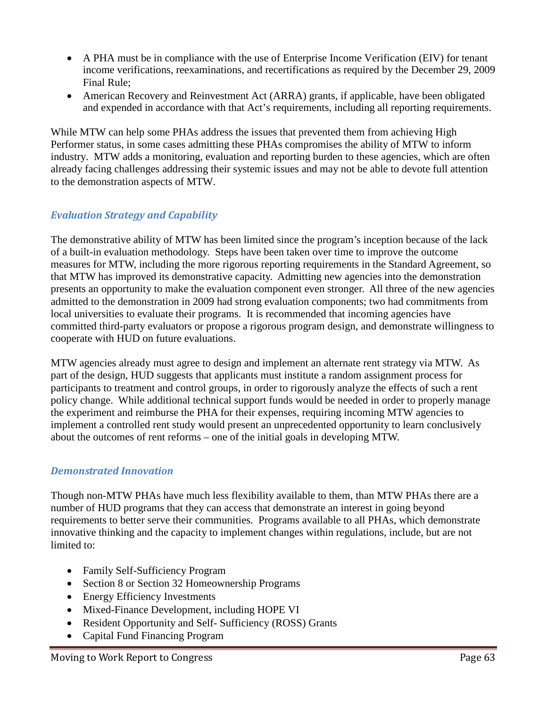- A PHA must be in compliance with the use of Enterprise Income Verification (EIV) for tenant income verifications, reexaminations, and recertifications as required by the December 29, 2009 Final Rule;
- American Recovery and Reinvestment Act (ARRA) grants, if applicable, have been obligated and expended in accordance with that Act's requirements, including all reporting requirements.

While MTW can help some PHAs address the issues that prevented them from achieving High Performer status, in some cases admitting these PHAs compromises the ability of MTW to inform industry. MTW adds a monitoring, evaluation and reporting burden to these agencies, which are often already facing challenges addressing their systemic issues and may not be able to devote full attention to the demonstration aspects of MTW.

### *Evaluation Strategy and Capability*

The demonstrative ability of MTW has been limited since the program's inception because of the lack of a built-in evaluation methodology. Steps have been taken over time to improve the outcome measures for MTW, including the more rigorous reporting requirements in the Standard Agreement, so that MTW has improved its demonstrative capacity. Admitting new agencies into the demonstration presents an opportunity to make the evaluation component even stronger. All three of the new agencies admitted to the demonstration in 2009 had strong evaluation components; two had commitments from local universities to evaluate their programs. It is recommended that incoming agencies have committed third-party evaluators or propose a rigorous program design, and demonstrate willingness to cooperate with HUD on future evaluations.

MTW agencies already must agree to design and implement an alternate rent strategy via MTW. As part of the design, HUD suggests that applicants must institute a random assignment process for participants to treatment and control groups, in order to rigorously analyze the effects of such a rent policy change. While additional technical support funds would be needed in order to properly manage the experiment and reimburse the PHA for their expenses, requiring incoming MTW agencies to implement a controlled rent study would present an unprecedented opportunity to learn conclusively about the outcomes of rent reforms – one of the initial goals in developing MTW.

#### *Demonstrated Innovation*

Though non-MTW PHAs have much less flexibility available to them, than MTW PHAs there are a number of HUD programs that they can access that demonstrate an interest in going beyond requirements to better serve their communities. Programs available to all PHAs, which demonstrate innovative thinking and the capacity to implement changes within regulations, include, but are not limited to:

- Family Self-Sufficiency Program
- Section 8 or Section 32 Homeownership Programs
- Energy Efficiency Investments
- Mixed-Finance Development, including HOPE VI
- Resident Opportunity and Self- Sufficiency (ROSS) Grants
- Capital Fund Financing Program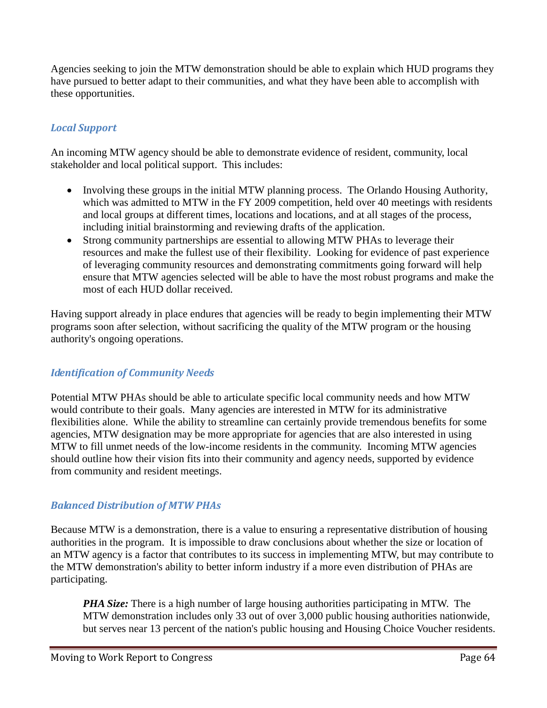Agencies seeking to join the MTW demonstration should be able to explain which HUD programs they have pursued to better adapt to their communities, and what they have been able to accomplish with these opportunities.

## *Local Support*

An incoming MTW agency should be able to demonstrate evidence of resident, community, local stakeholder and local political support. This includes:

- Involving these groups in the initial MTW planning process. The Orlando Housing Authority, which was admitted to MTW in the FY 2009 competition, held over 40 meetings with residents and local groups at different times, locations and locations, and at all stages of the process, including initial brainstorming and reviewing drafts of the application.
- Strong community partnerships are essential to allowing MTW PHAs to leverage their resources and make the fullest use of their flexibility. Looking for evidence of past experience of leveraging community resources and demonstrating commitments going forward will help ensure that MTW agencies selected will be able to have the most robust programs and make the most of each HUD dollar received.

Having support already in place endures that agencies will be ready to begin implementing their MTW programs soon after selection, without sacrificing the quality of the MTW program or the housing authority's ongoing operations.

#### *Identification of Community Needs*

Potential MTW PHAs should be able to articulate specific local community needs and how MTW would contribute to their goals. Many agencies are interested in MTW for its administrative flexibilities alone. While the ability to streamline can certainly provide tremendous benefits for some agencies, MTW designation may be more appropriate for agencies that are also interested in using MTW to fill unmet needs of the low-income residents in the community. Incoming MTW agencies should outline how their vision fits into their community and agency needs, supported by evidence from community and resident meetings.

#### *Balanced Distribution of MTW PHAs*

Because MTW is a demonstration, there is a value to ensuring a representative distribution of housing authorities in the program. It is impossible to draw conclusions about whether the size or location of an MTW agency is a factor that contributes to its success in implementing MTW, but may contribute to the MTW demonstration's ability to better inform industry if a more even distribution of PHAs are participating.

*PHA Size:* There is a high number of large housing authorities participating in MTW. The MTW demonstration includes only 33 out of over 3,000 public housing authorities nationwide, but serves near 13 percent of the nation's public housing and Housing Choice Voucher residents.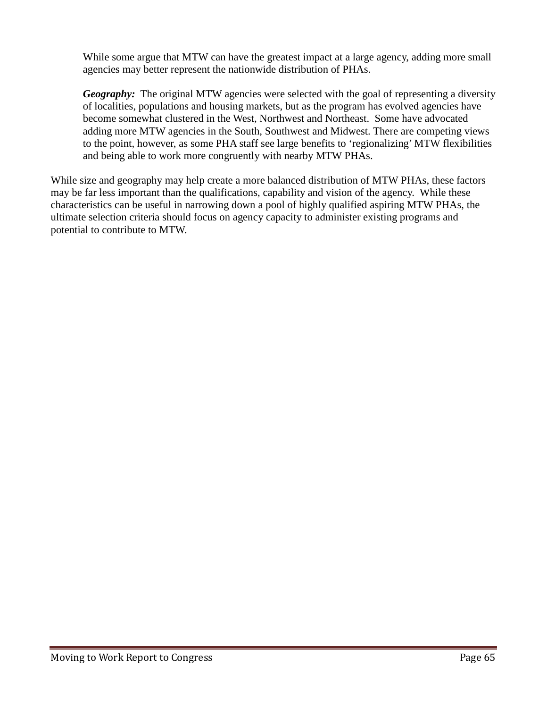While some argue that MTW can have the greatest impact at a large agency, adding more small agencies may better represent the nationwide distribution of PHAs.

*Geography:* The original MTW agencies were selected with the goal of representing a diversity of localities, populations and housing markets, but as the program has evolved agencies have become somewhat clustered in the West, Northwest and Northeast. Some have advocated adding more MTW agencies in the South, Southwest and Midwest. There are competing views to the point, however, as some PHA staff see large benefits to 'regionalizing' MTW flexibilities and being able to work more congruently with nearby MTW PHAs.

While size and geography may help create a more balanced distribution of MTW PHAs, these factors may be far less important than the qualifications, capability and vision of the agency. While these characteristics can be useful in narrowing down a pool of highly qualified aspiring MTW PHAs, the ultimate selection criteria should focus on agency capacity to administer existing programs and potential to contribute to MTW.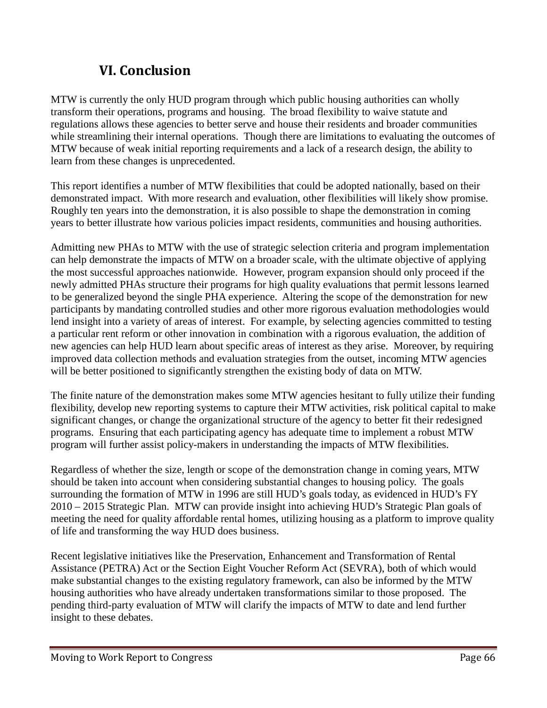# **VI. Conclusion**

MTW is currently the only HUD program through which public housing authorities can wholly transform their operations, programs and housing. The broad flexibility to waive statute and regulations allows these agencies to better serve and house their residents and broader communities while streamlining their internal operations. Though there are limitations to evaluating the outcomes of MTW because of weak initial reporting requirements and a lack of a research design, the ability to learn from these changes is unprecedented.

This report identifies a number of MTW flexibilities that could be adopted nationally, based on their demonstrated impact. With more research and evaluation, other flexibilities will likely show promise. Roughly ten years into the demonstration, it is also possible to shape the demonstration in coming years to better illustrate how various policies impact residents, communities and housing authorities.

Admitting new PHAs to MTW with the use of strategic selection criteria and program implementation can help demonstrate the impacts of MTW on a broader scale, with the ultimate objective of applying the most successful approaches nationwide. However, program expansion should only proceed if the newly admitted PHAs structure their programs for high quality evaluations that permit lessons learned to be generalized beyond the single PHA experience. Altering the scope of the demonstration for new participants by mandating controlled studies and other more rigorous evaluation methodologies would lend insight into a variety of areas of interest. For example, by selecting agencies committed to testing a particular rent reform or other innovation in combination with a rigorous evaluation, the addition of new agencies can help HUD learn about specific areas of interest as they arise. Moreover, by requiring improved data collection methods and evaluation strategies from the outset, incoming MTW agencies will be better positioned to significantly strengthen the existing body of data on MTW.

The finite nature of the demonstration makes some MTW agencies hesitant to fully utilize their funding flexibility, develop new reporting systems to capture their MTW activities, risk political capital to make significant changes, or change the organizational structure of the agency to better fit their redesigned programs. Ensuring that each participating agency has adequate time to implement a robust MTW program will further assist policy-makers in understanding the impacts of MTW flexibilities.

Regardless of whether the size, length or scope of the demonstration change in coming years, MTW should be taken into account when considering substantial changes to housing policy. The goals surrounding the formation of MTW in 1996 are still HUD's goals today, as evidenced in HUD's FY 2010 – 2015 Strategic Plan. MTW can provide insight into achieving HUD's Strategic Plan goals of meeting the need for quality affordable rental homes, utilizing housing as a platform to improve quality of life and transforming the way HUD does business.

Recent legislative initiatives like the Preservation, Enhancement and Transformation of Rental Assistance (PETRA) Act or the Section Eight Voucher Reform Act (SEVRA), both of which would make substantial changes to the existing regulatory framework, can also be informed by the MTW housing authorities who have already undertaken transformations similar to those proposed. The pending third-party evaluation of MTW will clarify the impacts of MTW to date and lend further insight to these debates.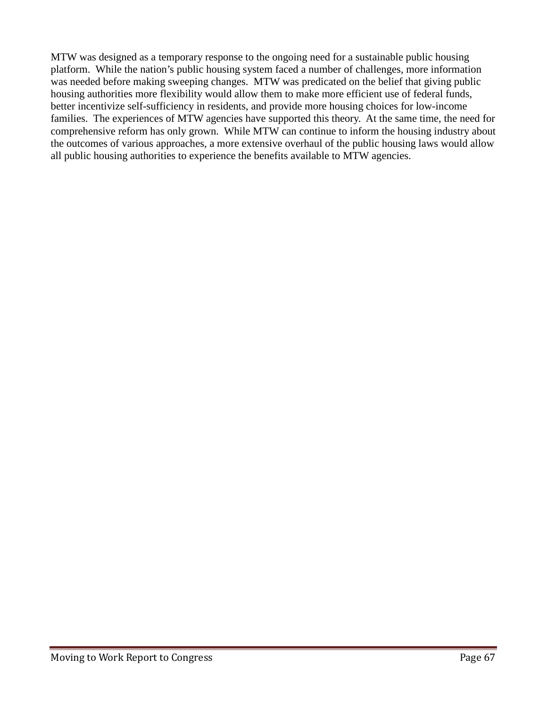MTW was designed as a temporary response to the ongoing need for a sustainable public housing platform. While the nation's public housing system faced a number of challenges, more information was needed before making sweeping changes. MTW was predicated on the belief that giving public housing authorities more flexibility would allow them to make more efficient use of federal funds, better incentivize self-sufficiency in residents, and provide more housing choices for low-income families. The experiences of MTW agencies have supported this theory. At the same time, the need for comprehensive reform has only grown. While MTW can continue to inform the housing industry about the outcomes of various approaches, a more extensive overhaul of the public housing laws would allow all public housing authorities to experience the benefits available to MTW agencies.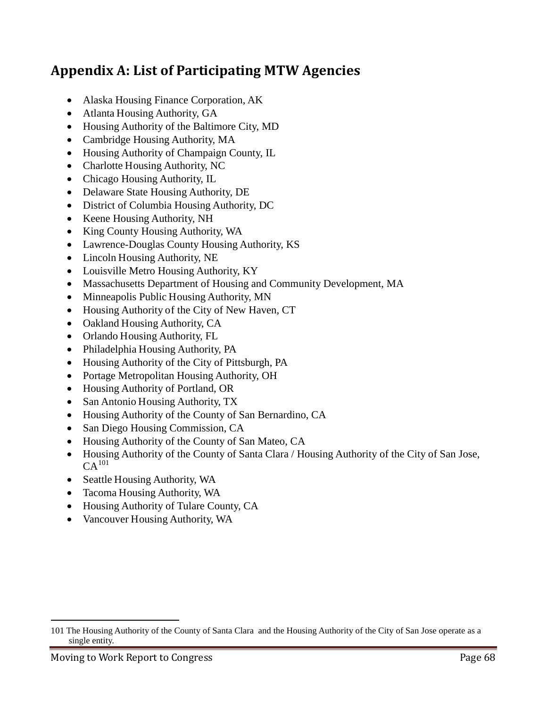# **Appendix A: List of Participating MTW Agencies**

- Alaska Housing Finance Corporation, AK
- Atlanta Housing Authority, GA
- Housing Authority of the Baltimore City, MD
- Cambridge Housing Authority, MA
- Housing Authority of Champaign County, IL
- Charlotte Housing Authority, NC
- Chicago Housing Authority, IL
- Delaware State Housing Authority, DE
- District of Columbia Housing Authority, DC
- Keene Housing Authority, NH
- King County Housing Authority, WA
- Lawrence-Douglas County Housing Authority, KS
- Lincoln Housing Authority, NE
- Louisville Metro Housing Authority, KY
- Massachusetts Department of Housing and Community Development, MA
- Minneapolis Public Housing Authority, MN
- Housing Authority of the City of New Haven, CT
- Oakland Housing Authority, CA
- Orlando Housing Authority, FL
- Philadelphia Housing Authority, PA
- Housing Authority of the City of Pittsburgh, PA
- Portage Metropolitan Housing Authority, OH
- Housing Authority of Portland, OR
- San Antonio Housing Authority, TX
- Housing Authority of the County of San Bernardino, CA
- San Diego Housing Commission, CA
- Housing Authority of the County of San Mateo, CA
- Housing Authority of the County of Santa Clara / Housing Authority of the City of San Jose,  $CA<sup>101</sup>$
- Seattle Housing Authority, WA
- Tacoma Housing Authority, WA
- Housing Authority of Tulare County, CA
- Vancouver Housing Authority, WA

 $\overline{a}$ 

<sup>101</sup> The Housing Authority of the County of Santa Clara and the Housing Authority of the City of San Jose operate as a single entity.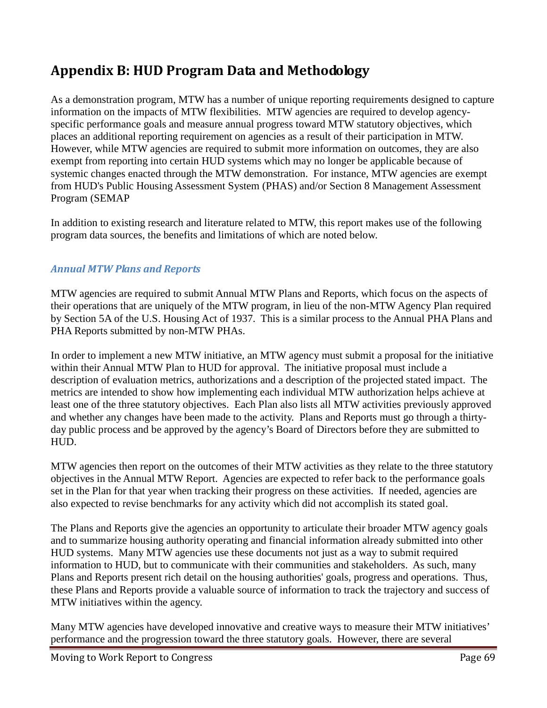# **Appendix B: HUD Program Data and Methodology**

As a demonstration program, MTW has a number of unique reporting requirements designed to capture information on the impacts of MTW flexibilities. MTW agencies are required to develop agencyspecific performance goals and measure annual progress toward MTW statutory objectives, which places an additional reporting requirement on agencies as a result of their participation in MTW. However, while MTW agencies are required to submit more information on outcomes, they are also exempt from reporting into certain HUD systems which may no longer be applicable because of systemic changes enacted through the MTW demonstration. For instance, MTW agencies are exempt from HUD's Public Housing Assessment System (PHAS) and/or Section 8 Management Assessment Program (SEMAP

In addition to existing research and literature related to MTW, this report makes use of the following program data sources, the benefits and limitations of which are noted below.

### *Annual MTW Plans and Reports*

MTW agencies are required to submit Annual MTW Plans and Reports, which focus on the aspects of their operations that are uniquely of the MTW program, in lieu of the non-MTW Agency Plan required by Section 5A of the U.S. Housing Act of 1937. This is a similar process to the Annual PHA Plans and PHA Reports submitted by non-MTW PHAs.

In order to implement a new MTW initiative, an MTW agency must submit a proposal for the initiative within their Annual MTW Plan to HUD for approval. The initiative proposal must include a description of evaluation metrics, authorizations and a description of the projected stated impact. The metrics are intended to show how implementing each individual MTW authorization helps achieve at least one of the three statutory objectives. Each Plan also lists all MTW activities previously approved and whether any changes have been made to the activity. Plans and Reports must go through a thirtyday public process and be approved by the agency's Board of Directors before they are submitted to HUD.

MTW agencies then report on the outcomes of their MTW activities as they relate to the three statutory objectives in the Annual MTW Report. Agencies are expected to refer back to the performance goals set in the Plan for that year when tracking their progress on these activities. If needed, agencies are also expected to revise benchmarks for any activity which did not accomplish its stated goal.

The Plans and Reports give the agencies an opportunity to articulate their broader MTW agency goals and to summarize housing authority operating and financial information already submitted into other HUD systems. Many MTW agencies use these documents not just as a way to submit required information to HUD, but to communicate with their communities and stakeholders. As such, many Plans and Reports present rich detail on the housing authorities' goals, progress and operations. Thus, these Plans and Reports provide a valuable source of information to track the trajectory and success of MTW initiatives within the agency.

Many MTW agencies have developed innovative and creative ways to measure their MTW initiatives' performance and the progression toward the three statutory goals. However, there are several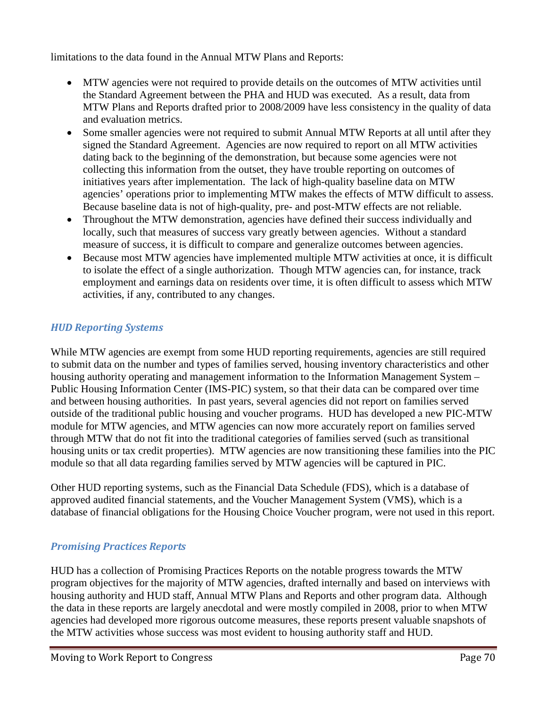limitations to the data found in the Annual MTW Plans and Reports:

- MTW agencies were not required to provide details on the outcomes of MTW activities until the Standard Agreement between the PHA and HUD was executed. As a result, data from MTW Plans and Reports drafted prior to 2008/2009 have less consistency in the quality of data and evaluation metrics.
- Some smaller agencies were not required to submit Annual MTW Reports at all until after they signed the Standard Agreement. Agencies are now required to report on all MTW activities dating back to the beginning of the demonstration, but because some agencies were not collecting this information from the outset, they have trouble reporting on outcomes of initiatives years after implementation. The lack of high-quality baseline data on MTW agencies' operations prior to implementing MTW makes the effects of MTW difficult to assess. Because baseline data is not of high-quality, pre- and post-MTW effects are not reliable.
- Throughout the MTW demonstration, agencies have defined their success individually and locally, such that measures of success vary greatly between agencies. Without a standard measure of success, it is difficult to compare and generalize outcomes between agencies.
- Because most MTW agencies have implemented multiple MTW activities at once, it is difficult to isolate the effect of a single authorization. Though MTW agencies can, for instance, track employment and earnings data on residents over time, it is often difficult to assess which MTW activities, if any, contributed to any changes.

## *HUD Reporting Systems*

While MTW agencies are exempt from some HUD reporting requirements, agencies are still required to submit data on the number and types of families served, housing inventory characteristics and other housing authority operating and management information to the Information Management System – Public Housing Information Center (IMS-PIC) system, so that their data can be compared over time and between housing authorities. In past years, several agencies did not report on families served outside of the traditional public housing and voucher programs. HUD has developed a new PIC-MTW module for MTW agencies, and MTW agencies can now more accurately report on families served through MTW that do not fit into the traditional categories of families served (such as transitional housing units or tax credit properties). MTW agencies are now transitioning these families into the PIC module so that all data regarding families served by MTW agencies will be captured in PIC.

Other HUD reporting systems, such as the Financial Data Schedule (FDS), which is a database of approved audited financial statements, and the Voucher Management System (VMS), which is a database of financial obligations for the Housing Choice Voucher program, were not used in this report.

#### *Promising Practices Reports*

HUD has a collection of Promising Practices Reports on the notable progress towards the MTW program objectives for the majority of MTW agencies, drafted internally and based on interviews with housing authority and HUD staff, Annual MTW Plans and Reports and other program data. Although the data in these reports are largely anecdotal and were mostly compiled in 2008, prior to when MTW agencies had developed more rigorous outcome measures, these reports present valuable snapshots of the MTW activities whose success was most evident to housing authority staff and HUD.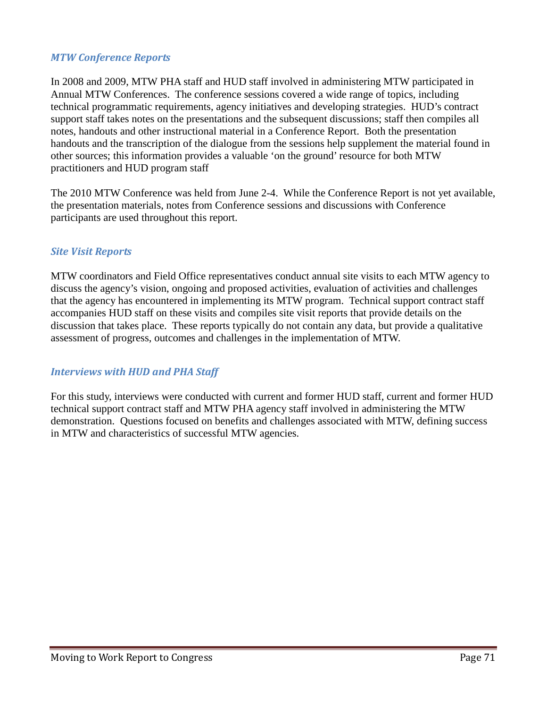#### *MTW Conference Reports*

In 2008 and 2009, MTW PHA staff and HUD staff involved in administering MTW participated in Annual MTW Conferences. The conference sessions covered a wide range of topics, including technical programmatic requirements, agency initiatives and developing strategies. HUD's contract support staff takes notes on the presentations and the subsequent discussions; staff then compiles all notes, handouts and other instructional material in a Conference Report. Both the presentation handouts and the transcription of the dialogue from the sessions help supplement the material found in other sources; this information provides a valuable 'on the ground' resource for both MTW practitioners and HUD program staff

The 2010 MTW Conference was held from June 2-4. While the Conference Report is not yet available, the presentation materials, notes from Conference sessions and discussions with Conference participants are used throughout this report.

#### *Site Visit Reports*

MTW coordinators and Field Office representatives conduct annual site visits to each MTW agency to discuss the agency's vision, ongoing and proposed activities, evaluation of activities and challenges that the agency has encountered in implementing its MTW program. Technical support contract staff accompanies HUD staff on these visits and compiles site visit reports that provide details on the discussion that takes place. These reports typically do not contain any data, but provide a qualitative assessment of progress, outcomes and challenges in the implementation of MTW.

#### *Interviews with HUD and PHA Staff*

For this study, interviews were conducted with current and former HUD staff, current and former HUD technical support contract staff and MTW PHA agency staff involved in administering the MTW demonstration. Questions focused on benefits and challenges associated with MTW, defining success in MTW and characteristics of successful MTW agencies.